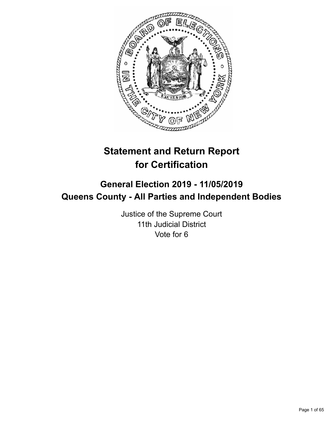

# **Statement and Return Report for Certification**

## **General Election 2019 - 11/05/2019 Queens County - All Parties and Independent Bodies**

Justice of the Supreme Court 11th Judicial District Vote for 6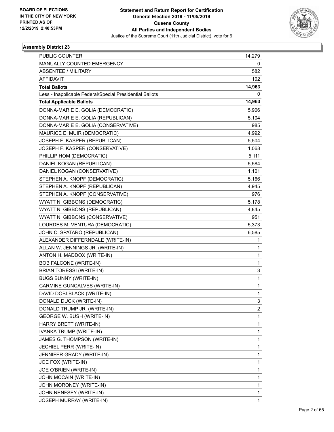

| <b>PUBLIC COUNTER</b>                                    | 14,279                  |
|----------------------------------------------------------|-------------------------|
| MANUALLY COUNTED EMERGENCY                               | 0                       |
| <b>ABSENTEE / MILITARY</b>                               | 582                     |
| <b>AFFIDAVIT</b>                                         | 102                     |
| <b>Total Ballots</b>                                     | 14,963                  |
| Less - Inapplicable Federal/Special Presidential Ballots | 0                       |
| <b>Total Applicable Ballots</b>                          | 14,963                  |
| DONNA-MARIE E. GOLIA (DEMOCRATIC)                        | 5,906                   |
| DONNA-MARIE E. GOLIA (REPUBLICAN)                        | 5,104                   |
| DONNA-MARIE E. GOLIA (CONSERVATIVE)                      | 985                     |
| MAURICE E. MUIR (DEMOCRATIC)                             | 4,992                   |
| JOSEPH F. KASPER (REPUBLICAN)                            | 5,504                   |
| JOSEPH F. KASPER (CONSERVATIVE)                          | 1,068                   |
| PHILLIP HOM (DEMOCRATIC)                                 | 5,111                   |
| DANIEL KOGAN (REPUBLICAN)                                | 5,584                   |
| DANIEL KOGAN (CONSERVATIVE)                              | 1,101                   |
| STEPHEN A. KNOPF (DEMOCRATIC)                            | 5,166                   |
| STEPHEN A. KNOPF (REPUBLICAN)                            | 4,945                   |
| STEPHEN A. KNOPF (CONSERVATIVE)                          | 976                     |
| WYATT N. GIBBONS (DEMOCRATIC)                            | 5,178                   |
| WYATT N. GIBBONS (REPUBLICAN)                            | 4,845                   |
| WYATT N. GIBBONS (CONSERVATIVE)                          | 951                     |
| LOURDES M. VENTURA (DEMOCRATIC)                          | 5,373                   |
| JOHN C. SPATARO (REPUBLICAN)                             | 6,585                   |
| ALEXANDER DIFFERNDALE (WRITE-IN)                         | 1                       |
| ALLAN W. JENNINGS JR. (WRITE-IN)                         | 1                       |
| ANTON H. MADDOX (WRITE-IN)                               | 1                       |
| <b>BOB FALCONE (WRITE-IN)</b>                            | 1                       |
| <b>BRIAN TORESSI (WRITE-IN)</b>                          | 3                       |
| <b>BUGS BUNNY (WRITE-IN)</b>                             | $\mathbf{1}$            |
| CARMINE GUNCALVES (WRITE-IN)                             | $\mathbf{1}$            |
| DAVID DOBLBLACK (WRITE-IN)                               | 1                       |
| DONALD DUCK (WRITE-IN)                                   | 3                       |
| DONALD TRUMP JR. (WRITE-IN)                              | $\overline{\mathbf{c}}$ |
| GEORGE W. BUSH (WRITE-IN)                                | 1                       |
| HARRY BRETT (WRITE-IN)                                   | 1                       |
| IVANKA TRUMP (WRITE-IN)                                  | $\mathbf{1}$            |
| JAMES G. THOMPSON (WRITE-IN)                             | 1                       |
| JECHIEL PERR (WRITE-IN)                                  | 1                       |
| JENNIFER GRADY (WRITE-IN)                                | $\mathbf{1}$            |
| JOE FOX (WRITE-IN)                                       | 1                       |
| JOE O'BRIEN (WRITE-IN)                                   | 1                       |
| JOHN MCCAIN (WRITE-IN)                                   | 1                       |
| JOHN MORONEY (WRITE-IN)                                  | 1                       |
| JOHN NENFSEY (WRITE-IN)                                  | 1                       |
| JOSEPH MURRAY (WRITE-IN)                                 | $\mathbf{1}$            |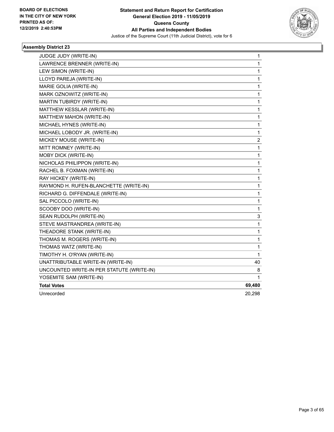

| JUDGE JUDY (WRITE-IN)                     | 1           |
|-------------------------------------------|-------------|
| LAWRENCE BRENNER (WRITE-IN)               | 1           |
| LEW SIMON (WRITE-IN)                      | $\mathbf 1$ |
| LLOYD PAREJA (WRITE-IN)                   | 1           |
| MARIE GOLIA (WRITE-IN)                    | 1           |
| MARK OZNOWITZ (WRITE-IN)                  | 1           |
| MARTIN TUBIRDY (WRITE-IN)                 | 1           |
| MATTHEW KESSLAR (WRITE-IN)                | 1           |
| MATTHEW MAHON (WRITE-IN)                  | $\mathbf 1$ |
| MICHAEL HYNES (WRITE-IN)                  | $\mathbf 1$ |
| MICHAEL LOBODY JR. (WRITE-IN)             | 1           |
| MICKEY MOUSE (WRITE-IN)                   | 2           |
| MITT ROMNEY (WRITE-IN)                    | 1           |
| MOBY DICK (WRITE-IN)                      | 1           |
| NICHOLAS PHILIPPON (WRITE-IN)             | $\mathbf 1$ |
| RACHEL B. FOXMAN (WRITE-IN)               | $\mathbf 1$ |
| RAY HICKEY (WRITE-IN)                     | 1           |
| RAYMOND H. RUFEN-BLANCHETTE (WRITE-IN)    | 1           |
| RICHARD G. DIFFENDALE (WRITE-IN)          | 1           |
| SAL PICCOLO (WRITE-IN)                    | 1           |
| SCOOBY DOO (WRITE-IN)                     | $\mathbf 1$ |
| SEAN RUDOLPH (WRITE-IN)                   | 3           |
| STEVE MASTRANDREA (WRITE-IN)              | 1           |
| THEADORE STANK (WRITE-IN)                 | 1           |
| THOMAS M. ROGERS (WRITE-IN)               | 1           |
| THOMAS WATZ (WRITE-IN)                    | 1           |
| TIMOTHY H. O'RYAN (WRITE-IN)              | 1           |
| UNATTRIBUTABLE WRITE-IN (WRITE-IN)        | 40          |
| UNCOUNTED WRITE-IN PER STATUTE (WRITE-IN) | 8           |
| YOSEMITE SAM (WRITE-IN)                   | 1           |
| <b>Total Votes</b>                        | 69,480      |
| Unrecorded                                | 20,298      |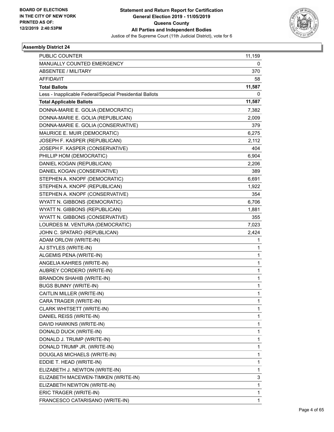

| PUBLIC COUNTER                                           | 11,159       |
|----------------------------------------------------------|--------------|
| MANUALLY COUNTED EMERGENCY                               | 0            |
| <b>ABSENTEE / MILITARY</b>                               | 370          |
| <b>AFFIDAVIT</b>                                         | 58           |
| <b>Total Ballots</b>                                     | 11,587       |
| Less - Inapplicable Federal/Special Presidential Ballots | 0            |
| <b>Total Applicable Ballots</b>                          | 11,587       |
| DONNA-MARIE E. GOLIA (DEMOCRATIC)                        | 7,382        |
| DONNA-MARIE E. GOLIA (REPUBLICAN)                        | 2,009        |
| DONNA-MARIE E. GOLIA (CONSERVATIVE)                      | 379          |
| MAURICE E. MUIR (DEMOCRATIC)                             | 6,275        |
| JOSEPH F. KASPER (REPUBLICAN)                            | 2,112        |
| JOSEPH F. KASPER (CONSERVATIVE)                          | 404          |
| PHILLIP HOM (DEMOCRATIC)                                 | 6,904        |
| DANIEL KOGAN (REPUBLICAN)                                | 2,206        |
| DANIEL KOGAN (CONSERVATIVE)                              | 389          |
| STEPHEN A. KNOPF (DEMOCRATIC)                            | 6,691        |
| STEPHEN A. KNOPF (REPUBLICAN)                            | 1,922        |
| STEPHEN A. KNOPF (CONSERVATIVE)                          | 354          |
| WYATT N. GIBBONS (DEMOCRATIC)                            | 6,706        |
| WYATT N. GIBBONS (REPUBLICAN)                            | 1,881        |
| WYATT N. GIBBONS (CONSERVATIVE)                          | 355          |
| LOURDES M. VENTURA (DEMOCRATIC)                          | 7,023        |
| JOHN C. SPATARO (REPUBLICAN)                             | 2,424        |
| ADAM ORLOW (WRITE-IN)                                    | 1            |
| AJ STYLES (WRITE-IN)                                     | $\mathbf{1}$ |
| ALGEMIS PENA (WRITE-IN)                                  | 1            |
| ANGELIA KAHRES (WRITE-IN)                                | 1            |
| AUBREY CORDERO (WRITE-IN)                                | $\mathbf{1}$ |
| <b>BRANDON SHAHIB (WRITE-IN)</b>                         | 1            |
| <b>BUGS BUNNY (WRITE-IN)</b>                             | $\mathbf{1}$ |
| CAITLIN MILLER (WRITE-IN)                                | 1            |
| CARA TRAGER (WRITE-IN)                                   | 1            |
| CLARK WHITSETT (WRITE-IN)                                | 1            |
| DANIEL REISS (WRITE-IN)                                  | 1            |
| DAVID HAWKINS (WRITE-IN)                                 | 1            |
| DONALD DUCK (WRITE-IN)                                   | 1            |
| DONALD J. TRUMP (WRITE-IN)                               | 1            |
| DONALD TRUMP JR. (WRITE-IN)                              | 1            |
| DOUGLAS MICHAELS (WRITE-IN)                              | 1            |
| EDDIE T. HEAD (WRITE-IN)                                 | 1            |
| ELIZABETH J. NEWTON (WRITE-IN)                           | 1            |
| ELIZABETH MACEWEN-TIMKEN (WRITE-IN)                      | 3            |
| ELIZABETH NEWTON (WRITE-IN)                              | 1            |
| ERIC TRAGER (WRITE-IN)                                   | 1            |
| FRANCESCO CATARISANO (WRITE-IN)                          | 1            |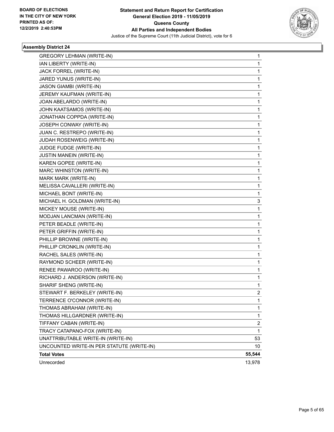

| <b>GREGORY LEHMAN (WRITE-IN)</b>          | 1              |
|-------------------------------------------|----------------|
| IAN LIBERTY (WRITE-IN)                    | 1              |
| JACK FORREL (WRITE-IN)                    | 1              |
| JARED YUNUS (WRITE-IN)                    | $\mathbf 1$    |
| JASON GIAMBI (WRITE-IN)                   | 1              |
| JEREMY KAUFMAN (WRITE-IN)                 | 1              |
| JOAN ABELARDO (WRITE-IN)                  | 1              |
| JOHN KAATSAMOS (WRITE-IN)                 | 1              |
| JONATHAN COPPDA (WRITE-IN)                | 1              |
| JOSEPH CONWAY (WRITE-IN)                  | $\mathbf 1$    |
| JUAN C. RESTREPO (WRITE-IN)               | 1              |
| JUDAH ROSENWEIG (WRITE-IN)                | 1              |
| JUDGE FUDGE (WRITE-IN)                    | 1              |
| JUSTIN MANEIN (WRITE-IN)                  | 1              |
| KAREN GOPEE (WRITE-IN)                    | 1              |
| MARC WHINSTON (WRITE-IN)                  | $\mathbf 1$    |
| MARK MARK (WRITE-IN)                      | 1              |
| MELISSA CAVALLERI (WRITE-IN)              | 1              |
| MICHAEL BONT (WRITE-IN)                   | 1              |
| MICHAEL H. GOLDMAN (WRITE-IN)             | 3              |
| MICKEY MOUSE (WRITE-IN)                   | 1              |
| MODJAN LANCMAN (WRITE-IN)                 | $\mathbf 1$    |
| PETER BEADLE (WRITE-IN)                   | 1              |
| PETER GRIFFIN (WRITE-IN)                  | 1              |
| PHILLIP BROWNE (WRITE-IN)                 | 1              |
| PHILLIP CRONKLIN (WRITE-IN)               | 1              |
| RACHEL SALES (WRITE-IN)                   | 1              |
| RAYMOND SCHEER (WRITE-IN)                 | 1              |
| RENEE PAWAROO (WRITE-IN)                  | 1              |
| RICHARD J. ANDERSON (WRITE-IN)            | 1              |
| SHARIF SHENG (WRITE-IN)                   | 1              |
| STEWART F. BERKELEY (WRITE-IN)            | $\overline{2}$ |
| TERRENCE O'CONNOR (WRITE-IN)              | 1              |
| THOMAS ABRAHAM (WRITE-IN)                 | 1              |
| THOMAS HILLGARDNER (WRITE-IN)             | 1              |
| TIFFANY CABAN (WRITE-IN)                  | 2              |
| TRACY CATAPANO-FOX (WRITE-IN)             | $\mathbf{1}$   |
| UNATTRIBUTABLE WRITE-IN (WRITE-IN)        | 53             |
| UNCOUNTED WRITE-IN PER STATUTE (WRITE-IN) | 10             |
| <b>Total Votes</b>                        | 55,544         |
| Unrecorded                                | 13,978         |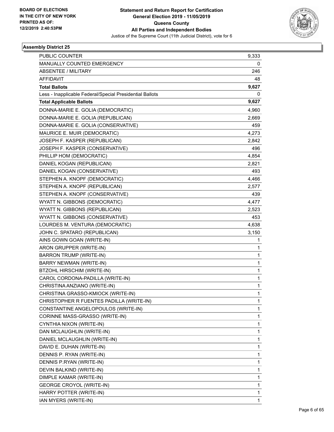

| PUBLIC COUNTER                                           | 9,333        |
|----------------------------------------------------------|--------------|
| MANUALLY COUNTED EMERGENCY                               | 0            |
| <b>ABSENTEE / MILITARY</b>                               | 246          |
| <b>AFFIDAVIT</b>                                         | 48           |
| <b>Total Ballots</b>                                     | 9,627        |
| Less - Inapplicable Federal/Special Presidential Ballots | 0            |
| <b>Total Applicable Ballots</b>                          | 9,627        |
| DONNA-MARIE E. GOLIA (DEMOCRATIC)                        | 4,960        |
| DONNA-MARIE E. GOLIA (REPUBLICAN)                        | 2,669        |
| DONNA-MARIE E. GOLIA (CONSERVATIVE)                      | 459          |
| MAURICE E. MUIR (DEMOCRATIC)                             | 4,273        |
| JOSEPH F. KASPER (REPUBLICAN)                            | 2,842        |
| JOSEPH F. KASPER (CONSERVATIVE)                          | 496          |
| PHILLIP HOM (DEMOCRATIC)                                 | 4,854        |
| DANIEL KOGAN (REPUBLICAN)                                | 2,821        |
| DANIEL KOGAN (CONSERVATIVE)                              | 493          |
| STEPHEN A. KNOPF (DEMOCRATIC)                            | 4,466        |
| STEPHEN A. KNOPF (REPUBLICAN)                            | 2,577        |
| STEPHEN A. KNOPF (CONSERVATIVE)                          | 439          |
| WYATT N. GIBBONS (DEMOCRATIC)                            | 4,477        |
| WYATT N. GIBBONS (REPUBLICAN)                            | 2,523        |
| WYATT N. GIBBONS (CONSERVATIVE)                          | 453          |
| LOURDES M. VENTURA (DEMOCRATIC)                          | 4,638        |
| JOHN C. SPATARO (REPUBLICAN)                             | 3,150        |
| AINS GOWN GOAN (WRITE-IN)                                | 1            |
| ARON GRUPPER (WRITE-IN)                                  | 1            |
| <b>BARRON TRUMP (WRITE-IN)</b>                           | 1            |
| BARRY NEWMAN (WRITE-IN)                                  | 1            |
| BTZOHL HIRSCHIM (WRITE-IN)                               | 1            |
| CAROL CORDONA-PADILLA (WRITE-IN)                         | 1            |
| CHRISTINA ANZIANO (WRITE-IN)                             | $\mathbf{1}$ |
| CHRISTINA GRASSO-KMIOCK (WRITE-IN)                       | 1            |
| CHRISTOPHER R FUENTES PADILLA (WRITE-IN)                 | 1            |
| CONSTANTINE ANGELOPOULOS (WRITE-IN)                      | $\mathbf{1}$ |
| CORINNE MASS-GRASSO (WRITE-IN)                           | 1            |
| CYNTHIA NIXON (WRITE-IN)                                 | 1            |
| DAN MCLAUGHLIN (WRITE-IN)                                | 1            |
| DANIEL MCLAUGHLIN (WRITE-IN)                             | 1            |
| DAVID E. DUHAN (WRITE-IN)                                | 1            |
| DENNIS P. RYAN (WRITE-IN)                                | $\mathbf{1}$ |
| DENNIS P.RYAN (WRITE-IN)                                 | 1            |
| DEVIN BALKIND (WRITE-IN)                                 | 1            |
| DIMPLE KAMAR (WRITE-IN)                                  | 1            |
| GEORGE CROYOL (WRITE-IN)                                 | 1            |
| HARRY POTTER (WRITE-IN)                                  | 1            |
| IAN MYERS (WRITE-IN)                                     | $\mathbf{1}$ |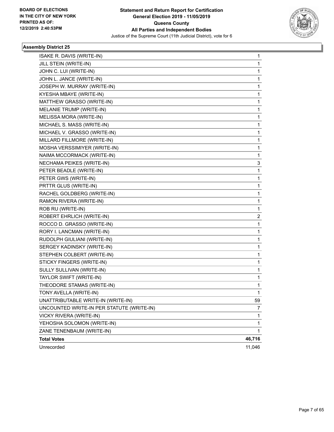

| ISAKE R. DAVIS (WRITE-IN)                 | 1            |
|-------------------------------------------|--------------|
| JILL STEIN (WRITE-IN)                     | 1            |
| JOHN C. LUI (WRITE-IN)                    | 1            |
| JOHN L. JANCE (WRITE-IN)                  | 1            |
| JOSEPH W. MURRAY (WRITE-IN)               | 1            |
| KYESHA MBAYE (WRITE-IN)                   | 1            |
| MATTHEW GRASSO (WRITE-IN)                 | 1            |
| MELANIE TRUMP (WRITE-IN)                  | 1            |
| MELISSA MORA (WRITE-IN)                   | 1            |
| MICHAEL S. MASS (WRITE-IN)                | 1            |
| MICHAEL V. GRASSO (WRITE-IN)              | 1            |
| MILLARD FILLMORE (WRITE-IN)               | 1            |
| MOSHA VERSSIMIYER (WRITE-IN)              | 1            |
| NAIMA MCCORMACK (WRITE-IN)                | 1            |
| NECHAMA PEIKES (WRITE-IN)                 | 3            |
| PETER BEADLE (WRITE-IN)                   | 1            |
| PETER GWS (WRITE-IN)                      | 1            |
| PRTTR GLUS (WRITE-IN)                     | 1            |
| RACHEL GOLDBERG (WRITE-IN)                | 1            |
| RAMON RIVERA (WRITE-IN)                   | 1            |
| ROB RU (WRITE-IN)                         | $\mathbf{1}$ |
| ROBERT EHRLICH (WRITE-IN)                 | 2            |
| ROCCO D. GRASSO (WRITE-IN)                | 1            |
| RORY I. LANCMAN (WRITE-IN)                | 1            |
| RUDOLPH GIULIANI (WRITE-IN)               | 1            |
| SERGEY KADINSKY (WRITE-IN)                | 1            |
| STEPHEN COLBERT (WRITE-IN)                | 1            |
| STICKY FINGERS (WRITE-IN)                 | 1            |
| SULLY SULLIVAN (WRITE-IN)                 | 1            |
| TAYLOR SWIFT (WRITE-IN)                   | 1            |
| THEODORE STAMAS (WRITE-IN)                | 1            |
| TONY AVELLA (WRITE-IN)                    | 1            |
| UNATTRIBUTABLE WRITE-IN (WRITE-IN)        | 59           |
| UNCOUNTED WRITE-IN PER STATUTE (WRITE-IN) | 7            |
| VICKY RIVERA (WRITE-IN)                   | 1            |
| YEHOSHA SOLOMON (WRITE-IN)                | 1            |
| ZANE TENENBAUM (WRITE-IN)                 | 1            |
| <b>Total Votes</b>                        | 46,716       |
| Unrecorded                                | 11,046       |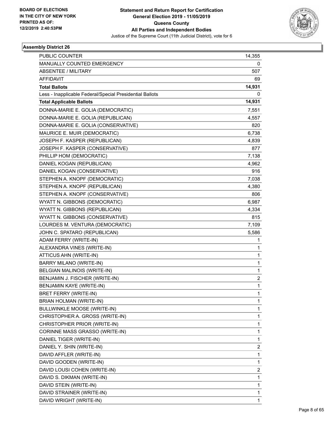

| <b>PUBLIC COUNTER</b>                                    | 14,355                  |
|----------------------------------------------------------|-------------------------|
| MANUALLY COUNTED EMERGENCY                               | 0                       |
| <b>ABSENTEE / MILITARY</b>                               | 507                     |
| <b>AFFIDAVIT</b>                                         | 69                      |
| <b>Total Ballots</b>                                     | 14,931                  |
| Less - Inapplicable Federal/Special Presidential Ballots | 0                       |
| <b>Total Applicable Ballots</b>                          | 14,931                  |
| DONNA-MARIE E. GOLIA (DEMOCRATIC)                        | 7,551                   |
| DONNA-MARIE E. GOLIA (REPUBLICAN)                        | 4,557                   |
| DONNA-MARIE E. GOLIA (CONSERVATIVE)                      | 820                     |
| MAURICE E. MUIR (DEMOCRATIC)                             | 6,738                   |
| JOSEPH F. KASPER (REPUBLICAN)                            | 4,839                   |
| JOSEPH F. KASPER (CONSERVATIVE)                          | 877                     |
| PHILLIP HOM (DEMOCRATIC)                                 | 7,138                   |
| DANIEL KOGAN (REPUBLICAN)                                | 4,962                   |
| DANIEL KOGAN (CONSERVATIVE)                              | 916                     |
| STEPHEN A. KNOPF (DEMOCRATIC)                            | 7,038                   |
| STEPHEN A. KNOPF (REPUBLICAN)                            | 4,380                   |
| STEPHEN A. KNOPF (CONSERVATIVE)                          | 806                     |
| WYATT N. GIBBONS (DEMOCRATIC)                            | 6,987                   |
| WYATT N. GIBBONS (REPUBLICAN)                            | 4,334                   |
| WYATT N. GIBBONS (CONSERVATIVE)                          | 815                     |
| LOURDES M. VENTURA (DEMOCRATIC)                          | 7,109                   |
| JOHN C. SPATARO (REPUBLICAN)                             | 5,586                   |
| ADAM FERRY (WRITE-IN)                                    | 1                       |
| ALEXANDRA VINES (WRITE-IN)                               | 1                       |
| ATTICUS AHN (WRITE-IN)                                   | 1                       |
| <b>BARRY MILANO (WRITE-IN)</b>                           | 1                       |
| BELGIAN MALINOIS (WRITE-IN)                              | 1                       |
| BENJAMIN J. FISCHER (WRITE-IN)                           | $\overline{\mathbf{c}}$ |
| BENJAMIN KAYE (WRITE-IN)                                 | 1                       |
| <b>BRET FERRY (WRITE-IN)</b>                             | 1                       |
| BRIAN HOLMAN (WRITE-IN)                                  | 1                       |
| <b>BULLWINKLE MOOSE (WRITE-IN)</b>                       | 1                       |
| CHRISTOPHER A. GROSS (WRITE-IN)                          | 1                       |
| CHRISTOPHER PRIOR (WRITE-IN)                             | 1                       |
| CORINNE MASS GRASSO (WRITE-IN)                           | 1                       |
| DANIEL TIGER (WRITE-IN)                                  | 1                       |
| DANIEL Y. SHIN (WRITE-IN)                                | 2                       |
| DAVID AFFLER (WRITE-IN)                                  | 1                       |
| DAVID GOODEN (WRITE-IN)                                  | 1                       |
| DAVID LOUSI COHEN (WRITE-IN)                             | 2                       |
| DAVID S. DIKMAN (WRITE-IN)                               | 1                       |
| DAVID STEIN (WRITE-IN)                                   | 1                       |
| DAVID STRAINER (WRITE-IN)                                | 1                       |
| DAVID WRIGHT (WRITE-IN)                                  | $\mathbf{1}$            |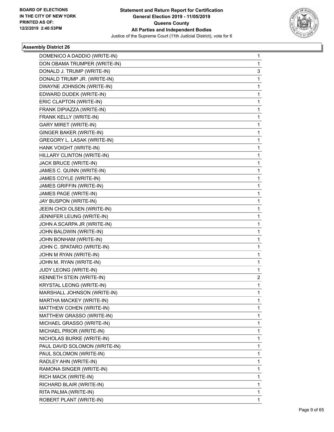

| DOMENICO A DADDIO (WRITE-IN)  | 1 |
|-------------------------------|---|
| DON OBAMA TRUMPER (WRITE-IN)  | 1 |
| DONALD J. TRUMP (WRITE-IN)    | 3 |
| DONALD TRUMP JR. (WRITE-IN)   | 1 |
| DWAYNE JOHNSON (WRITE-IN)     | 1 |
| EDWARD DUDEK (WRITE-IN)       | 1 |
| ERIC CLAPTON (WRITE-IN)       | 1 |
| FRANK DIPIAZZA (WRITE-IN)     | 1 |
| FRANK KELLY (WRITE-IN)        | 1 |
| <b>GARY MIRET (WRITE-IN)</b>  | 1 |
| GINGER BAKER (WRITE-IN)       | 1 |
| GREGORY L. LASAK (WRITE-IN)   | 1 |
| HANK VOIGHT (WRITE-IN)        | 1 |
| HILLARY CLINTON (WRITE-IN)    | 1 |
| JACK BRUCE (WRITE-IN)         | 1 |
| JAMES C. QUINN (WRITE-IN)     | 1 |
| JAMES COYLE (WRITE-IN)        | 1 |
| JAMES GRIFFIN (WRITE-IN)      | 1 |
| JAMES PAGE (WRITE-IN)         | 1 |
| JAY BUSPON (WRITE-IN)         | 1 |
| JEEIN CHOI OLSEN (WRITE-IN)   | 1 |
| JENNIFER LEUNG (WRITE-IN)     | 1 |
| JOHN A SCARPA JR (WRITE-IN)   | 1 |
| JOHN BALDWIN (WRITE-IN)       | 1 |
| JOHN BONHAM (WRITE-IN)        | 1 |
| JOHN C. SPATARO (WRITE-IN)    | 1 |
| JOHN M RYAN (WRITE-IN)        | 1 |
| JOHN M. RYAN (WRITE-IN)       | 1 |
| JUDY LEONG (WRITE-IN)         | 1 |
| KENNETH STEIN (WRITE-IN)      | 2 |
| KRYSTAL LEONG (WRITE-IN)      | 1 |
| MARSHALL JOHNSON (WRITE-IN)   | 1 |
| MARTHA MACKEY (WRITE-IN)      | 1 |
| MATTHEW COHEN (WRITE-IN)      | 1 |
| MATTHEW GRASSO (WRITE-IN)     | 1 |
| MICHAEL GRASSO (WRITE-IN)     | 1 |
| MICHAEL PRIOR (WRITE-IN)      | 1 |
| NICHOLAS BURKE (WRITE-IN)     | 1 |
| PAUL DAVID SOLOMON (WRITE-IN) | 1 |
| PAUL SOLOMON (WRITE-IN)       | 1 |
| RADLEY AHN (WRITE-IN)         | 1 |
| RAMONA SINGER (WRITE-IN)      | 1 |
| RICH MACK (WRITE-IN)          | 1 |
| RICHARD BLAIR (WRITE-IN)      | 1 |
| RITA PALMA (WRITE-IN)         | 1 |
| ROBERT PLANT (WRITE-IN)       | 1 |
|                               |   |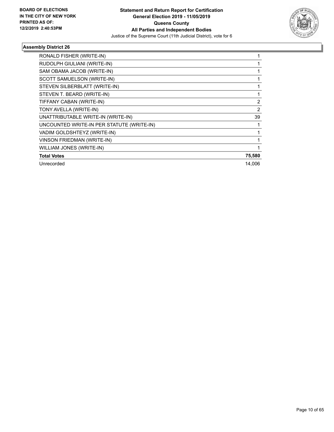

| RONALD FISHER (WRITE-IN)                  |                |
|-------------------------------------------|----------------|
| RUDOLPH GIULIANI (WRITE-IN)               |                |
| SAM OBAMA JACOB (WRITE-IN)                |                |
| SCOTT SAMUELSON (WRITE-IN)                |                |
| STEVEN SILBERBLATT (WRITE-IN)             |                |
| STEVEN T. BEARD (WRITE-IN)                |                |
| TIFFANY CABAN (WRITE-IN)                  | $\overline{2}$ |
| TONY AVELLA (WRITE-IN)                    | 2              |
| UNATTRIBUTABLE WRITE-IN (WRITE-IN)        | 39             |
| UNCOUNTED WRITE-IN PER STATUTE (WRITE-IN) |                |
| VADIM GOLDSHTEYZ (WRITE-IN)               |                |
| VINSON FRIEDMAN (WRITE-IN)                |                |
| WILLIAM JONES (WRITE-IN)                  |                |
| <b>Total Votes</b>                        | 75,580         |
| Unrecorded                                | 14,006         |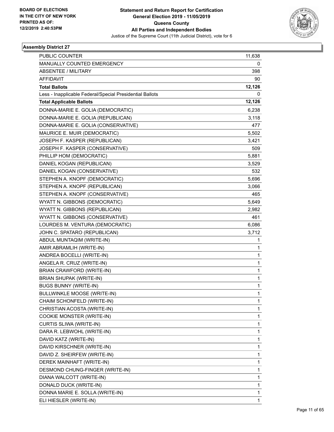

| <b>PUBLIC COUNTER</b>                                    | 11,638       |
|----------------------------------------------------------|--------------|
| MANUALLY COUNTED EMERGENCY                               | 0            |
| <b>ABSENTEE / MILITARY</b>                               | 398          |
| <b>AFFIDAVIT</b>                                         | 90           |
| <b>Total Ballots</b>                                     | 12,126       |
| Less - Inapplicable Federal/Special Presidential Ballots | 0            |
| <b>Total Applicable Ballots</b>                          | 12,126       |
| DONNA-MARIE E. GOLIA (DEMOCRATIC)                        | 6,238        |
| DONNA-MARIE E. GOLIA (REPUBLICAN)                        | 3,118        |
| DONNA-MARIE E. GOLIA (CONSERVATIVE)                      | 477          |
| MAURICE E. MUIR (DEMOCRATIC)                             | 5,502        |
| JOSEPH F. KASPER (REPUBLICAN)                            | 3,421        |
| JOSEPH F. KASPER (CONSERVATIVE)                          | 509          |
| PHILLIP HOM (DEMOCRATIC)                                 | 5,881        |
| DANIEL KOGAN (REPUBLICAN)                                | 3,529        |
| DANIEL KOGAN (CONSERVATIVE)                              | 532          |
| STEPHEN A. KNOPF (DEMOCRATIC)                            | 5,696        |
| STEPHEN A. KNOPF (REPUBLICAN)                            | 3,066        |
| STEPHEN A. KNOPF (CONSERVATIVE)                          | 465          |
| WYATT N. GIBBONS (DEMOCRATIC)                            | 5,649        |
| WYATT N. GIBBONS (REPUBLICAN)                            | 2,982        |
| WYATT N. GIBBONS (CONSERVATIVE)                          | 461          |
| LOURDES M. VENTURA (DEMOCRATIC)                          | 6,086        |
| JOHN C. SPATARO (REPUBLICAN)                             | 3,712        |
| ABDUL MUNTAQIM (WRITE-IN)                                | 1            |
| AMIR ABRAMLIH (WRITE-IN)                                 | 1            |
| ANDREA BOCELLI (WRITE-IN)                                | 1            |
| ANGELA R. CRUZ (WRITE-IN)                                | 1            |
| <b>BRIAN CRAWFORD (WRITE-IN)</b>                         | 1            |
| <b>BRIAN SHUPAK (WRITE-IN)</b>                           | 1            |
| <b>BUGS BUNNY (WRITE-IN)</b>                             | $\mathbf{1}$ |
| BULLWINKLE MOOSE (WRITE-IN)                              | 1            |
| CHAIM SCHONFELD (WRITE-IN)                               | 1            |
| CHRISTIAN ACOSTA (WRITE-IN)                              | 1            |
| COOKIE MONSTER (WRITE-IN)                                | 1            |
| CURTIS SLIWA (WRITE-IN)                                  | 1            |
| DARA R. LEBWOHL (WRITE-IN)                               | 1            |
| DAVID KATZ (WRITE-IN)                                    | 1            |
| DAVID KIRSCHNER (WRITE-IN)                               | 1            |
| DAVID Z. SHEIRFEW (WRITE-IN)                             | 1            |
| DEREK MAINHAFT (WRITE-IN)                                | 1            |
| DESMOND CHUNG-FINGER (WRITE-IN)                          | 1            |
| DIANA WALCOTT (WRITE-IN)                                 | 1            |
| DONALD DUCK (WRITE-IN)                                   | 1            |
| DONNA MARIE E. SOLLA (WRITE-IN)                          | 1            |
| ELI HIESLER (WRITE-IN)                                   | $\mathbf{1}$ |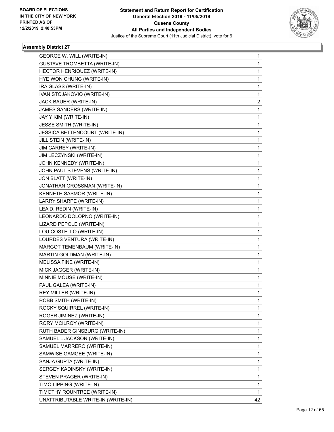

| <b>GEORGE W. WILL (WRITE-IN)</b>    | 1            |
|-------------------------------------|--------------|
| <b>GUSTAVE TROMBETTA (WRITE-IN)</b> | 1            |
| HECTOR HENRIQUEZ (WRITE-IN)         | 1            |
| HYE WON CHUNG (WRITE-IN)            | $\mathbf{1}$ |
| IRA GLASS (WRITE-IN)                | 1            |
| IVAN STOJAKOVIO (WRITE-IN)          | 1            |
| JACK BAUER (WRITE-IN)               | 2            |
| JAMES SANDERS (WRITE-IN)            | 1            |
| JAY Y KIM (WRITE-IN)                | 1            |
| JESSE SMITH (WRITE-IN)              | $\mathbf{1}$ |
| JESSICA BETTENCOURT (WRITE-IN)      | 1            |
| JILL STEIN (WRITE-IN)               | 1            |
| JIM CARREY (WRITE-IN)               | $\mathbf{1}$ |
| JIM LECZYNSKI (WRITE-IN)            | 1            |
| JOHN KENNEDY (WRITE-IN)             | 1            |
| JOHN PAUL STEVENS (WRITE-IN)        | $\mathbf{1}$ |
| JON BLATT (WRITE-IN)                | 1            |
| JONATHAN GROSSMAN (WRITE-IN)        | 1            |
| KENNETH SASMOR (WRITE-IN)           | $\mathbf{1}$ |
| LARRY SHARPE (WRITE-IN)             | 1            |
| LEA D. REDIN (WRITE-IN)             | 1            |
| LEONARDO DOLOPNO (WRITE-IN)         | $\mathbf{1}$ |
| LIZARD PEPOLE (WRITE-IN)            | 1            |
| LOU COSTELLO (WRITE-IN)             | 1            |
| LOURDES VENTURA (WRITE-IN)          | $\mathbf{1}$ |
| MARGOT TEMENBAUM (WRITE-IN)         | 1            |
| MARTIN GOLDMAN (WRITE-IN)           | 1            |
| MELISSA FINE (WRITE-IN)             | $\mathbf{1}$ |
| MICK JAGGER (WRITE-IN)              | 1            |
| MINNIE MOUSE (WRITE-IN)             | 1            |
| PAUL GALEA (WRITE-IN)               | $\mathbf{1}$ |
| REY MILLER (WRITE-IN)               | 1            |
| ROBB SMITH (WRITE-IN)               | 1            |
| ROCKY SQUIRREL (WRITE-IN)           | $\mathbf{1}$ |
| ROGER JIMINEZ (WRITE-IN)            | 1            |
| RORY MCILROY (WRITE-IN)             | 1            |
| RUTH BADER GINSBURG (WRITE-IN)      | $\mathbf{1}$ |
| SAMUEL L JACKSON (WRITE-IN)         | 1            |
| SAMUEL MARRERO (WRITE-IN)           | 1            |
| SAMWISE GAMGEE (WRITE-IN)           | $\mathbf{1}$ |
| SANJA GUPTA (WRITE-IN)              | 1            |
| SERGEY KADINSKY (WRITE-IN)          | 1            |
| STEVEN PRAGER (WRITE-IN)            | $\mathbf{1}$ |
| TIMO LIPPING (WRITE-IN)             | 1            |
| TIMOTHY ROUNTREE (WRITE-IN)         | 1            |
| UNATTRIBUTABLE WRITE-IN (WRITE-IN)  | 42           |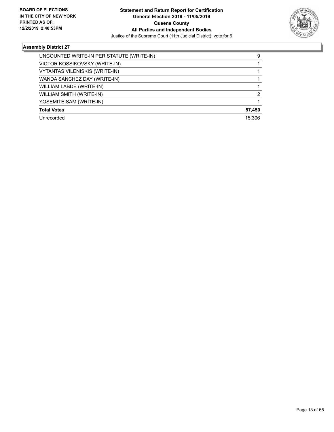

| UNCOUNTED WRITE-IN PER STATUTE (WRITE-IN) | 9      |
|-------------------------------------------|--------|
| VICTOR KOSSIKOVSKY (WRITE-IN)             |        |
| <b>VYTANTAS VILENISKIS (WRITE-IN)</b>     |        |
| WANDA SANCHEZ DAY (WRITE-IN)              |        |
| WILLIAM LABDE (WRITE-IN)                  |        |
| WILLIAM SMITH (WRITE-IN)                  | 2      |
| YOSEMITE SAM (WRITE-IN)                   |        |
| <b>Total Votes</b>                        | 57,450 |
| Unrecorded                                | 15.306 |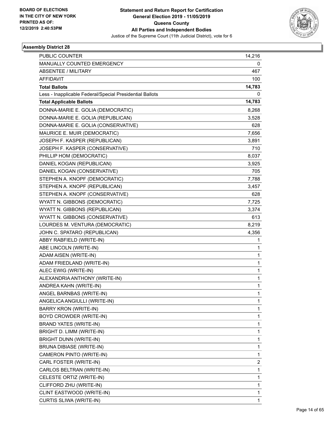

| PUBLIC COUNTER                                           | 14,216                  |
|----------------------------------------------------------|-------------------------|
| MANUALLY COUNTED EMERGENCY                               | 0                       |
| <b>ABSENTEE / MILITARY</b>                               | 467                     |
| <b>AFFIDAVIT</b>                                         | 100                     |
| <b>Total Ballots</b>                                     | 14,783                  |
| Less - Inapplicable Federal/Special Presidential Ballots | 0                       |
| <b>Total Applicable Ballots</b>                          | 14,783                  |
| DONNA-MARIE E. GOLIA (DEMOCRATIC)                        | 8,268                   |
| DONNA-MARIE E. GOLIA (REPUBLICAN)                        | 3,528                   |
| DONNA-MARIE E. GOLIA (CONSERVATIVE)                      | 628                     |
| MAURICE E. MUIR (DEMOCRATIC)                             | 7,656                   |
| JOSEPH F. KASPER (REPUBLICAN)                            | 3,891                   |
| JOSEPH F. KASPER (CONSERVATIVE)                          | 710                     |
| PHILLIP HOM (DEMOCRATIC)                                 | 8,037                   |
| DANIEL KOGAN (REPUBLICAN)                                | 3,925                   |
| DANIEL KOGAN (CONSERVATIVE)                              | 705                     |
| STEPHEN A. KNOPF (DEMOCRATIC)                            | 7,788                   |
| STEPHEN A. KNOPF (REPUBLICAN)                            | 3,457                   |
| STEPHEN A. KNOPF (CONSERVATIVE)                          | 628                     |
| WYATT N. GIBBONS (DEMOCRATIC)                            | 7,725                   |
| WYATT N. GIBBONS (REPUBLICAN)                            | 3,374                   |
| WYATT N. GIBBONS (CONSERVATIVE)                          | 613                     |
| LOURDES M. VENTURA (DEMOCRATIC)                          | 8,219                   |
| JOHN C. SPATARO (REPUBLICAN)                             | 4,356                   |
| ABBY RABFIELD (WRITE-IN)                                 | 1                       |
| ABE LINCOLN (WRITE-IN)                                   | 1                       |
| ADAM AISEN (WRITE-IN)                                    | 1                       |
| ADAM FRIEDLAND (WRITE-IN)                                | 1                       |
| ALEC EWIG (WRITE-IN)                                     | 1                       |
| ALEXANDRIA ANTHONY (WRITE-IN)                            | 1                       |
| ANDREA KAHN (WRITE-IN)                                   | 1                       |
| ANGEL BARNBAS (WRITE-IN)                                 | 1                       |
| ANGELICA ANGIULLI (WRITE-IN)                             | 1                       |
| <b>BARRY KRON (WRITE-IN)</b>                             | 1                       |
| BOYD CROWDER (WRITE-IN)                                  | 1                       |
| <b>BRAND YATES (WRITE-IN)</b>                            | 1                       |
| BRIGHT D. LIMM (WRITE-IN)                                | 1                       |
| <b>BRIGHT DUNN (WRITE-IN)</b>                            | 1                       |
| <b>BRUNA DIBIASE (WRITE-IN)</b>                          | 1                       |
| CAMERON PINTO (WRITE-IN)                                 | 1                       |
| CARL FOSTER (WRITE-IN)                                   | $\overline{\mathbf{c}}$ |
| CARLOS BELTRAN (WRITE-IN)                                | 1                       |
| CELESTE ORTIZ (WRITE-IN)                                 | 1                       |
| CLIFFORD ZHU (WRITE-IN)                                  | 1                       |
| CLINT EASTWOOD (WRITE-IN)                                | 1                       |
| CURTIS SLIWA (WRITE-IN)                                  | 1                       |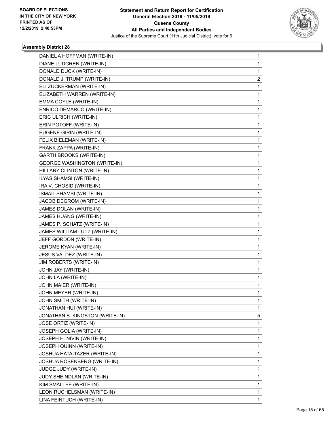

| DANIEL A HOFFMAN (WRITE-IN)         | 1 |
|-------------------------------------|---|
| DIANE LUDGREN (WRITE-IN)            | 1 |
| DONALD DUCK (WRITE-IN)              | 1 |
| DONALD J. TRUMP (WRITE-IN)          | 2 |
| ELI ZUCKERMAN (WRITE-IN)            | 1 |
| ELIZABETH WARREN (WRITE-IN)         | 1 |
| EMMA COYLE (WRITE-IN)               | 1 |
| ENRICO DEMARCO (WRITE-IN)           | 1 |
| ERIC ULRICH (WRITE-IN)              | 1 |
| ERIN POTOFF (WRITE-IN)              | 1 |
| EUGENE GIRIN (WRITE-IN)             | 1 |
| FELIX BIELEMAN (WRITE-IN)           | 1 |
| FRANK ZAPPA (WRITE-IN)              | 1 |
| <b>GARTH BROOKS (WRITE-IN)</b>      | 1 |
| <b>GEORGE WASHINGTON (WRITE-IN)</b> | 1 |
| HILLARY CLINTON (WRITE-IN)          | 1 |
| ILYAS SHAMSI (WRITE-IN)             | 1 |
| IRA V. CHOSID (WRITE-IN)            | 1 |
| <b>ISMAIL SHAMSI (WRITE-IN)</b>     | 1 |
| JACOB DEGROM (WRITE-IN)             | 1 |
| JAMES DOLAN (WRITE-IN)              | 1 |
| JAMES HUANG (WRITE-IN)              | 1 |
| JAMES P. SCHATZ (WRITE-IN)          | 1 |
| JAMES WILLIAM LUTZ (WRITE-IN)       | 1 |
| JEFF GORDON (WRITE-IN)              | 1 |
| JEROME KYAN (WRITE-IN)              | 1 |
| JESUS VALDEZ (WRITE-IN)             | 1 |
| JIM ROBERTS (WRITE-IN)              | 1 |
| JOHN JAY (WRITE-IN)                 | 1 |
| JOHN LA (WRITE-IN)                  | 1 |
| JOHN MAIER (WRITE-IN)               | 1 |
| JOHN MEYER (WRITE-IN)               | 1 |
| JOHN SMITH (WRITE-IN)               | 1 |
| JONATHAN HUI (WRITE-IN)             | 1 |
| JONATHAN S. KINGSTON (WRITE-IN)     | 5 |
| JOSE ORTIZ (WRITE-IN)               | 1 |
| JOSEPH GOLIA (WRITE-IN)             | 1 |
| JOSEPH H. NIVIN (WRITE-IN)          | 1 |
| JOSEPH QUINN (WRITE-IN)             | 1 |
| JOSHUA HATA-TAZER (WRITE-IN)        | 1 |
| JOSHUA ROSENBERG (WRITE-IN)         | 1 |
| JUDGE JUDY (WRITE-IN)               | 1 |
| JUDY SHEINDLAN (WRITE-IN)           | 1 |
| KIM SMALLEE (WRITE-IN)              | 1 |
| LEON RUCHELSMAN (WRITE-IN)          | 1 |
| LINA FEINTUCH (WRITE-IN)            | 1 |
|                                     |   |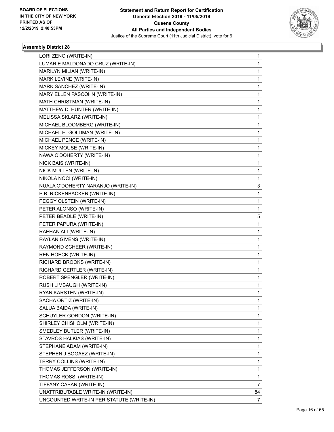

| 1  |
|----|
| 1  |
| 1  |
| 1  |
| 1  |
| 1  |
| 1  |
| 1  |
| 1  |
| 1  |
| 1  |
| 1  |
| 1  |
| 1  |
| 1  |
| 1  |
| 1  |
| 3  |
| 1  |
| 1  |
| 1  |
| 5  |
| 1  |
| 1  |
| 1  |
| 1  |
| 1  |
| 1  |
| 1  |
| 1  |
| 1  |
| 1  |
| 1  |
| 1  |
| 1  |
| 1  |
| 1  |
| 1  |
| 1  |
| 1  |
| 1  |
| 1  |
| 1  |
| 7  |
| 84 |
| 7  |
|    |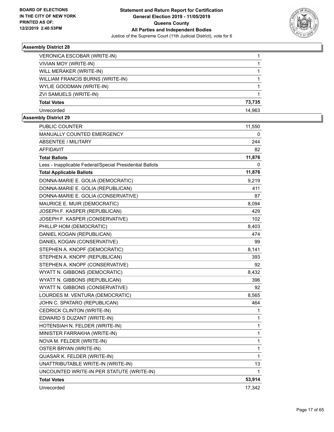

| VERONICA ESCOBAR (WRITE-IN)      |        |
|----------------------------------|--------|
| VIVIAN MOY (WRITE-IN)            |        |
| WILL MERAKER (WRITE-IN)          |        |
| WILLIAM FRANCIS BURNS (WRITE-IN) |        |
| WYLIE GOODMAN (WRITE-IN)         |        |
| ZVI SAMUELS (WRITE-IN)           |        |
| <b>Total Votes</b>               | 73,735 |
| Unrecorded                       | 14.963 |

| <b>PUBLIC COUNTER</b>                                    | 11,550       |
|----------------------------------------------------------|--------------|
| <b>MANUALLY COUNTED EMERGENCY</b>                        | 0            |
| ABSENTEE / MILITARY                                      | 244          |
| <b>AFFIDAVIT</b>                                         | 82           |
| <b>Total Ballots</b>                                     | 11,876       |
| Less - Inapplicable Federal/Special Presidential Ballots | 0            |
| <b>Total Applicable Ballots</b>                          | 11,876       |
| DONNA-MARIE E. GOLIA (DEMOCRATIC)                        | 9,219        |
| DONNA-MARIE E. GOLIA (REPUBLICAN)                        | 411          |
| DONNA-MARIE E. GOLIA (CONSERVATIVE)                      | 87           |
| MAURICE E. MUIR (DEMOCRATIC)                             | 8,094        |
| JOSEPH F. KASPER (REPUBLICAN)                            | 429          |
| JOSEPH F. KASPER (CONSERVATIVE)                          | 102          |
| PHILLIP HOM (DEMOCRATIC)                                 | 8,403        |
| DANIEL KOGAN (REPUBLICAN)                                | 474          |
| DANIEL KOGAN (CONSERVATIVE)                              | 99           |
| STEPHEN A. KNOPF (DEMOCRATIC)                            | 8,141        |
| STEPHEN A. KNOPF (REPUBLICAN)                            | 393          |
| STEPHEN A. KNOPF (CONSERVATIVE)                          | 92           |
| WYATT N. GIBBONS (DEMOCRATIC)                            | 8,432        |
| WYATT N. GIBBONS (REPUBLICAN)                            | 396          |
| WYATT N. GIBBONS (CONSERVATIVE)                          | 92           |
| LOURDES M. VENTURA (DEMOCRATIC)                          | 8,565        |
| JOHN C. SPATARO (REPUBLICAN)                             | 464          |
| <b>CEDRICK CLINTON (WRITE-IN)</b>                        | 1            |
| EDWARD S DUZANT (WRITE-IN)                               | 1            |
| HOTENSIAH N. FELDER (WRITE-IN)                           | $\mathbf{1}$ |
| MINISTER FARRAKHA (WRITE-IN)                             | $\mathbf{1}$ |
| NOVA M. FELDER (WRITE-IN)                                | $\mathbf 1$  |
| OSTER BRYAN (WRITE-IN)                                   | $\mathbf{1}$ |
| QUASAR K. FELDER (WRITE-IN)                              | 1            |
| UNATTRIBUTABLE WRITE-IN (WRITE-IN)                       | 13           |
| UNCOUNTED WRITE-IN PER STATUTE (WRITE-IN)                | $\mathbf 1$  |
| <b>Total Votes</b>                                       | 53,914       |
| Unrecorded                                               | 17,342       |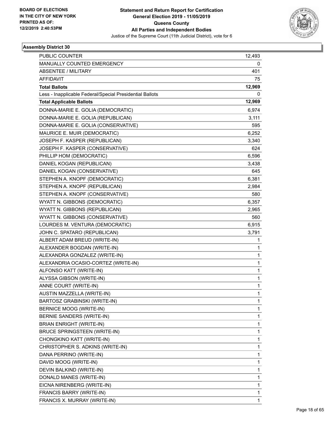

| PUBLIC COUNTER                                           | 12,493       |
|----------------------------------------------------------|--------------|
| MANUALLY COUNTED EMERGENCY                               | 0            |
| <b>ABSENTEE / MILITARY</b>                               | 401          |
| <b>AFFIDAVIT</b>                                         | 75           |
| <b>Total Ballots</b>                                     | 12,969       |
| Less - Inapplicable Federal/Special Presidential Ballots | 0            |
| <b>Total Applicable Ballots</b>                          | 12,969       |
| DONNA-MARIE E. GOLIA (DEMOCRATIC)                        | 6,974        |
| DONNA-MARIE E. GOLIA (REPUBLICAN)                        | 3,111        |
| DONNA-MARIE E. GOLIA (CONSERVATIVE)                      | 595          |
| MAURICE E. MUIR (DEMOCRATIC)                             | 6,252        |
| JOSEPH F. KASPER (REPUBLICAN)                            | 3,340        |
| JOSEPH F. KASPER (CONSERVATIVE)                          | 624          |
| PHILLIP HOM (DEMOCRATIC)                                 | 6,596        |
| DANIEL KOGAN (REPUBLICAN)                                | 3,438        |
| DANIEL KOGAN (CONSERVATIVE)                              | 645          |
| STEPHEN A. KNOPF (DEMOCRATIC)                            | 6,381        |
| STEPHEN A. KNOPF (REPUBLICAN)                            | 2,984        |
| STEPHEN A. KNOPF (CONSERVATIVE)                          | 580          |
| WYATT N. GIBBONS (DEMOCRATIC)                            | 6,357        |
| WYATT N. GIBBONS (REPUBLICAN)                            | 2,965        |
| WYATT N. GIBBONS (CONSERVATIVE)                          | 560          |
| LOURDES M. VENTURA (DEMOCRATIC)                          | 6,915        |
| JOHN C. SPATARO (REPUBLICAN)                             | 3,791        |
| ALBERT ADAM BREUD (WRITE-IN)                             | 1            |
| ALEXANDER BOGDAN (WRITE-IN)                              | $\mathbf{1}$ |
| ALEXANDRA GONZALEZ (WRITE-IN)                            | 1            |
| ALEXANDRIA OCASIO-CORTEZ (WRITE-IN)                      | $\mathbf 1$  |
| ALFONSO KATT (WRITE-IN)                                  | $\mathbf{1}$ |
| ALYSSA GIBSON (WRITE-IN)                                 | 1            |
| ANNE COURT (WRITE-IN)                                    | $\mathbf{1}$ |
| AUSTIN MAZZELLA (WRITE-IN)                               | 1            |
| BARTOSZ GRABINSKI (WRITE-IN)                             | 1            |
| <b>BERNICE MOOG (WRITE-IN)</b>                           | 1            |
| BERNIE SANDERS (WRITE-IN)                                | $\mathbf{1}$ |
| <b>BRIAN ENRIGHT (WRITE-IN)</b>                          | 1            |
| BRUCE SPRINGSTEEN (WRITE-IN)                             | $\mathbf 1$  |
| CHONGKINO KATT (WRITE-IN)                                | $\mathbf{1}$ |
| CHRISTOPHER S. ADKINS (WRITE-IN)                         | 1            |
| DANA PERRINO (WRITE-IN)                                  | $\mathbf 1$  |
| DAVID MOOG (WRITE-IN)                                    | $\mathbf{1}$ |
| DEVIN BALKIND (WRITE-IN)                                 | 1            |
| DONALD MANES (WRITE-IN)                                  | $\mathbf 1$  |
| EICNA NIRENBERG (WRITE-IN)                               | $\mathbf{1}$ |
| FRANCIS BARRY (WRITE-IN)                                 | 1            |
| FRANCIS X. MURRAY (WRITE-IN)                             | $\mathbf{1}$ |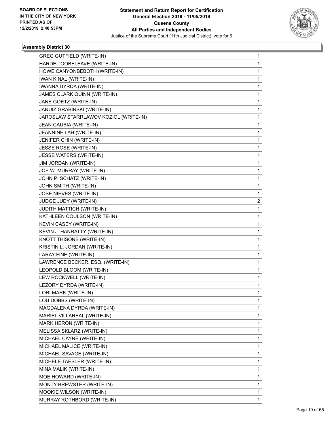

| <b>GREG GUTFIELD (WRITE-IN)</b>       | 1 |
|---------------------------------------|---|
| HARDE TOOBELEAVE (WRITE-IN)           | 1 |
| HOWE CANYONBEBOTH (WRITE-IN)          | 1 |
| <b>IWAN KINAL (WRITE-IN)</b>          | 1 |
| IWANNA DYRDA (WRITE-IN)               | 1 |
| JAMES CLARK QUINN (WRITE-IN)          | 1 |
| JANE GOETZ (WRITE-IN)                 | 1 |
| JANUIZ GRABINSKI (WRITE-IN)           | 1 |
| JAROSLAW STARRLAWOV KOZIOL (WRITE-IN) | 1 |
| JEAN CAUBIA (WRITE-IN)                | 1 |
| JEANNINE LAH (WRITE-IN)               | 1 |
| JENIFER CHIN (WRITE-IN)               | 1 |
| JESSE ROSE (WRITE-IN)                 | 1 |
| JESSE WATERS (WRITE-IN)               | 1 |
| JIM JORDAN (WRITE-IN)                 | 1 |
| JOE W. MURRAY (WRITE-IN)              | 1 |
| JOHN P. SCHATZ (WRITE-IN)             | 1 |
| JOHN SMITH (WRITE-IN)                 | 1 |
| JOSE NIEVES (WRITE-IN)                | 1 |
| JUDGE JUDY (WRITE-IN)                 | 2 |
| JUDITH MATTICH (WRITE-IN)             | 1 |
| KATHLEEN COULSON (WRITE-IN)           | 1 |
| KEVIN CASEY (WRITE-IN)                | 1 |
| KEVIN J. HANRATTY (WRITE-IN)          | 1 |
| KNOTT THISONE (WRITE-IN)              | 1 |
| KRISTIN L. JORDAN (WRITE-IN)          | 1 |
| LARAY FINE (WRITE-IN)                 | 1 |
| LAWRENCE BECKER, ESQ. (WRITE-IN)      | 1 |
| LEOPOLD BLOOM (WRITE-IN)              | 1 |
| LEW ROCKWELL (WRITE-IN)               | 1 |
| LEZORY DYRDA (WRITE-IN)               | 1 |
| LORI MARK (WRITE-IN)                  | 1 |
| LOU DOBBS (WRITE-IN)                  | 1 |
| MAGDALENA DYRDA (WRITE-IN)            | 1 |
| MARIEL VILLAREAL (WRITE-IN)           | 1 |
| MARK HERON (WRITE-IN)                 | 1 |
| MELISSA SKLARZ (WRITE-IN)             | 1 |
| MICHAEL CAYNE (WRITE-IN)              | 1 |
| MICHAEL MALICE (WRITE-IN)             | 1 |
| MICHAEL SAVAGE (WRITE-IN)             | 1 |
| MICHELE TAESLER (WRITE-IN)            | 1 |
| MINA MALIK (WRITE-IN)                 | 1 |
| MOE HOWARD (WRITE-IN)                 | 1 |
| MONTY BREWSTER (WRITE-IN)             | 1 |
| MOOKIE WILSON (WRITE-IN)              | 1 |
| MURRAY ROTHBORD (WRITE-IN)            | 1 |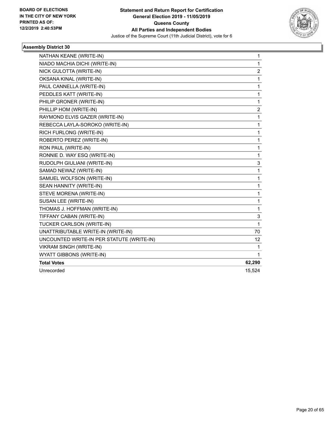

| NATHAN KEANE (WRITE-IN)                   | 1              |
|-------------------------------------------|----------------|
| NIADO MACHIA DICHI (WRITE-IN)             | $\mathbf{1}$   |
| NICK GULOTTA (WRITE-IN)                   | $\overline{c}$ |
| OKSANA KINAL (WRITE-IN)                   | 1              |
| PAUL CANNELLA (WRITE-IN)                  | $\mathbf{1}$   |
| PEDDLES KATT (WRITE-IN)                   | 1              |
| PHILIP GRONER (WRITE-IN)                  | 1              |
| PHILLIP HOM (WRITE-IN)                    | $\overline{c}$ |
| RAYMOND ELVIS GAZER (WRITE-IN)            | $\mathbf 1$    |
| REBECCA LAYLA-SOROKO (WRITE-IN)           | 1              |
| RICH FURLONG (WRITE-IN)                   | 1              |
| ROBERTO PEREZ (WRITE-IN)                  | 1              |
| RON PAUL (WRITE-IN)                       | $\mathbf{1}$   |
| RONNIE D. WAY ESQ (WRITE-IN)              | 1              |
| RUDOLPH GIULIANI (WRITE-IN)               | 3              |
| SAMAD NEWAZ (WRITE-IN)                    | 1              |
| SAMUEL WOLFSON (WRITE-IN)                 | 1              |
| SEAN HANNITY (WRITE-IN)                   | $\mathbf{1}$   |
| STEVE MORENA (WRITE-IN)                   | 1              |
| SUSAN LEE (WRITE-IN)                      | 1              |
| THOMAS J. HOFFMAN (WRITE-IN)              | 1              |
| TIFFANY CABAN (WRITE-IN)                  | 3              |
| TUCKER CARLSON (WRITE-IN)                 | $\mathbf{1}$   |
| UNATTRIBUTABLE WRITE-IN (WRITE-IN)        | 70             |
| UNCOUNTED WRITE-IN PER STATUTE (WRITE-IN) | 12             |
| <b>VIKRAM SINGH (WRITE-IN)</b>            | 1              |
| <b>WYATT GIBBONS (WRITE-IN)</b>           | $\mathbf{1}$   |
| <b>Total Votes</b>                        | 62,290         |
| Unrecorded                                | 15,524         |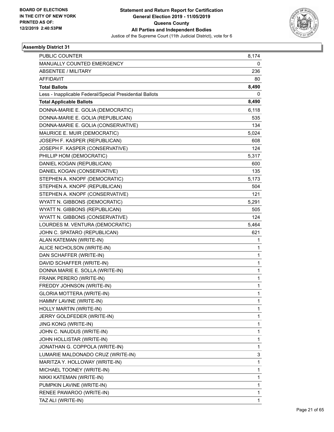

| <b>PUBLIC COUNTER</b>                                    | 8,174 |
|----------------------------------------------------------|-------|
| MANUALLY COUNTED EMERGENCY                               | 0     |
| <b>ABSENTEE / MILITARY</b>                               | 236   |
| <b>AFFIDAVIT</b>                                         | 80    |
| <b>Total Ballots</b>                                     | 8,490 |
| Less - Inapplicable Federal/Special Presidential Ballots | 0     |
| <b>Total Applicable Ballots</b>                          | 8,490 |
| DONNA-MARIE E. GOLIA (DEMOCRATIC)                        | 6,118 |
| DONNA-MARIE E. GOLIA (REPUBLICAN)                        | 535   |
| DONNA-MARIE E. GOLIA (CONSERVATIVE)                      | 134   |
| MAURICE E. MUIR (DEMOCRATIC)                             | 5,024 |
| JOSEPH F. KASPER (REPUBLICAN)                            | 608   |
| JOSEPH F. KASPER (CONSERVATIVE)                          | 124   |
| PHILLIP HOM (DEMOCRATIC)                                 | 5,317 |
| DANIEL KOGAN (REPUBLICAN)                                | 600   |
| DANIEL KOGAN (CONSERVATIVE)                              | 135   |
| STEPHEN A. KNOPF (DEMOCRATIC)                            | 5,173 |
| STEPHEN A. KNOPF (REPUBLICAN)                            | 504   |
| STEPHEN A. KNOPF (CONSERVATIVE)                          | 121   |
| WYATT N. GIBBONS (DEMOCRATIC)                            | 5,291 |
| WYATT N. GIBBONS (REPUBLICAN)                            | 505   |
| WYATT N. GIBBONS (CONSERVATIVE)                          | 124   |
| LOURDES M. VENTURA (DEMOCRATIC)                          | 5,464 |
| JOHN C. SPATARO (REPUBLICAN)                             | 621   |
| ALAN KATEMAN (WRITE-IN)                                  | 1     |
| ALICE NICHOLSON (WRITE-IN)                               | 1     |
| DAN SCHAFFER (WRITE-IN)                                  | 1     |
| DAVID SCHAFFER (WRITE-IN)                                | 1     |
| DONNA MARIE E. SOLLA (WRITE-IN)                          | 1     |
| FRANK PERERO (WRITE-IN)                                  | 1     |
| FREDDY JOHNSON (WRITE-IN)                                | 1     |
| GLORIA MOTTERA (WRITE-IN)                                | 1     |
| HAMMY LAVINE (WRITE-IN)                                  | 1     |
| HOLLY MARTIN (WRITE-IN)                                  | 1     |
| JERRY GOLDFEDER (WRITE-IN)                               | 1     |
| <b>JING KONG (WRITE-IN)</b>                              | 1     |
| JOHN C. NAUDUS (WRITE-IN)                                | 1     |
| JOHN HOLLISTAR (WRITE-IN)                                | 1     |
| JONATHAN G. COPPOLA (WRITE-IN)                           | 1     |
| LUMARIE MALDONADO CRUZ (WRITE-IN)                        | 3     |
| MARITZA Y. HOLLOWAY (WRITE-IN)                           | 1     |
| MICHAEL TOONEY (WRITE-IN)                                | 1     |
| NIKKI KATEMAN (WRITE-IN)                                 | 1     |
| PUMPKIN LAVINE (WRITE-IN)                                | 1     |
| RENEE PAWAROO (WRITE-IN)                                 | 1     |
| TAZ ALI (WRITE-IN)                                       | 1     |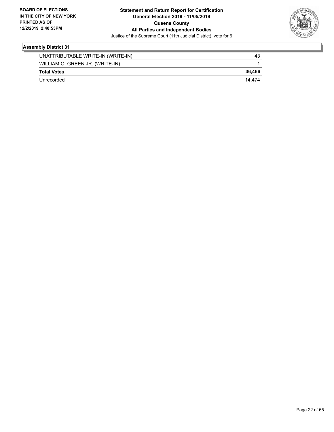

| Unrecorded                         | 14.474 |
|------------------------------------|--------|
| <b>Total Votes</b>                 | 36.466 |
| WILLIAM O. GREEN JR. (WRITE-IN)    |        |
| UNATTRIBUTABLE WRITE-IN (WRITE-IN) | 43     |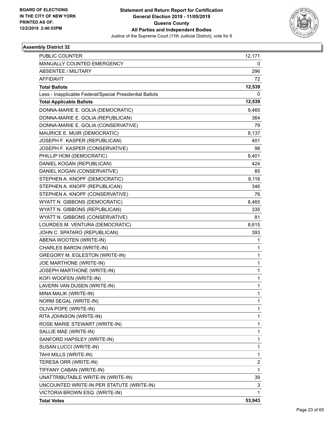

| <b>PUBLIC COUNTER</b>                                    | 12,171                  |
|----------------------------------------------------------|-------------------------|
| MANUALLY COUNTED EMERGENCY                               | 0                       |
| <b>ABSENTEE / MILITARY</b>                               | 296                     |
| <b>AFFIDAVIT</b>                                         | 72                      |
| <b>Total Ballots</b>                                     | 12,539                  |
| Less - Inapplicable Federal/Special Presidential Ballots | 0                       |
| <b>Total Applicable Ballots</b>                          | 12,539                  |
| DONNA-MARIE E. GOLIA (DEMOCRATIC)                        | 9,465                   |
| DONNA-MARIE E. GOLIA (REPUBLICAN)                        | 364                     |
| DONNA-MARIE E. GOLIA (CONSERVATIVE)                      | 79                      |
| MAURICE E. MUIR (DEMOCRATIC)                             | 8,137                   |
| JOSEPH F. KASPER (REPUBLICAN)                            | 401                     |
| JOSEPH F. KASPER (CONSERVATIVE)                          | 98                      |
| PHILLIP HOM (DEMOCRATIC)                                 | 8,401                   |
| DANIEL KOGAN (REPUBLICAN)                                | 424                     |
| DANIEL KOGAN (CONSERVATIVE)                              | 85                      |
| STEPHEN A. KNOPF (DEMOCRATIC)                            | 8,116                   |
| STEPHEN A. KNOPF (REPUBLICAN)                            | 346                     |
| STEPHEN A. KNOPF (CONSERVATIVE)                          | 76                      |
| WYATT N. GIBBONS (DEMOCRATIC)                            | 8,465                   |
| WYATT N. GIBBONS (REPUBLICAN)                            | 335                     |
| WYATT N. GIBBONS (CONSERVATIVE)                          | 81                      |
| LOURDES M. VENTURA (DEMOCRATIC)                          | 8,615                   |
| JOHN C. SPATARO (REPUBLICAN)                             | 393                     |
| ABENA WOOTEN (WRITE-IN)                                  | 1                       |
| CHARLES BARON (WRITE-IN)                                 | 1                       |
| GREGORY M. EGLESTON (WRITE-IN)                           | 1                       |
| JOE MARTHONE (WRITE-IN)                                  | 1                       |
| JOSEPH MARTHONE (WRITE-IN)                               | $\mathbf{1}$            |
| KOFI WOOFEN (WRITE-IN)                                   | 1                       |
| LAVERN VAN DUSEN (WRITE-IN)                              | $\mathbf{1}$            |
| MINA MALIK (WRITE-IN)                                    | 1                       |
| NORM SEGAL (WRITE-IN)                                    | 1                       |
| OLIVA POPE (WRITE-IN)                                    | 1                       |
| RITA JOHNSON (WRITE-IN)                                  | 1                       |
| ROSE MARIE STEWART (WRITE-IN)                            | 1                       |
| SALLIE MAE (WRITE-IN)                                    | 1                       |
| SANFORD HAPSLEY (WRITE-IN)                               | 1                       |
| SUSAN LUCCI (WRITE-IN)                                   | 1                       |
| TAHI MILLS (WRITE-IN)                                    | 1                       |
| TERESA ORR (WRITE-IN)                                    | $\overline{\mathbf{c}}$ |
| TIFFANY CABAN (WRITE-IN)                                 | 1                       |
| UNATTRIBUTABLE WRITE-IN (WRITE-IN)                       | 39                      |
| UNCOUNTED WRITE-IN PER STATUTE (WRITE-IN)                | 3                       |
| VICTORIA BROWN ESQ. (WRITE-IN)                           | 1                       |
| <b>Total Votes</b>                                       | 53,943                  |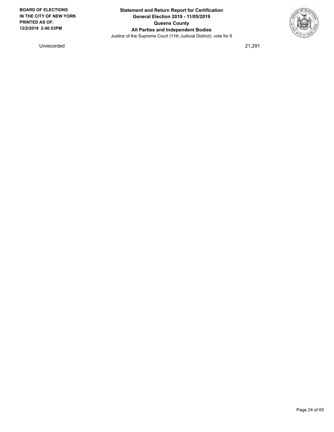

Unrecorded 21,291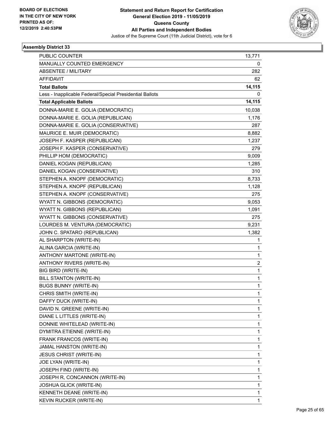

| PUBLIC COUNTER                                           | 13,771                  |
|----------------------------------------------------------|-------------------------|
| MANUALLY COUNTED EMERGENCY                               | 0                       |
| <b>ABSENTEE / MILITARY</b>                               | 282                     |
| <b>AFFIDAVIT</b>                                         | 62                      |
| <b>Total Ballots</b>                                     | 14,115                  |
| Less - Inapplicable Federal/Special Presidential Ballots | 0                       |
| <b>Total Applicable Ballots</b>                          | 14,115                  |
| DONNA-MARIE E. GOLIA (DEMOCRATIC)                        | 10,038                  |
| DONNA-MARIE E. GOLIA (REPUBLICAN)                        | 1,176                   |
| DONNA-MARIE E. GOLIA (CONSERVATIVE)                      | 287                     |
| MAURICE E. MUIR (DEMOCRATIC)                             | 8,882                   |
| JOSEPH F. KASPER (REPUBLICAN)                            | 1,237                   |
| JOSEPH F. KASPER (CONSERVATIVE)                          | 279                     |
| PHILLIP HOM (DEMOCRATIC)                                 | 9,009                   |
| DANIEL KOGAN (REPUBLICAN)                                | 1,285                   |
| DANIEL KOGAN (CONSERVATIVE)                              | 310                     |
| STEPHEN A. KNOPF (DEMOCRATIC)                            | 8,733                   |
| STEPHEN A. KNOPF (REPUBLICAN)                            | 1,128                   |
| STEPHEN A. KNOPF (CONSERVATIVE)                          | 275                     |
| WYATT N. GIBBONS (DEMOCRATIC)                            | 9,053                   |
| WYATT N. GIBBONS (REPUBLICAN)                            | 1,091                   |
| WYATT N. GIBBONS (CONSERVATIVE)                          | 275                     |
| LOURDES M. VENTURA (DEMOCRATIC)                          | 9,231                   |
| JOHN C. SPATARO (REPUBLICAN)                             | 1,382                   |
| AL SHARPTON (WRITE-IN)                                   | 1                       |
| ALINA GARCIA (WRITE-IN)                                  | $\mathbf{1}$            |
| ANTHONY MARTONE (WRITE-IN)                               | 1                       |
| ANTHONY RIVERS (WRITE-IN)                                | $\overline{\mathbf{c}}$ |
| <b>BIG BIRD (WRITE-IN)</b>                               | $\mathbf{1}$            |
| BILL STANTON (WRITE-IN)                                  | $\mathbf 1$             |
| <b>BUGS BUNNY (WRITE-IN)</b>                             | 1                       |
| CHRIS SMITH (WRITE-IN)                                   | 1                       |
| DAFFY DUCK (WRITE-IN)                                    | 1                       |
| DAVID N. GREENE (WRITE-IN)                               | 1                       |
| DIANE L LITTLES (WRITE-IN)                               | $\mathbf 1$             |
| DONNIE WHITELEAD (WRITE-IN)                              | 1                       |
| DYMITRA ETIENNE (WRITE-IN)                               | 1                       |
| FRANK FRANCOS (WRITE-IN)                                 | $\mathbf 1$             |
| JAMAL HANSTON (WRITE-IN)                                 | 1                       |
| <b>JESUS CHRIST (WRITE-IN)</b>                           | 1                       |
| JOE LYAN (WRITE-IN)                                      | $\mathbf 1$             |
| JOSEPH FIND (WRITE-IN)                                   | 1                       |
| JOSEPH R, CONCANNON (WRITE-IN)                           | 1                       |
| JOSHUA GLICK (WRITE-IN)                                  | $\mathbf 1$             |
| KENNETH DEANE (WRITE-IN)                                 | 1                       |
| KEVIN RUCKER (WRITE-IN)                                  | 1                       |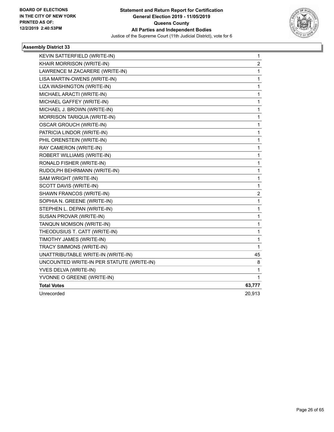

| KEVIN SATTERFIELD (WRITE-IN)              | 1              |
|-------------------------------------------|----------------|
| KHAIR MORRISON (WRITE-IN)                 | $\overline{c}$ |
| LAWRENCE M ZACARERE (WRITE-IN)            | 1              |
| LISA MARTIN-OWENS (WRITE-IN)              | 1              |
| LIZA WASHINGTON (WRITE-IN)                | 1              |
| MICHAEL ARACTI (WRITE-IN)                 | 1              |
| MICHAEL GAFFEY (WRITE-IN)                 | 1              |
| MICHAEL J. BROWN (WRITE-IN)               | 1              |
| MORRISON TARIQUA (WRITE-IN)               | 1              |
| <b>OSCAR GROUCH (WRITE-IN)</b>            | 1              |
| PATRICIA LINDOR (WRITE-IN)                | 1              |
| PHIL ORENSTEIN (WRITE-IN)                 | 1              |
| RAY CAMERON (WRITE-IN)                    | 1              |
| ROBERT WILLIAMS (WRITE-IN)                | 1              |
| RONALD FISHER (WRITE-IN)                  | 1              |
| RUDOLPH BEHRMANN (WRITE-IN)               | 1              |
| SAM WRIGHT (WRITE-IN)                     | 1              |
| SCOTT DAVIS (WRITE-IN)                    | 1              |
| SHAWN FRANCOS (WRITE-IN)                  | 2              |
| SOPHIA N. GREENE (WRITE-IN)               | 1              |
| STEPHEN L. DEPAN (WRITE-IN)               | 1              |
| SUSAN PROVAR (WRITE-IN)                   | 1              |
| TANQUN MOMSON (WRITE-IN)                  | 1              |
| THEODUSIUS T. CATT (WRITE-IN)             | 1              |
| TIMOTHY JAMES (WRITE-IN)                  | 1              |
| TRACY SIMMONS (WRITE-IN)                  | 1              |
| UNATTRIBUTABLE WRITE-IN (WRITE-IN)        | 45             |
| UNCOUNTED WRITE-IN PER STATUTE (WRITE-IN) | 8              |
| YVES DELVA (WRITE-IN)                     | 1              |
| YVONNE O GREENE (WRITE-IN)                | 1              |
| <b>Total Votes</b>                        | 63,777         |
| Unrecorded                                | 20,913         |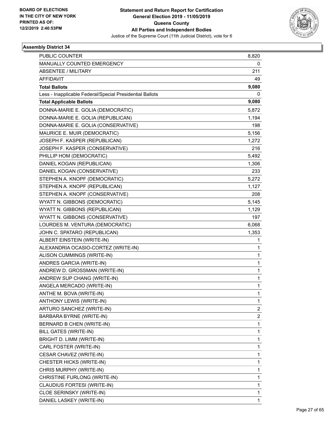

| PUBLIC COUNTER                                           | 8,820                   |
|----------------------------------------------------------|-------------------------|
| MANUALLY COUNTED EMERGENCY                               | 0                       |
| <b>ABSENTEE / MILITARY</b>                               | 211                     |
| <b>AFFIDAVIT</b>                                         | 49                      |
| <b>Total Ballots</b>                                     | 9,080                   |
| Less - Inapplicable Federal/Special Presidential Ballots | 0                       |
| <b>Total Applicable Ballots</b>                          | 9,080                   |
| DONNA-MARIE E. GOLIA (DEMOCRATIC)                        | 5,872                   |
| DONNA-MARIE E. GOLIA (REPUBLICAN)                        | 1,194                   |
| DONNA-MARIE E. GOLIA (CONSERVATIVE)                      | 198                     |
| MAURICE E. MUIR (DEMOCRATIC)                             | 5,156                   |
| JOSEPH F. KASPER (REPUBLICAN)                            | 1,272                   |
| JOSEPH F. KASPER (CONSERVATIVE)                          | 216                     |
| PHILLIP HOM (DEMOCRATIC)                                 | 5,492                   |
| DANIEL KOGAN (REPUBLICAN)                                | 1,306                   |
| DANIEL KOGAN (CONSERVATIVE)                              | 233                     |
| STEPHEN A. KNOPF (DEMOCRATIC)                            | 5,272                   |
| STEPHEN A. KNOPF (REPUBLICAN)                            | 1,127                   |
| STEPHEN A. KNOPF (CONSERVATIVE)                          | 208                     |
| WYATT N. GIBBONS (DEMOCRATIC)                            | 5,145                   |
| WYATT N. GIBBONS (REPUBLICAN)                            | 1,129                   |
| WYATT N. GIBBONS (CONSERVATIVE)                          | 197                     |
| LOURDES M. VENTURA (DEMOCRATIC)                          | 6,068                   |
| JOHN C. SPATARO (REPUBLICAN)                             | 1,353                   |
| ALBERT EINSTEIN (WRITE-IN)                               | 1                       |
| ALEXANDRIA OCASIO-CORTEZ (WRITE-IN)                      | 1                       |
| ALISON CUMMINGS (WRITE-IN)                               | $\mathbf{1}$            |
| ANDRES GARCIA (WRITE-IN)                                 | $\mathbf{1}$            |
| ANDREW D. GROSSMAN (WRITE-IN)                            | 1                       |
| ANDREW SUP CHANG (WRITE-IN)                              | 1                       |
| ANGELA MERCADO (WRITE-IN)                                | $\mathbf{1}$            |
| ANTHE M. BOVA (WRITE-IN)                                 | 1                       |
| ANTHONY LEWIS (WRITE-IN)                                 | 1                       |
| ARTURO SANCHEZ (WRITE-IN)                                | $\overline{\mathbf{c}}$ |
| BARBARA BYRNE (WRITE-IN)                                 | $\overline{\mathbf{c}}$ |
| BERNARD B CHEN (WRITE-IN)                                | $\mathbf{1}$            |
| <b>BILL GATES (WRITE-IN)</b>                             | $\mathbf{1}$            |
| BRIGHT D. LIMM (WRITE-IN)                                | 1                       |
| CARL FOSTER (WRITE-IN)                                   | $\mathbf{1}$            |
| CESAR CHAVEZ (WRITE-IN)                                  | $\mathbf{1}$            |
| CHESTER HICKS (WRITE-IN)                                 | 1                       |
| CHRIS MURPHY (WRITE-IN)                                  | 1                       |
| CHRISTINE FURLONG (WRITE-IN)                             | 1                       |
| CLAUDIUS FORTESI (WRITE-IN)                              | 1                       |
| CLOE SERINSKY (WRITE-IN)                                 | 1                       |
| DANIEL LASKEY (WRITE-IN)                                 | $\mathbf{1}$            |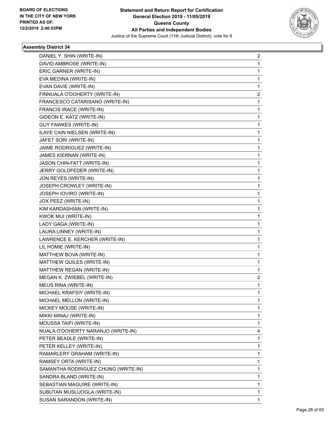

| DANIEL Y. SHIN (WRITE-IN)           | $\overline{2}$ |
|-------------------------------------|----------------|
| DAVID AMBROSE (WRITE-IN)            | 1              |
| ERIC GARNER (WRITE-IN)              | 1              |
| EVA MEDINA (WRITE-IN)               | 1              |
| EVAN DAVIE (WRITE-IN)               | 1              |
| FINNUALA O'DOHERTY (WRITE-IN)       | 2              |
| FRANCESCO CATARISANO (WRITE-IN)     | 1              |
| FRANCIS IRACE (WRITE-IN)            | 1              |
| GIDEON E. KATZ (WRITE-IN)           | 1              |
| GUY FAWKES (WRITE-IN)               | 1              |
| ILAYE CAIN NIELSEN (WRITE-IN)       | 1              |
| JAFET SORI (WRITE-IN)               | 1              |
| JAIME RODRIGUEZ (WRITE-IN)          | 1              |
| JAMES KIERNAN (WRITE-IN)            | 1              |
| JASON CHIN-FATT (WRITE-IN)          | 1              |
| JERRY GOLDFEDER (WRITE-IN)          | 1              |
| JON REYES (WRITE-IN)                | 1              |
| JOSEPH CROWLEY (WRITE-IN)           | 1              |
| JOSEPH IOVIRO (WRITE-IN)            | 1              |
| JOX PEEZ (WRITE-IN)                 | 1              |
| KIM KARDASHIAN (WRITE-IN)           | 1              |
| KWOK MUI (WRITE-IN)                 | 1              |
| LADY GAGA (WRITE-IN)                | 1              |
| LAURA LINNEY (WRITE-IN)             | 1              |
| LAWRENCE E. KERCHER (WRITE-IN)      | 1              |
| LIL HOMIE (WRITE-IN)                | 1              |
| MATTHEW BOVA (WRITE-IN)             | 1              |
| MATTHEW QUILES (WRITE-IN)           | 1              |
| MATTHEW REGAN (WRITE-IN)            | 1              |
| MEGAN K. ZWIEBEL (WRITE-IN)         | 2              |
| MEUS RINA (WRITE-IN)                | 1              |
| MICHAEL KRAFSIY (WRITE-IN)          | 1              |
| MICHAEL MELLON (WRITE-IN)           | 1              |
| MICKEY MOUSE (WRITE-IN)             | 1              |
| MIKKI MINAJ (WRITE-IN)              | 1              |
| MOUSSA TAIFI (WRITE-IN)             | 1              |
| NUALA O'DOHERTY NARANJO (WRITE-IN)  | 4              |
| PETER BEADLE (WRITE-IN)             | 1              |
| PETER KELLEY (WRITE-IN)             | 1              |
| RAMARLERY GRAHAM (WRITE-IN)         | 1              |
| RAMSEY ORTA (WRITE-IN)              | 1              |
| SAMANTHA RODRIGUEZ CHUNG (WRITE-IN) | 1              |
| SANDRA BLAND (WRITE-IN)             | 1              |
| SEBASTIAN MAGUIRE (WRITE-IN)        | 1              |
| SUBUTAN MUSLUOGLA (WRITE-IN)        | 1              |
| SUSAN SARANDON (WRITE-IN)           | 1              |
|                                     |                |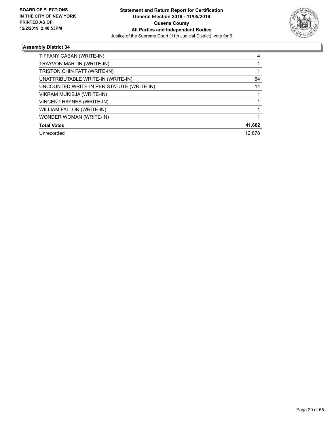

| TIFFANY CABAN (WRITE-IN)                  | 4      |
|-------------------------------------------|--------|
| TRAYVON MARTIN (WRITE-IN)                 |        |
| TRISTON CHIN FATT (WRITE-IN)              |        |
| UNATTRIBUTABLE WRITE-IN (WRITE-IN)        | 64     |
| UNCOUNTED WRITE-IN PER STATUTE (WRITE-IN) | 14     |
| VIKRAM MUKIBJA (WRITE-IN)                 |        |
| VINCENT HAYNES (WRITE-IN)                 |        |
| WILLIAM FALLON (WRITE-IN)                 |        |
| WONDER WOMAN (WRITE-IN)                   |        |
| <b>Total Votes</b>                        | 41,602 |
| Unrecorded                                | 12.878 |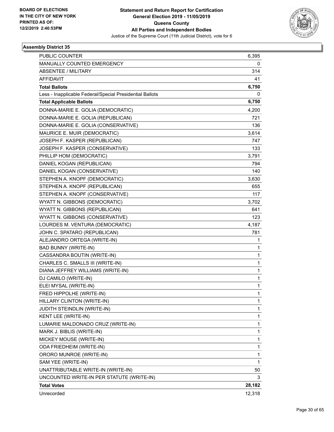

| PUBLIC COUNTER                                           | 6,395        |
|----------------------------------------------------------|--------------|
| MANUALLY COUNTED EMERGENCY                               | 0            |
| ABSENTEE / MILITARY                                      | 314          |
| <b>AFFIDAVIT</b>                                         | 41           |
| <b>Total Ballots</b>                                     | 6,750        |
| Less - Inapplicable Federal/Special Presidential Ballots | 0            |
| <b>Total Applicable Ballots</b>                          | 6,750        |
| DONNA-MARIE E. GOLIA (DEMOCRATIC)                        | 4,200        |
| DONNA-MARIE E. GOLIA (REPUBLICAN)                        | 721          |
| DONNA-MARIE E. GOLIA (CONSERVATIVE)                      | 136          |
| MAURICE E. MUIR (DEMOCRATIC)                             | 3,614        |
| JOSEPH F. KASPER (REPUBLICAN)                            | 747          |
| JOSEPH F. KASPER (CONSERVATIVE)                          | 133          |
| PHILLIP HOM (DEMOCRATIC)                                 | 3,791        |
| DANIEL KOGAN (REPUBLICAN)                                | 794          |
| DANIEL KOGAN (CONSERVATIVE)                              | 140          |
| STEPHEN A. KNOPF (DEMOCRATIC)                            | 3,630        |
| STEPHEN A. KNOPF (REPUBLICAN)                            | 655          |
| STEPHEN A. KNOPF (CONSERVATIVE)                          | 117          |
| WYATT N. GIBBONS (DEMOCRATIC)                            | 3,702        |
| WYATT N. GIBBONS (REPUBLICAN)                            | 641          |
| WYATT N. GIBBONS (CONSERVATIVE)                          | 123          |
| LOURDES M. VENTURA (DEMOCRATIC)                          | 4,187        |
| JOHN C. SPATARO (REPUBLICAN)                             | 781          |
| ALEJANDRO ORTEGA (WRITE-IN)                              | 1            |
| <b>BAD BUNNY (WRITE-IN)</b>                              | 1            |
| CASSANDRA BOUTIN (WRITE-IN)                              | 1            |
| CHARLES C. SMALLS III (WRITE-IN)                         | 1            |
| DIANA JEFFREY WILLIAMS (WRITE-IN)                        | 1            |
| DJ CAMILO (WRITE-IN)                                     | 1            |
| ELEI MYSAL (WRITE-IN)                                    | 1            |
| FRED HIPPOLHE (WRITE-IN)                                 | 1            |
| HILLARY CLINTON (WRITE-IN)                               | 1            |
| JUDITH STEINDLIN (WRITE-IN)                              | 1            |
| KENT LEE (WRITE-IN)                                      | 1            |
| LUMARIE MALDONADO CRUZ (WRITE-IN)                        | 1            |
| MARK J. BIBLIS (WRITE-IN)                                | 1            |
| MICKEY MOUSE (WRITE-IN)                                  | 1            |
| ODA FRIEDHEIM (WRITE-IN)                                 | 1            |
| ORORO MUNROE (WRITE-IN)                                  | 1            |
| SAM YEE (WRITE-IN)                                       | $\mathbf{1}$ |
| UNATTRIBUTABLE WRITE-IN (WRITE-IN)                       | 50           |
| UNCOUNTED WRITE-IN PER STATUTE (WRITE-IN)                | 3            |
| <b>Total Votes</b>                                       | 28,182       |
| Unrecorded                                               | 12,318       |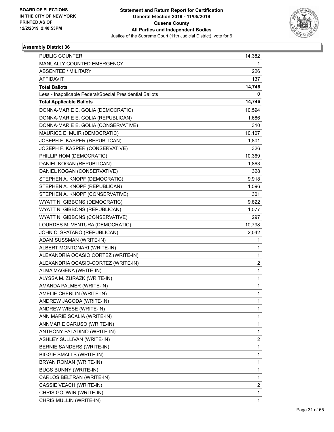

| <b>PUBLIC COUNTER</b>                                    | 14,382                  |
|----------------------------------------------------------|-------------------------|
| MANUALLY COUNTED EMERGENCY                               | 1                       |
| <b>ABSENTEE / MILITARY</b>                               | 226                     |
| <b>AFFIDAVIT</b>                                         | 137                     |
| <b>Total Ballots</b>                                     | 14,746                  |
| Less - Inapplicable Federal/Special Presidential Ballots | 0                       |
| <b>Total Applicable Ballots</b>                          | 14,746                  |
| DONNA-MARIE E. GOLIA (DEMOCRATIC)                        | 10,594                  |
| DONNA-MARIE E. GOLIA (REPUBLICAN)                        | 1,686                   |
| DONNA-MARIE E. GOLIA (CONSERVATIVE)                      | 310                     |
| MAURICE E. MUIR (DEMOCRATIC)                             | 10,107                  |
| JOSEPH F. KASPER (REPUBLICAN)                            | 1,801                   |
| JOSEPH F. KASPER (CONSERVATIVE)                          | 326                     |
| PHILLIP HOM (DEMOCRATIC)                                 | 10,369                  |
| DANIEL KOGAN (REPUBLICAN)                                | 1,863                   |
| DANIEL KOGAN (CONSERVATIVE)                              | 328                     |
| STEPHEN A. KNOPF (DEMOCRATIC)                            | 9,918                   |
| STEPHEN A. KNOPF (REPUBLICAN)                            | 1,596                   |
| STEPHEN A. KNOPF (CONSERVATIVE)                          | 301                     |
| WYATT N. GIBBONS (DEMOCRATIC)                            | 9,822                   |
| WYATT N. GIBBONS (REPUBLICAN)                            | 1,577                   |
| WYATT N. GIBBONS (CONSERVATIVE)                          | 297                     |
| LOURDES M. VENTURA (DEMOCRATIC)                          | 10,798                  |
| JOHN C. SPATARO (REPUBLICAN)                             | 2,042                   |
| ADAM SUSSMAN (WRITE-IN)                                  | 1                       |
| ALBERT MONTONARI (WRITE-IN)                              | 1                       |
| ALEXANDRIA OCASIO CORTEZ (WRITE-IN)                      | $\mathbf{1}$            |
| ALEXANDRIA OCASIO-CORTEZ (WRITE-IN)                      | $\overline{\mathbf{c}}$ |
| ALMA MAGENA (WRITE-IN)                                   | $\mathbf{1}$            |
| ALYSSA M. ZURAZK (WRITE-IN)                              | $\mathbf{1}$            |
| AMANDA PALMER (WRITE-IN)                                 | $\mathbf{1}$            |
| AMELIE CHERLIN (WRITE-IN)                                | 1                       |
| ANDREW JAGODA (WRITE-IN)                                 | 1                       |
| ANDREW WIESE (WRITE-IN)                                  | $\mathbf{1}$            |
| ANN MARIE SCALIA (WRITE-IN)                              | 1                       |
| ANNMARIE CARUSO (WRITE-IN)                               | 1                       |
| ANTHONY PALADINO (WRITE-IN)                              | $\mathbf{1}$            |
| ASHLEY SULLIVAN (WRITE-IN)                               | 2                       |
| BERNIE SANDERS (WRITE-IN)                                | $\mathbf{1}$            |
| <b>BIGGIE SMALLS (WRITE-IN)</b>                          | $\mathbf{1}$            |
| BRYAN ROMAN (WRITE-IN)                                   | 1                       |
| <b>BUGS BUNNY (WRITE-IN)</b>                             | $\mathbf{1}$            |
| CARLOS BELTRAN (WRITE-IN)                                | $\mathbf{1}$            |
| CASSIE VEACH (WRITE-IN)                                  | 2                       |
| CHRIS GODWIN (WRITE-IN)                                  | 1                       |
| CHRIS MULLIN (WRITE-IN)                                  | $\mathbf{1}$            |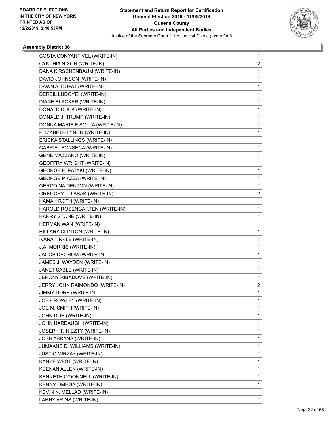

| COSTA CONYANTIVEL (WRITE-IN)       | 1              |
|------------------------------------|----------------|
| CYNTHIA NIXON (WRITE-IN)           | 2              |
| DANA KIRSCHENBAUM (WRITE-IN)       | 1              |
| DAVID JOHNSON (WRITE-IN)           | 1              |
| DAWN A. DUPAT (WRITE-IN)           | 1              |
| DEREIL LUDOYEI (WRITE-IN)          | 1              |
| DIANE BLACKER (WRITE-IN)           | 1              |
| DONALD DUCK (WRITE-IN)             | 1              |
| DONALD J. TRUMP (WRITE-IN)         | 1              |
| DONNA MARIE E SOLLA (WRITE-IN)     | 1              |
| ELIZABETH LYNCH (WRITE-IN)         | 1              |
| ERICKA STALLINGS (WRITE-IN)        | 1              |
| <b>GABRIEL FONSECA (WRITE-IN)</b>  | 1              |
| GENE MAZZARO (WRITE-IN)            | 1              |
| <b>GEOFFRY WRIGHT (WRITE-IN)</b>   | 1              |
| <b>GEORGE E. PATAKI (WRITE-IN)</b> | 1              |
| <b>GEORGE PIAZZA (WRITE-IN)</b>    | 1              |
| <b>GERODINA DENTON (WRITE-IN)</b>  | 1              |
| GREGORY L. LASAK (WRITE-IN)        | $\overline{2}$ |
| HAMAH ROTH (WRITE-IN)              | 1              |
| HAROLD ROSENGARTEN (WRITE-IN)      | 1              |
| HARRY STONE (WRITE-IN)             | 1              |
| HERMAN WAN (WRITE-IN)              | 1              |
| HILLARY CLINTON (WRITE-IN)         | 1              |
| IVANA TINKLE (WRITE-IN)            | 1              |
| J.A. MORRIS (WRITE-IN)             | 1              |
| JACOB DEGROM (WRITE-IN)            | 1              |
| JAMES J. WAYDEN (WRITE-IN)         | 1              |
| JANET SABLE (WRITE-IN)             | 1              |
| JERONY RIBADOVE (WRITE-IN)         | 1              |
| JERRY JOHN RAIMONDO (WRITE-IN)     | $\overline{c}$ |
| JIMMY DORE (WRITE-IN)              | 1              |
| JOE CROWLEY (WRITE-IN)             | 1              |
| JOE M. SMITH (WRITE-IN)            | 1              |
| JOHN DOE (WRITE-IN)                | 1              |
| JOHN HARBAUGH (WRITE-IN)           | 1              |
| JOSEPH T. NIEZTY (WRITE-IN)        | 1              |
| JOSH ABRANS (WRITE-IN)             | 1              |
| JUMAANE D. WILLIAMS (WRITE-IN)     | 1              |
| <b>JUSTIC MIRZAY (WRITE-IN)</b>    | 1              |
| KANYE WEST (WRITE-IN)              | 1              |
| KEENAN ALLEN (WRITE-IN)            | 1              |
| KENNETH O'DONNELL (WRITE-IN)       | 1              |
| KENNY OMEGA (WRITE-IN)             | 1              |
| KEVIN N. MELLAD (WRITE-IN)         | 1              |
| LARRY ARINS (WRITE-IN)             | 1              |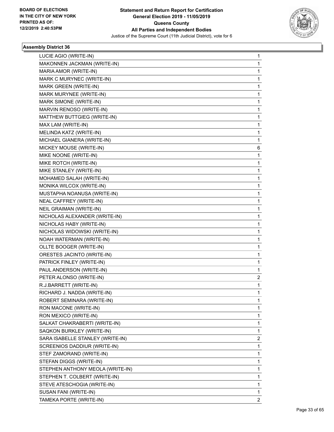

| LUCIE AGIO (WRITE-IN)            | 1              |
|----------------------------------|----------------|
| MAKONNEN JACKMAN (WRITE-IN)      | 1              |
| MARIA AMOR (WRITE-IN)            | 1              |
| MARK C MURYNEC (WRITE-IN)        | 1              |
| MARK GREEN (WRITE-IN)            | 1              |
| MARK MURYNEE (WRITE-IN)          | 1              |
| MARK SIMONE (WRITE-IN)           | 1              |
| MARVIN RENOSO (WRITE-IN)         | 1              |
| MATTHEW BUTTGIEG (WRITE-IN)      | 1              |
| MAX LAM (WRITE-IN)               | 1              |
| MELINDA KATZ (WRITE-IN)          | 1              |
| MICHAEL GIANERA (WRITE-IN)       | 1              |
| MICKEY MOUSE (WRITE-IN)          | 6              |
| MIKE NOONE (WRITE-IN)            | 1              |
| MIKE ROTCH (WRITE-IN)            | 1              |
| MIKE STANLEY (WRITE-IN)          | 1              |
| MOHAMED SALAH (WRITE-IN)         | 1              |
| MONIKA WILCOX (WRITE-IN)         | 1              |
| MUSTAPHA NOANUSA (WRITE-IN)      | 1              |
| NEAL CAFFREY (WRITE-IN)          | 1              |
| NEIL GRAIMAN (WRITE-IN)          | 1              |
| NICHOLAS ALEXANDER (WRITE-IN)    | 1              |
| NICHOLAS HABY (WRITE-IN)         | 1              |
| NICHOLAS WIDOWSKI (WRITE-IN)     | 1              |
| NOAH WATERMAN (WRITE-IN)         | 1              |
| OLLTE BOOGER (WRITE-IN)          | 1              |
| ORESTES JACINTO (WRITE-IN)       | 1              |
| PATRICK FINLEY (WRITE-IN)        | 1              |
| PAUL ANDERSON (WRITE-IN)         | 1              |
| PETER ALONSO (WRITE-IN)          | 2              |
| R.J.BARRETT (WRITE-IN)           | 1              |
| RICHARD J. NADDA (WRITE-IN)      | 1              |
| ROBERT SEMINARA (WRITE-IN)       | 1              |
| RON MACONE (WRITE-IN)            | 1              |
| RON MEXICO (WRITE-IN)            | 1              |
| SALKAT CHAKRABERTI (WRITE-IN)    | 1              |
| SAQKON BURKLEY (WRITE-IN)        | 1              |
| SARA ISABELLE STANLEY (WRITE-IN) | 2              |
| SCREENIOS DADDIUR (WRITE-IN)     | 1              |
| STEF ZAMORAND (WRITE-IN)         | 1              |
| STEFAN DIGGS (WRITE-IN)          | 1              |
| STEPHEN ANTHONY MEOLA (WRITE-IN) | 1              |
| STEPHEN T. COLBERT (WRITE-IN)    | 1              |
| STEVE ATESCHOGIA (WRITE-IN)      | 1              |
| SUSAN FANI (WRITE-IN)            | 1              |
| TAMEKA PORTE (WRITE-IN)          | $\overline{2}$ |
|                                  |                |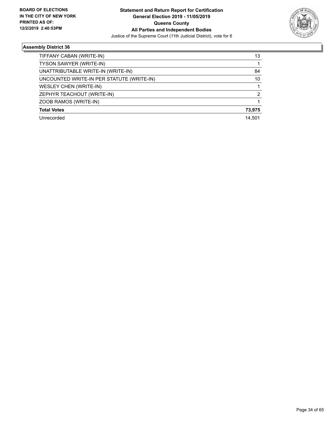

| TIFFANY CABAN (WRITE-IN)                  | 13     |
|-------------------------------------------|--------|
| TYSON SAWYER (WRITE-IN)                   |        |
| UNATTRIBUTABLE WRITE-IN (WRITE-IN)        | 84     |
| UNCOUNTED WRITE-IN PER STATUTE (WRITE-IN) | 10     |
| <b>WESLEY CHEN (WRITE-IN)</b>             |        |
| ZEPHYR TEACHOUT (WRITE-IN)                | າ      |
| ZOOB RAMOS (WRITE-IN)                     |        |
| <b>Total Votes</b>                        | 73,975 |
| Unrecorded                                | 14.501 |
|                                           |        |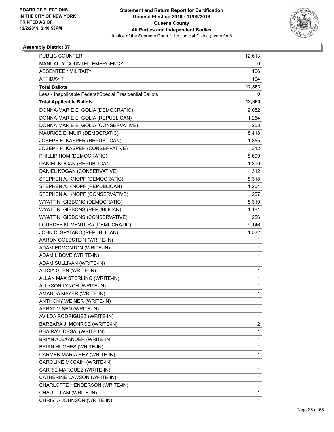

| <b>PUBLIC COUNTER</b>                                    | 12,613 |
|----------------------------------------------------------|--------|
| MANUALLY COUNTED EMERGENCY                               | 0      |
| <b>ABSENTEE / MILITARY</b>                               | 166    |
| <b>AFFIDAVIT</b>                                         | 104    |
| <b>Total Ballots</b>                                     | 12,883 |
| Less - Inapplicable Federal/Special Presidential Ballots | 0      |
| <b>Total Applicable Ballots</b>                          | 12,883 |
| DONNA-MARIE E. GOLIA (DEMOCRATIC)                        | 9,082  |
| DONNA-MARIE E. GOLIA (REPUBLICAN)                        | 1,254  |
| DONNA-MARIE E. GOLIA (CONSERVATIVE)                      | 258    |
| MAURICE E. MUIR (DEMOCRATIC)                             | 8,418  |
| JOSEPH F. KASPER (REPUBLICAN)                            | 1,355  |
| JOSEPH F. KASPER (CONSERVATIVE)                          | 312    |
| PHILLIP HOM (DEMOCRATIC)                                 | 8,699  |
| DANIEL KOGAN (REPUBLICAN)                                | 1,390  |
| DANIEL KOGAN (CONSERVATIVE)                              | 312    |
| STEPHEN A. KNOPF (DEMOCRATIC)                            | 8,318  |
| STEPHEN A. KNOPF (REPUBLICAN)                            | 1,204  |
| STEPHEN A. KNOPF (CONSERVATIVE)                          | 257    |
| WYATT N. GIBBONS (DEMOCRATIC)                            | 8,319  |
| WYATT N. GIBBONS (REPUBLICAN)                            | 1,181  |
| WYATT N. GIBBONS (CONSERVATIVE)                          | 256    |
| LOURDES M. VENTURA (DEMOCRATIC)                          | 9,146  |
| JOHN C. SPATARO (REPUBLICAN)                             | 1,532  |
| AARON GOLDSTEIN (WRITE-IN)                               | 1      |
| ADAM EDMONTON (WRITE-IN)                                 | 1      |
| ADAM LIBOVE (WRITE-IN)                                   | 1      |
| ADAM SULLIVAN (WRITE-IN)                                 | 1      |
| ALICIA GLEN (WRITE-IN)                                   | 1      |
| ALLAN MAX STERLING (WRITE-IN)                            | 1      |
| ALLYSON LYNCH (WRITE-IN)                                 | 1      |
| AMANDA MAYER (WRITE-IN)                                  | 1      |
| ANTHONY WEINER (WRITE-IN)                                | 1      |
| APRATIM SEN (WRITE-IN)                                   | 1      |
| AVILDA RODRIGUEZ (WRITE-IN)                              | 1      |
| BARBARA J. MONROE (WRITE-IN)                             | 2      |
| BHAIRAVI DESAI (WRITE-IN)                                | 1      |
| BRIAN ALEXANDER (WRITE-IN)                               | 1      |
| <b>BRIAN HUGHES (WRITE-IN)</b>                           | 1      |
| CARMEN MARIA REY (WRITE-IN)                              | 1      |
| CAROLINE MCCAIN (WRITE-IN)                               | 1      |
| CARRIE MARQUEZ (WRITE-IN)                                | 1      |
| CATHERINE LAWSON (WRITE-IN)                              | 1      |
| CHARLOTTE HENDERSON (WRITE-IN)                           | 1      |
| CHAU T. LAM (WRITE-IN)                                   | 1      |
| CHRISTA JOHNSON (WRITE-IN)                               | 1      |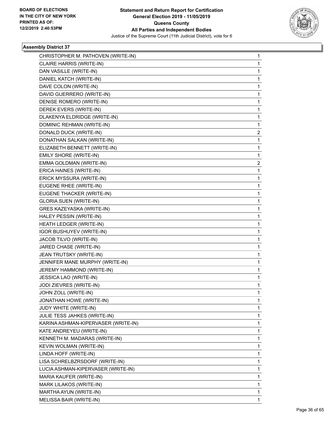

| CHRISTOPHER M. PATHOVEN (WRITE-IN)  | 1 |
|-------------------------------------|---|
| CLAIRE HARRIS (WRITE-IN)            | 1 |
| DAN VASILLE (WRITE-IN)              | 1 |
| DANIEL KATCH (WRITE-IN)             | 1 |
| DAVE COLON (WRITE-IN)               | 1 |
| DAVID GUERRERO (WRITE-IN)           | 1 |
| DENISE ROMERO (WRITE-IN)            | 1 |
| DEREK EVERS (WRITE-IN)              | 1 |
| DLAKENYA ELDRIDGE (WRITE-IN)        | 1 |
| DOMINIC REHMAN (WRITE-IN)           | 1 |
| DONALD DUCK (WRITE-IN)              | 2 |
| DONATHAN SALKAN (WRITE-IN)          | 1 |
| ELIZABETH BENNETT (WRITE-IN)        | 1 |
| EMILY SHORE (WRITE-IN)              | 1 |
| EMMA GOLDMAN (WRITE-IN)             | 2 |
| ERICA HAINES (WRITE-IN)             | 1 |
| ERICK MYSSURA (WRITE-IN)            | 1 |
| EUGENE RHEE (WRITE-IN)              | 1 |
| EUGENE THACKER (WRITE-IN)           | 1 |
| <b>GLORIA SUEN (WRITE-IN)</b>       | 1 |
| GRES KAZEYASKA (WRITE-IN)           | 1 |
| HALEY PESSIN (WRITE-IN)             | 1 |
| HEATH LEDGER (WRITE-IN)             | 1 |
| <b>IGOR BUSHUYEV (WRITE-IN)</b>     | 1 |
| JACOB TILVO (WRITE-IN)              | 1 |
| JARED CHASE (WRITE-IN)              | 1 |
| JEAN TRUTSKY (WRITE-IN)             | 1 |
| JENNIFER MANE MURPHY (WRITE-IN)     | 1 |
| JEREMY HAMMOND (WRITE-IN)           | 1 |
| JESSICA LAO (WRITE-IN)              | 1 |
| JODI ZIEVRES (WRITE-IN)             | 1 |
| JOHN ZOLL (WRITE-IN)                | 1 |
| JONATHAN HOWE (WRITE-IN)            | 1 |
| JUDY WHITE (WRITE-IN)               | 1 |
| JULIE TESS JAHKES (WRITE-IN)        | 1 |
| KARINA ASHMAN-KIPERVASER (WRITE-IN) | 1 |
| KATE ANDREYEU (WRITE-IN)            | 1 |
| KENNETH M. MADARAS (WRITE-IN)       | 1 |
| KEVIN WOLMAN (WRITE-IN)             | 1 |
| LINDA HOFF (WRITE-IN)               | 1 |
| LISA SCHRELBZRSDORF (WRITE-IN)      | 1 |
| LUCIA ASHMAN-KIPERVASER (WRITE-IN)  | 1 |
| MARIA KAUFER (WRITE-IN)             | 1 |
| MARK LILAKOS (WRITE-IN)             | 1 |
| MARTHA AYUN (WRITE-IN)              | 1 |
| MELISSA BAIR (WRITE-IN)             | 1 |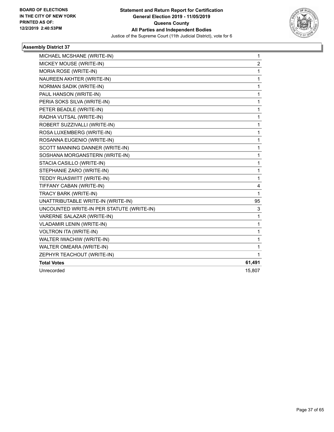

| MICHAEL MCSHANE (WRITE-IN)                | 1              |
|-------------------------------------------|----------------|
| MICKEY MOUSE (WRITE-IN)                   | $\overline{2}$ |
| MORIA ROSE (WRITE-IN)                     | $\mathbf{1}$   |
| NAUREEN AKHTER (WRITE-IN)                 | 1              |
| <b>NORMAN SADIK (WRITE-IN)</b>            | $\mathbf{1}$   |
| PAUL HANSON (WRITE-IN)                    | $\mathbf{1}$   |
| PERIA SOKS SILVA (WRITE-IN)               | 1              |
| PETER BEADLE (WRITE-IN)                   | 1              |
| RADHA VUTSAL (WRITE-IN)                   | $\mathbf{1}$   |
| ROBERT SUZZIVALLI (WRITE-IN)              | 1              |
| ROSA LUXEMBERG (WRITE-IN)                 | 1              |
| ROSANNA EUGENIO (WRITE-IN)                | 1              |
| SCOTT MANNING DANNER (WRITE-IN)           | $\mathbf{1}$   |
| SOSHANA MORGANSTERN (WRITE-IN)            | $\mathbf 1$    |
| STACIA CASILLO (WRITE-IN)                 | 1              |
| STEPHANIE ZARO (WRITE-IN)                 | $\mathbf{1}$   |
| TEDDY RUASWITT (WRITE-IN)                 | $\mathbf{1}$   |
| TIFFANY CABAN (WRITE-IN)                  | 4              |
| TRACY BARK (WRITE-IN)                     | 1              |
| UNATTRIBUTABLE WRITE-IN (WRITE-IN)        | 95             |
| UNCOUNTED WRITE-IN PER STATUTE (WRITE-IN) | 3              |
| VARERNE SALAZAR (WRITE-IN)                | $\mathbf{1}$   |
| VLADAMIR LENIN (WRITE-IN)                 | 1              |
| <b>VOLTRON ITA (WRITE-IN)</b>             | $\mathbf{1}$   |
| WALTER IWACHIW (WRITE-IN)                 | 1              |
| <b>WALTER OMEARA (WRITE-IN)</b>           | 1              |
| ZEPHYR TEACHOUT (WRITE-IN)                | 1              |
| <b>Total Votes</b>                        | 61,491         |
| Unrecorded                                | 15,807         |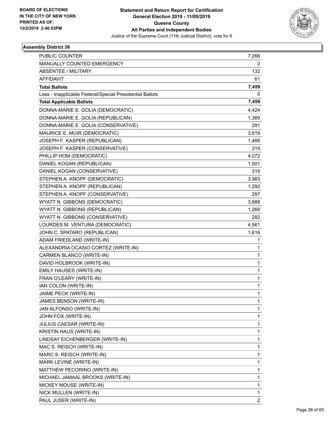

| PUBLIC COUNTER                                           | 7,266          |
|----------------------------------------------------------|----------------|
| MANUALLY COUNTED EMERGENCY                               | 0              |
| ABSENTEE / MILITARY                                      | 132            |
| <b>AFFIDAVIT</b>                                         | 61             |
| <b>Total Ballots</b>                                     | 7,459          |
| Less - Inapplicable Federal/Special Presidential Ballots | 0              |
| <b>Total Applicable Ballots</b>                          | 7,459          |
| DONNA-MARIE E. GOLIA (DEMOCRATIC)                        | 4,424          |
| DONNA-MARIE E. GOLIA (REPUBLICAN)                        | 1,369          |
| DONNA-MARIE E. GOLIA (CONSERVATIVE)                      | 291            |
| MAURICE E. MUIR (DEMOCRATIC)                             | 3,819          |
| JOSEPH F. KASPER (REPUBLICAN)                            | 1,466          |
| JOSEPH F. KASPER (CONSERVATIVE)                          | 319            |
| PHILLIP HOM (DEMOCRATIC)                                 | 4,072          |
| DANIEL KOGAN (REPUBLICAN)                                | 1,501          |
| DANIEL KOGAN (CONSERVATIVE)                              | 319            |
| STEPHEN A. KNOPF (DEMOCRATIC)                            | 3,983          |
| STEPHEN A. KNOPF (REPUBLICAN)                            | 1,292          |
| STEPHEN A. KNOPF (CONSERVATIVE)                          | 297            |
| WYATT N. GIBBONS (DEMOCRATIC)                            | 3,888          |
| WYATT N. GIBBONS (REPUBLICAN)                            | 1,269          |
| WYATT N. GIBBONS (CONSERVATIVE)                          | 282            |
| LOURDES M. VENTURA (DEMOCRATIC)                          | 4,561          |
| JOHN C. SPATARO (REPUBLICAN)                             | 1,616          |
| ADAM FRIEDLAND (WRITE-IN)                                | 1              |
| ALEXANDRIA OCASIO CORTEZ (WRITE-IN)                      | $\mathbf{1}$   |
| CARMEN BLANCO (WRITE-IN)                                 | 1              |
| DAVID HOLBROOK (WRITE-IN)                                | $\mathbf{1}$   |
| EMILY HAUSES (WRITE-IN)                                  | $\mathbf{1}$   |
| FRAN O'LEARY (WRITE-IN)                                  | 1              |
| IAN COLON (WRITE-IN)                                     | $\mathbf 1$    |
| JAIME PECK (WRITE-IN)                                    | 1              |
| JAMES BENSON (WRITE-IN)                                  | 1              |
| JAN ALFONSO (WRITE-IN)                                   | 1              |
| JOHN FOX (WRITE-IN)                                      | $\mathbf{1}$   |
| JULIUS CAESAR (WRITE-IN)                                 | 1              |
| KRISTIN HAUS (WRITE-IN)                                  | $\mathbf{1}$   |
| LINDSAY EICHENBERGER (WRITE-IN)                          | $\mathbf{1}$   |
| MAC S. REISCH (WRITE-IN)                                 | 1              |
| MARC S. REISCH (WRITE-IN)                                | $\mathbf{1}$   |
| MARK LEVINE (WRITE-IN)                                   | $\mathbf{1}$   |
| MATTHEW PECORINO (WRITE-IN)                              | 1              |
| MICHAEL JAMAAL BROOKS (WRITE-IN)                         | $\mathbf{1}$   |
| MICKEY MOUSE (WRITE-IN)                                  | $\mathbf{1}$   |
| NICK MULLEN (WRITE-IN)                                   | 1              |
| PAUL JUSER (WRITE-IN)                                    | $\overline{c}$ |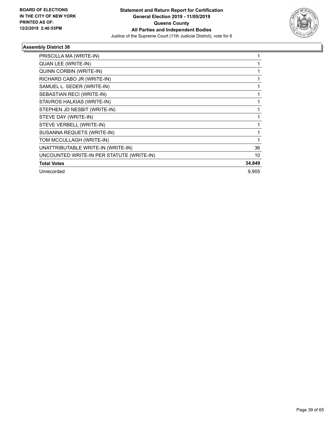

| PRISCILLA MA (WRITE-IN)                   |        |
|-------------------------------------------|--------|
| QUAN LEE (WRITE-IN)                       |        |
| QUINN CORBIN (WRITE-IN)                   |        |
| RICHARD CABO JR (WRITE-IN)                |        |
| SAMUEL L. SEDER (WRITE-IN)                |        |
| SEBASTIAN RECI (WRITE-IN)                 |        |
| STAVROS HALKIAS (WRITE-IN)                |        |
| STEPHEN JD NESBIT (WRITE-IN)              |        |
| STEVE DAY (WRITE-IN)                      |        |
| STEVE VERBELL (WRITE-IN)                  |        |
| SUSANNA REQUETS (WRITE-IN)                |        |
| TOM MCCULLAGH (WRITE-IN)                  | 1      |
| UNATTRIBUTABLE WRITE-IN (WRITE-IN)        | 36     |
| UNCOUNTED WRITE-IN PER STATUTE (WRITE-IN) | 10     |
| <b>Total Votes</b>                        | 34,849 |
| Unrecorded                                | 9.905  |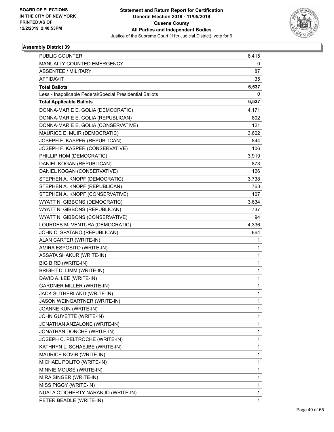

| PUBLIC COUNTER                                           | 6,415        |
|----------------------------------------------------------|--------------|
| MANUALLY COUNTED EMERGENCY                               | 0            |
| <b>ABSENTEE / MILITARY</b>                               | 87           |
| <b>AFFIDAVIT</b>                                         | 35           |
| <b>Total Ballots</b>                                     | 6,537        |
| Less - Inapplicable Federal/Special Presidential Ballots | 0            |
| <b>Total Applicable Ballots</b>                          | 6,537        |
| DONNA-MARIE E. GOLIA (DEMOCRATIC)                        | 4,171        |
| DONNA-MARIE E. GOLIA (REPUBLICAN)                        | 802          |
| DONNA-MARIE E. GOLIA (CONSERVATIVE)                      | 121          |
| MAURICE E. MUIR (DEMOCRATIC)                             | 3,602        |
| JOSEPH F. KASPER (REPUBLICAN)                            | 844          |
| JOSEPH F. KASPER (CONSERVATIVE)                          | 106          |
| PHILLIP HOM (DEMOCRATIC)                                 | 3,919        |
| DANIEL KOGAN (REPUBLICAN)                                | 873          |
| DANIEL KOGAN (CONSERVATIVE)                              | 126          |
| STEPHEN A. KNOPF (DEMOCRATIC)                            | 3,738        |
| STEPHEN A. KNOPF (REPUBLICAN)                            | 763          |
| STEPHEN A. KNOPF (CONSERVATIVE)                          | 107          |
| WYATT N. GIBBONS (DEMOCRATIC)                            | 3,634        |
| WYATT N. GIBBONS (REPUBLICAN)                            | 737          |
| WYATT N. GIBBONS (CONSERVATIVE)                          | 94           |
| LOURDES M. VENTURA (DEMOCRATIC)                          | 4,336        |
| JOHN C. SPATARO (REPUBLICAN)                             | 864          |
| ALAN CARTER (WRITE-IN)                                   | 1            |
| AMIRA ESPOSITO (WRITE-IN)                                | $\mathbf{1}$ |
| ASSATA SHAKUR (WRITE-IN)                                 | 1            |
| <b>BIG BIRD (WRITE-IN)</b>                               | 1            |
| BRIGHT D. LIMM (WRITE-IN)                                | $\mathbf{1}$ |
| DAVID A. LEE (WRITE-IN)                                  | 1            |
| <b>GARDNER MILLER (WRITE-IN)</b>                         | 1            |
| JACK SUTHERLAND (WRITE-IN)                               | 1            |
| JASON WEINGARTNER (WRITE-IN)                             | 1            |
| JOANNE KUN (WRITE-IN)                                    | 1            |
| JOHN GUYETTE (WRITE-IN)                                  | 1            |
| JONATHAN ANZALONE (WRITE-IN)                             | 1            |
| JONATHAN DONCHE (WRITE-IN)                               | 1            |
| JOSEPH C. PELTROCHE (WRITE-IN)                           | 1            |
| KATHRYN L. SCHAEJBE (WRITE-IN)                           | 1            |
| MAURICE KOVIR (WRITE-IN)                                 | 1            |
| MICHAEL POLITO (WRITE-IN)                                | 1            |
| MINNIE MOUSE (WRITE-IN)                                  | 1            |
| MIRA SINGER (WRITE-IN)                                   | 1            |
| MISS PIGGY (WRITE-IN)                                    | 1            |
| NUALA O'DOHERTY NARANJO (WRITE-IN)                       | 1            |
| PETER BEADLE (WRITE-IN)                                  | $\mathbf{1}$ |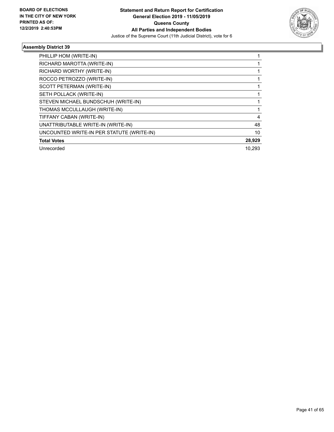

| PHILLIP HOM (WRITE-IN)                    |        |
|-------------------------------------------|--------|
| RICHARD MAROTTA (WRITE-IN)                |        |
| RICHARD WORTHY (WRITE-IN)                 |        |
| ROCCO PETROZZO (WRITE-IN)                 |        |
| SCOTT PETERMAN (WRITE-IN)                 |        |
| SETH POLLACK (WRITE-IN)                   |        |
| STEVEN MICHAEL BUNDSCHUH (WRITE-IN)       |        |
| THOMAS MCCULLAUGH (WRITE-IN)              |        |
| TIFFANY CABAN (WRITE-IN)                  | 4      |
| UNATTRIBUTABLE WRITE-IN (WRITE-IN)        | 48     |
| UNCOUNTED WRITE-IN PER STATUTE (WRITE-IN) | 10     |
| <b>Total Votes</b>                        | 28,929 |
| Unrecorded                                | 10.293 |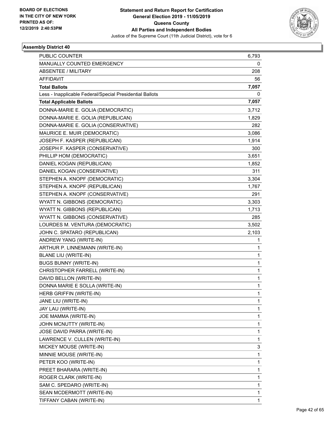

| <b>PUBLIC COUNTER</b>                                    | 6,793 |
|----------------------------------------------------------|-------|
| MANUALLY COUNTED EMERGENCY                               | 0     |
| <b>ABSENTEE / MILITARY</b>                               | 208   |
| <b>AFFIDAVIT</b>                                         | 56    |
| <b>Total Ballots</b>                                     | 7,057 |
| Less - Inapplicable Federal/Special Presidential Ballots | 0     |
| <b>Total Applicable Ballots</b>                          | 7,057 |
| DONNA-MARIE E. GOLIA (DEMOCRATIC)                        | 3,712 |
| DONNA-MARIE E. GOLIA (REPUBLICAN)                        | 1,829 |
| DONNA-MARIE E. GOLIA (CONSERVATIVE)                      | 282   |
| MAURICE E. MUIR (DEMOCRATIC)                             | 3,086 |
| JOSEPH F. KASPER (REPUBLICAN)                            | 1,914 |
| JOSEPH F. KASPER (CONSERVATIVE)                          | 300   |
| PHILLIP HOM (DEMOCRATIC)                                 | 3,651 |
| DANIEL KOGAN (REPUBLICAN)                                | 1,852 |
| DANIEL KOGAN (CONSERVATIVE)                              | 311   |
| STEPHEN A. KNOPF (DEMOCRATIC)                            | 3,304 |
| STEPHEN A. KNOPF (REPUBLICAN)                            | 1,767 |
| STEPHEN A. KNOPF (CONSERVATIVE)                          | 291   |
| WYATT N. GIBBONS (DEMOCRATIC)                            | 3,303 |
| WYATT N. GIBBONS (REPUBLICAN)                            | 1,713 |
| WYATT N. GIBBONS (CONSERVATIVE)                          | 285   |
| LOURDES M. VENTURA (DEMOCRATIC)                          | 3,502 |
| JOHN C. SPATARO (REPUBLICAN)                             | 2,103 |
| ANDREW YANG (WRITE-IN)                                   | 1     |
| ARTHUR P. LINNEMANN (WRITE-IN)                           | 1     |
| <b>BLANE LIU (WRITE-IN)</b>                              | 1     |
| <b>BUGS BUNNY (WRITE-IN)</b>                             | 1     |
| CHRISTOPHER FARRELL (WRITE-IN)                           | 1     |
| DAVID BELLON (WRITE-IN)                                  | 1     |
| DONNA MARIE E SOLLA (WRITE-IN)                           | 1     |
| HERB GRIFFIN (WRITE-IN)                                  | 1     |
| JANE LIU (WRITE-IN)                                      | 1     |
| JAY LAU (WRITE-IN)                                       | 1     |
| JOE MAMMA (WRITE-IN)                                     | 1     |
| JOHN MCNUTTY (WRITE-IN)                                  | 1     |
| JOSE DAVID PARRA (WRITE-IN)                              | 1     |
| LAWRENCE V. CULLEN (WRITE-IN)                            | 1     |
| MICKEY MOUSE (WRITE-IN)                                  | 3     |
| MINNIE MOUSE (WRITE-IN)                                  | 1     |
| PETER KOO (WRITE-IN)                                     | 1     |
| PREET BHARARA (WRITE-IN)                                 | 1     |
| ROGER CLARK (WRITE-IN)                                   | 1     |
| SAM C. SPEDARO (WRITE-IN)                                | 1     |
| SEAN MCDERMOTT (WRITE-IN)                                | 1     |
| TIFFANY CABAN (WRITE-IN)                                 | 1     |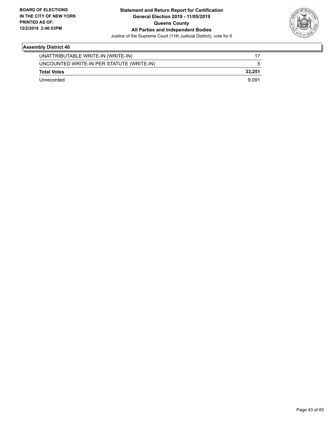

| UNATTRIBUTABLE WRITE-IN (WRITE-IN)        |        |
|-------------------------------------------|--------|
| UNCOUNTED WRITE-IN PER STATUTE (WRITE-IN) |        |
| <b>Total Votes</b>                        | 33,251 |
| Unrecorded                                | 9.091  |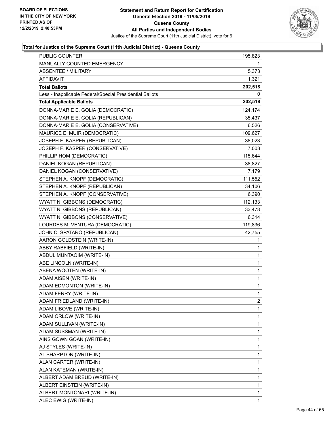

| MANUALLY COUNTED EMERGENCY<br>1<br><b>ABSENTEE / MILITARY</b><br>5,373<br>1,321<br>AFFIDAVIT<br><b>Total Ballots</b><br>202,518<br>Less - Inapplicable Federal/Special Presidential Ballots<br>0<br><b>Total Applicable Ballots</b><br>202,518<br>DONNA-MARIE E. GOLIA (DEMOCRATIC)<br>124,174<br>DONNA-MARIE E. GOLIA (REPUBLICAN)<br>35,437<br>DONNA-MARIE E. GOLIA (CONSERVATIVE)<br>6,526<br>MAURICE E. MUIR (DEMOCRATIC)<br>109,627<br>JOSEPH F. KASPER (REPUBLICAN)<br>38,023<br>JOSEPH F. KASPER (CONSERVATIVE)<br>7,003<br>PHILLIP HOM (DEMOCRATIC)<br>115,644<br>DANIEL KOGAN (REPUBLICAN)<br>38,827<br>DANIEL KOGAN (CONSERVATIVE)<br>7,179<br>STEPHEN A. KNOPF (DEMOCRATIC)<br>111,552<br>STEPHEN A. KNOPF (REPUBLICAN)<br>34,106<br>STEPHEN A. KNOPF (CONSERVATIVE)<br>6,390<br>WYATT N. GIBBONS (DEMOCRATIC)<br>112,133<br>WYATT N. GIBBONS (REPUBLICAN)<br>33,478<br>WYATT N. GIBBONS (CONSERVATIVE)<br>6,314<br>LOURDES M. VENTURA (DEMOCRATIC)<br>119,836<br>JOHN C. SPATARO (REPUBLICAN)<br>42,755<br>AARON GOLDSTEIN (WRITE-IN)<br>1<br>ABBY RABFIELD (WRITE-IN)<br>1<br>ABDUL MUNTAQIM (WRITE-IN)<br>1<br>$\mathbf 1$<br>ABE LINCOLN (WRITE-IN)<br>$\mathbf 1$<br>ABENA WOOTEN (WRITE-IN)<br>ADAM AISEN (WRITE-IN)<br>1<br><b>ADAM EDMONTON (WRITE-IN)</b><br>$\mathbf{1}$<br>$\mathbf{1}$<br>ADAM FERRY (WRITE-IN)<br>ADAM FRIEDLAND (WRITE-IN)<br>2<br>ADAM LIBOVE (WRITE-IN)<br>1<br>ADAM ORLOW (WRITE-IN)<br>1<br>ADAM SULLIVAN (WRITE-IN)<br>1<br>ADAM SUSSMAN (WRITE-IN)<br>1<br>$\mathbf 1$<br>AINS GOWN GOAN (WRITE-IN)<br>AJ STYLES (WRITE-IN)<br>1<br>AL SHARPTON (WRITE-IN)<br>1<br>1<br>ALAN CARTER (WRITE-IN)<br>ALAN KATEMAN (WRITE-IN)<br>1<br>ALBERT ADAM BREUD (WRITE-IN)<br>1<br>$\mathbf 1$<br>ALBERT EINSTEIN (WRITE-IN)<br>ALBERT MONTONARI (WRITE-IN)<br>1<br>ALEC EWIG (WRITE-IN)<br>1 | PUBLIC COUNTER | 195,823 |
|----------------------------------------------------------------------------------------------------------------------------------------------------------------------------------------------------------------------------------------------------------------------------------------------------------------------------------------------------------------------------------------------------------------------------------------------------------------------------------------------------------------------------------------------------------------------------------------------------------------------------------------------------------------------------------------------------------------------------------------------------------------------------------------------------------------------------------------------------------------------------------------------------------------------------------------------------------------------------------------------------------------------------------------------------------------------------------------------------------------------------------------------------------------------------------------------------------------------------------------------------------------------------------------------------------------------------------------------------------------------------------------------------------------------------------------------------------------------------------------------------------------------------------------------------------------------------------------------------------------------------------------------------------------------------------------------------------------------------------------------------------------------------------------------------------------------------------|----------------|---------|
|                                                                                                                                                                                                                                                                                                                                                                                                                                                                                                                                                                                                                                                                                                                                                                                                                                                                                                                                                                                                                                                                                                                                                                                                                                                                                                                                                                                                                                                                                                                                                                                                                                                                                                                                                                                                                                  |                |         |
|                                                                                                                                                                                                                                                                                                                                                                                                                                                                                                                                                                                                                                                                                                                                                                                                                                                                                                                                                                                                                                                                                                                                                                                                                                                                                                                                                                                                                                                                                                                                                                                                                                                                                                                                                                                                                                  |                |         |
|                                                                                                                                                                                                                                                                                                                                                                                                                                                                                                                                                                                                                                                                                                                                                                                                                                                                                                                                                                                                                                                                                                                                                                                                                                                                                                                                                                                                                                                                                                                                                                                                                                                                                                                                                                                                                                  |                |         |
|                                                                                                                                                                                                                                                                                                                                                                                                                                                                                                                                                                                                                                                                                                                                                                                                                                                                                                                                                                                                                                                                                                                                                                                                                                                                                                                                                                                                                                                                                                                                                                                                                                                                                                                                                                                                                                  |                |         |
|                                                                                                                                                                                                                                                                                                                                                                                                                                                                                                                                                                                                                                                                                                                                                                                                                                                                                                                                                                                                                                                                                                                                                                                                                                                                                                                                                                                                                                                                                                                                                                                                                                                                                                                                                                                                                                  |                |         |
|                                                                                                                                                                                                                                                                                                                                                                                                                                                                                                                                                                                                                                                                                                                                                                                                                                                                                                                                                                                                                                                                                                                                                                                                                                                                                                                                                                                                                                                                                                                                                                                                                                                                                                                                                                                                                                  |                |         |
|                                                                                                                                                                                                                                                                                                                                                                                                                                                                                                                                                                                                                                                                                                                                                                                                                                                                                                                                                                                                                                                                                                                                                                                                                                                                                                                                                                                                                                                                                                                                                                                                                                                                                                                                                                                                                                  |                |         |
|                                                                                                                                                                                                                                                                                                                                                                                                                                                                                                                                                                                                                                                                                                                                                                                                                                                                                                                                                                                                                                                                                                                                                                                                                                                                                                                                                                                                                                                                                                                                                                                                                                                                                                                                                                                                                                  |                |         |
|                                                                                                                                                                                                                                                                                                                                                                                                                                                                                                                                                                                                                                                                                                                                                                                                                                                                                                                                                                                                                                                                                                                                                                                                                                                                                                                                                                                                                                                                                                                                                                                                                                                                                                                                                                                                                                  |                |         |
|                                                                                                                                                                                                                                                                                                                                                                                                                                                                                                                                                                                                                                                                                                                                                                                                                                                                                                                                                                                                                                                                                                                                                                                                                                                                                                                                                                                                                                                                                                                                                                                                                                                                                                                                                                                                                                  |                |         |
|                                                                                                                                                                                                                                                                                                                                                                                                                                                                                                                                                                                                                                                                                                                                                                                                                                                                                                                                                                                                                                                                                                                                                                                                                                                                                                                                                                                                                                                                                                                                                                                                                                                                                                                                                                                                                                  |                |         |
|                                                                                                                                                                                                                                                                                                                                                                                                                                                                                                                                                                                                                                                                                                                                                                                                                                                                                                                                                                                                                                                                                                                                                                                                                                                                                                                                                                                                                                                                                                                                                                                                                                                                                                                                                                                                                                  |                |         |
|                                                                                                                                                                                                                                                                                                                                                                                                                                                                                                                                                                                                                                                                                                                                                                                                                                                                                                                                                                                                                                                                                                                                                                                                                                                                                                                                                                                                                                                                                                                                                                                                                                                                                                                                                                                                                                  |                |         |
|                                                                                                                                                                                                                                                                                                                                                                                                                                                                                                                                                                                                                                                                                                                                                                                                                                                                                                                                                                                                                                                                                                                                                                                                                                                                                                                                                                                                                                                                                                                                                                                                                                                                                                                                                                                                                                  |                |         |
|                                                                                                                                                                                                                                                                                                                                                                                                                                                                                                                                                                                                                                                                                                                                                                                                                                                                                                                                                                                                                                                                                                                                                                                                                                                                                                                                                                                                                                                                                                                                                                                                                                                                                                                                                                                                                                  |                |         |
|                                                                                                                                                                                                                                                                                                                                                                                                                                                                                                                                                                                                                                                                                                                                                                                                                                                                                                                                                                                                                                                                                                                                                                                                                                                                                                                                                                                                                                                                                                                                                                                                                                                                                                                                                                                                                                  |                |         |
|                                                                                                                                                                                                                                                                                                                                                                                                                                                                                                                                                                                                                                                                                                                                                                                                                                                                                                                                                                                                                                                                                                                                                                                                                                                                                                                                                                                                                                                                                                                                                                                                                                                                                                                                                                                                                                  |                |         |
|                                                                                                                                                                                                                                                                                                                                                                                                                                                                                                                                                                                                                                                                                                                                                                                                                                                                                                                                                                                                                                                                                                                                                                                                                                                                                                                                                                                                                                                                                                                                                                                                                                                                                                                                                                                                                                  |                |         |
|                                                                                                                                                                                                                                                                                                                                                                                                                                                                                                                                                                                                                                                                                                                                                                                                                                                                                                                                                                                                                                                                                                                                                                                                                                                                                                                                                                                                                                                                                                                                                                                                                                                                                                                                                                                                                                  |                |         |
|                                                                                                                                                                                                                                                                                                                                                                                                                                                                                                                                                                                                                                                                                                                                                                                                                                                                                                                                                                                                                                                                                                                                                                                                                                                                                                                                                                                                                                                                                                                                                                                                                                                                                                                                                                                                                                  |                |         |
|                                                                                                                                                                                                                                                                                                                                                                                                                                                                                                                                                                                                                                                                                                                                                                                                                                                                                                                                                                                                                                                                                                                                                                                                                                                                                                                                                                                                                                                                                                                                                                                                                                                                                                                                                                                                                                  |                |         |
|                                                                                                                                                                                                                                                                                                                                                                                                                                                                                                                                                                                                                                                                                                                                                                                                                                                                                                                                                                                                                                                                                                                                                                                                                                                                                                                                                                                                                                                                                                                                                                                                                                                                                                                                                                                                                                  |                |         |
|                                                                                                                                                                                                                                                                                                                                                                                                                                                                                                                                                                                                                                                                                                                                                                                                                                                                                                                                                                                                                                                                                                                                                                                                                                                                                                                                                                                                                                                                                                                                                                                                                                                                                                                                                                                                                                  |                |         |
|                                                                                                                                                                                                                                                                                                                                                                                                                                                                                                                                                                                                                                                                                                                                                                                                                                                                                                                                                                                                                                                                                                                                                                                                                                                                                                                                                                                                                                                                                                                                                                                                                                                                                                                                                                                                                                  |                |         |
|                                                                                                                                                                                                                                                                                                                                                                                                                                                                                                                                                                                                                                                                                                                                                                                                                                                                                                                                                                                                                                                                                                                                                                                                                                                                                                                                                                                                                                                                                                                                                                                                                                                                                                                                                                                                                                  |                |         |
|                                                                                                                                                                                                                                                                                                                                                                                                                                                                                                                                                                                                                                                                                                                                                                                                                                                                                                                                                                                                                                                                                                                                                                                                                                                                                                                                                                                                                                                                                                                                                                                                                                                                                                                                                                                                                                  |                |         |
|                                                                                                                                                                                                                                                                                                                                                                                                                                                                                                                                                                                                                                                                                                                                                                                                                                                                                                                                                                                                                                                                                                                                                                                                                                                                                                                                                                                                                                                                                                                                                                                                                                                                                                                                                                                                                                  |                |         |
|                                                                                                                                                                                                                                                                                                                                                                                                                                                                                                                                                                                                                                                                                                                                                                                                                                                                                                                                                                                                                                                                                                                                                                                                                                                                                                                                                                                                                                                                                                                                                                                                                                                                                                                                                                                                                                  |                |         |
|                                                                                                                                                                                                                                                                                                                                                                                                                                                                                                                                                                                                                                                                                                                                                                                                                                                                                                                                                                                                                                                                                                                                                                                                                                                                                                                                                                                                                                                                                                                                                                                                                                                                                                                                                                                                                                  |                |         |
|                                                                                                                                                                                                                                                                                                                                                                                                                                                                                                                                                                                                                                                                                                                                                                                                                                                                                                                                                                                                                                                                                                                                                                                                                                                                                                                                                                                                                                                                                                                                                                                                                                                                                                                                                                                                                                  |                |         |
|                                                                                                                                                                                                                                                                                                                                                                                                                                                                                                                                                                                                                                                                                                                                                                                                                                                                                                                                                                                                                                                                                                                                                                                                                                                                                                                                                                                                                                                                                                                                                                                                                                                                                                                                                                                                                                  |                |         |
|                                                                                                                                                                                                                                                                                                                                                                                                                                                                                                                                                                                                                                                                                                                                                                                                                                                                                                                                                                                                                                                                                                                                                                                                                                                                                                                                                                                                                                                                                                                                                                                                                                                                                                                                                                                                                                  |                |         |
|                                                                                                                                                                                                                                                                                                                                                                                                                                                                                                                                                                                                                                                                                                                                                                                                                                                                                                                                                                                                                                                                                                                                                                                                                                                                                                                                                                                                                                                                                                                                                                                                                                                                                                                                                                                                                                  |                |         |
|                                                                                                                                                                                                                                                                                                                                                                                                                                                                                                                                                                                                                                                                                                                                                                                                                                                                                                                                                                                                                                                                                                                                                                                                                                                                                                                                                                                                                                                                                                                                                                                                                                                                                                                                                                                                                                  |                |         |
|                                                                                                                                                                                                                                                                                                                                                                                                                                                                                                                                                                                                                                                                                                                                                                                                                                                                                                                                                                                                                                                                                                                                                                                                                                                                                                                                                                                                                                                                                                                                                                                                                                                                                                                                                                                                                                  |                |         |
|                                                                                                                                                                                                                                                                                                                                                                                                                                                                                                                                                                                                                                                                                                                                                                                                                                                                                                                                                                                                                                                                                                                                                                                                                                                                                                                                                                                                                                                                                                                                                                                                                                                                                                                                                                                                                                  |                |         |
|                                                                                                                                                                                                                                                                                                                                                                                                                                                                                                                                                                                                                                                                                                                                                                                                                                                                                                                                                                                                                                                                                                                                                                                                                                                                                                                                                                                                                                                                                                                                                                                                                                                                                                                                                                                                                                  |                |         |
|                                                                                                                                                                                                                                                                                                                                                                                                                                                                                                                                                                                                                                                                                                                                                                                                                                                                                                                                                                                                                                                                                                                                                                                                                                                                                                                                                                                                                                                                                                                                                                                                                                                                                                                                                                                                                                  |                |         |
|                                                                                                                                                                                                                                                                                                                                                                                                                                                                                                                                                                                                                                                                                                                                                                                                                                                                                                                                                                                                                                                                                                                                                                                                                                                                                                                                                                                                                                                                                                                                                                                                                                                                                                                                                                                                                                  |                |         |
|                                                                                                                                                                                                                                                                                                                                                                                                                                                                                                                                                                                                                                                                                                                                                                                                                                                                                                                                                                                                                                                                                                                                                                                                                                                                                                                                                                                                                                                                                                                                                                                                                                                                                                                                                                                                                                  |                |         |
|                                                                                                                                                                                                                                                                                                                                                                                                                                                                                                                                                                                                                                                                                                                                                                                                                                                                                                                                                                                                                                                                                                                                                                                                                                                                                                                                                                                                                                                                                                                                                                                                                                                                                                                                                                                                                                  |                |         |
|                                                                                                                                                                                                                                                                                                                                                                                                                                                                                                                                                                                                                                                                                                                                                                                                                                                                                                                                                                                                                                                                                                                                                                                                                                                                                                                                                                                                                                                                                                                                                                                                                                                                                                                                                                                                                                  |                |         |
|                                                                                                                                                                                                                                                                                                                                                                                                                                                                                                                                                                                                                                                                                                                                                                                                                                                                                                                                                                                                                                                                                                                                                                                                                                                                                                                                                                                                                                                                                                                                                                                                                                                                                                                                                                                                                                  |                |         |
|                                                                                                                                                                                                                                                                                                                                                                                                                                                                                                                                                                                                                                                                                                                                                                                                                                                                                                                                                                                                                                                                                                                                                                                                                                                                                                                                                                                                                                                                                                                                                                                                                                                                                                                                                                                                                                  |                |         |
|                                                                                                                                                                                                                                                                                                                                                                                                                                                                                                                                                                                                                                                                                                                                                                                                                                                                                                                                                                                                                                                                                                                                                                                                                                                                                                                                                                                                                                                                                                                                                                                                                                                                                                                                                                                                                                  |                |         |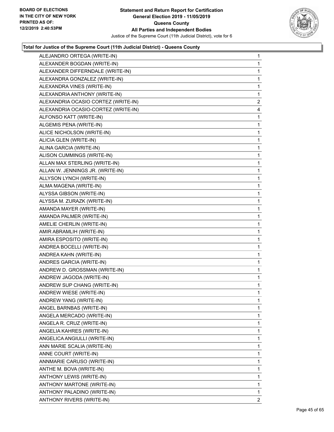

| ALEJANDRO ORTEGA (WRITE-IN)         | 1              |
|-------------------------------------|----------------|
| ALEXANDER BOGDAN (WRITE-IN)         | 1              |
| ALEXANDER DIFFERNDALE (WRITE-IN)    | 1              |
| ALEXANDRA GONZALEZ (WRITE-IN)       | 1              |
| ALEXANDRA VINES (WRITE-IN)          | 1              |
| ALEXANDRIA ANTHONY (WRITE-IN)       | 1              |
| ALEXANDRIA OCASIO CORTEZ (WRITE-IN) | $\overline{2}$ |
| ALEXANDRIA OCASIO-CORTEZ (WRITE-IN) | 4              |
| ALFONSO KATT (WRITE-IN)             | 1              |
| ALGEMIS PENA (WRITE-IN)             | 1              |
| ALICE NICHOLSON (WRITE-IN)          | 1              |
| ALICIA GLEN (WRITE-IN)              | 1              |
| ALINA GARCIA (WRITE-IN)             | 1              |
| ALISON CUMMINGS (WRITE-IN)          | 1              |
| ALLAN MAX STERLING (WRITE-IN)       | 1              |
| ALLAN W. JENNINGS JR. (WRITE-IN)    | 1              |
| ALLYSON LYNCH (WRITE-IN)            | 1              |
| ALMA MAGENA (WRITE-IN)              | 1              |
| ALYSSA GIBSON (WRITE-IN)            | 1              |
| ALYSSA M. ZURAZK (WRITE-IN)         | 1              |
| AMANDA MAYER (WRITE-IN)             | 1              |
| AMANDA PALMER (WRITE-IN)            | 1              |
| AMELIE CHERLIN (WRITE-IN)           | 1              |
| AMIR ABRAMLIH (WRITE-IN)            | 1              |
| AMIRA ESPOSITO (WRITE-IN)           | 1              |
| ANDREA BOCELLI (WRITE-IN)           | 1              |
| ANDREA KAHN (WRITE-IN)              | 1              |
| ANDRES GARCIA (WRITE-IN)            | 1              |
| ANDREW D. GROSSMAN (WRITE-IN)       | 1              |
| ANDREW JAGODA (WRITE-IN)            | 1              |
| ANDREW SUP CHANG (WRITE-IN)         | 1              |
| ANDREW WIESE (WRITE-IN)             | 1              |
| ANDREW YANG (WRITE-IN)              | 1              |
| ANGEL BARNBAS (WRITE-IN)            | 1              |
| ANGELA MERCADO (WRITE-IN)           | 1              |
| ANGELA R. CRUZ (WRITE-IN)           | 1              |
| ANGELIA KAHRES (WRITE-IN)           | 1              |
| ANGELICA ANGIULLI (WRITE-IN)        | 1              |
| ANN MARIE SCALIA (WRITE-IN)         | 1              |
| ANNE COURT (WRITE-IN)               | 1              |
| ANNMARIE CARUSO (WRITE-IN)          | 1              |
| ANTHE M. BOVA (WRITE-IN)            | 1              |
| ANTHONY LEWIS (WRITE-IN)            | 1              |
| ANTHONY MARTONE (WRITE-IN)          | 1              |
| ANTHONY PALADINO (WRITE-IN)         | 1              |
| ANTHONY RIVERS (WRITE-IN)           | 2              |
|                                     |                |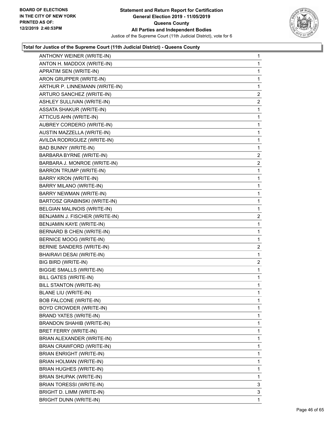

| <b>ANTHONY WEINER (WRITE-IN)</b> | 1              |
|----------------------------------|----------------|
| ANTON H. MADDOX (WRITE-IN)       | 1<br>1         |
| APRATIM SEN (WRITE-IN)           |                |
| ARON GRUPPER (WRITE-IN)          | 1              |
| ARTHUR P. LINNEMANN (WRITE-IN)   | 1              |
| ARTURO SANCHEZ (WRITE-IN)        | $\overline{2}$ |
| ASHLEY SULLIVAN (WRITE-IN)       | $\overline{2}$ |
| ASSATA SHAKUR (WRITE-IN)         | 1              |
| ATTICUS AHN (WRITE-IN)           | 1              |
| AUBREY CORDERO (WRITE-IN)        | 1              |
| AUSTIN MAZZELLA (WRITE-IN)       | 1              |
| AVILDA RODRIGUEZ (WRITE-IN)      | 1              |
| <b>BAD BUNNY (WRITE-IN)</b>      | 1              |
| BARBARA BYRNE (WRITE-IN)         | $\overline{a}$ |
| BARBARA J. MONROE (WRITE-IN)     | $\overline{2}$ |
| <b>BARRON TRUMP (WRITE-IN)</b>   | 1              |
| <b>BARRY KRON (WRITE-IN)</b>     | 1              |
| BARRY MILANO (WRITE-IN)          | $\mathbf{1}$   |
| <b>BARRY NEWMAN (WRITE-IN)</b>   | 1              |
| BARTOSZ GRABINSKI (WRITE-IN)     | 1              |
| BELGIAN MALINOIS (WRITE-IN)      | 1              |
| BENJAMIN J. FISCHER (WRITE-IN)   | $\overline{2}$ |
| BENJAMIN KAYE (WRITE-IN)         | 1              |
| BERNARD B CHEN (WRITE-IN)        | 1              |
| <b>BERNICE MOOG (WRITE-IN)</b>   | 1              |
| BERNIE SANDERS (WRITE-IN)        | $\overline{a}$ |
| BHAIRAVI DESAI (WRITE-IN)        | 1              |
| BIG BIRD (WRITE-IN)              | $\overline{2}$ |
| <b>BIGGIE SMALLS (WRITE-IN)</b>  | 1              |
| BILL GATES (WRITE-IN)            | 1              |
| BILL STANTON (WRITE-IN)          | 1              |
| <b>BLANE LIU (WRITE-IN)</b>      | 1              |
| BOB FALCONE (WRITE-IN)           | 1              |
| BOYD CROWDER (WRITE-IN)          | 1              |
| BRAND YATES (WRITE-IN)           | 1              |
| <b>BRANDON SHAHIB (WRITE-IN)</b> | 1              |
| BRET FERRY (WRITE-IN)            | 1              |
| BRIAN ALEXANDER (WRITE-IN)       | 1              |
| BRIAN CRAWFORD (WRITE-IN)        | 1              |
| BRIAN ENRIGHT (WRITE-IN)         | 1              |
| BRIAN HOLMAN (WRITE-IN)          | 1              |
| BRIAN HUGHES (WRITE-IN)          | 1              |
| BRIAN SHUPAK (WRITE-IN)          | 1              |
| BRIAN TORESSI (WRITE-IN)         | 3              |
| BRIGHT D. LIMM (WRITE-IN)        | 3              |
| BRIGHT DUNN (WRITE-IN)           | 1              |
|                                  |                |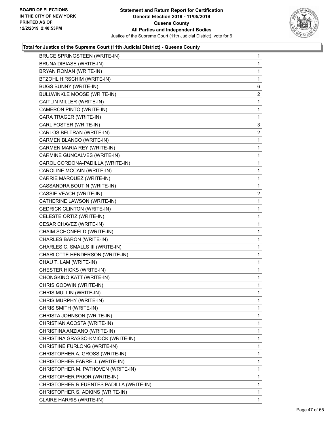

| BRUCE SPRINGSTEEN (WRITE-IN)             | $\mathbf{1}$   |
|------------------------------------------|----------------|
| <b>BRUNA DIBIASE (WRITE-IN)</b>          | 1              |
| BRYAN ROMAN (WRITE-IN)                   | 1              |
| BTZOHL HIRSCHIM (WRITE-IN)               | 1              |
| <b>BUGS BUNNY (WRITE-IN)</b>             | 6              |
| BULLWINKLE MOOSE (WRITE-IN)              | $\overline{c}$ |
| CAITLIN MILLER (WRITE-IN)                | 1              |
| CAMERON PINTO (WRITE-IN)                 | 1              |
| CARA TRAGER (WRITE-IN)                   | 1              |
| CARL FOSTER (WRITE-IN)                   | 3              |
| CARLOS BELTRAN (WRITE-IN)                | $\overline{2}$ |
| CARMEN BLANCO (WRITE-IN)                 | 1              |
| CARMEN MARIA REY (WRITE-IN)              | 1              |
| CARMINE GUNCALVES (WRITE-IN)             | 1              |
| CAROL CORDONA-PADILLA (WRITE-IN)         | 1              |
| CAROLINE MCCAIN (WRITE-IN)               | 1              |
| CARRIE MARQUEZ (WRITE-IN)                | 1              |
| CASSANDRA BOUTIN (WRITE-IN)              | 1              |
| CASSIE VEACH (WRITE-IN)                  | $\overline{a}$ |
| CATHERINE LAWSON (WRITE-IN)              | 1              |
| CEDRICK CLINTON (WRITE-IN)               | 1              |
| CELESTE ORTIZ (WRITE-IN)                 | 1              |
| CESAR CHAVEZ (WRITE-IN)                  | 1              |
| CHAIM SCHONFELD (WRITE-IN)               | 1              |
| CHARLES BARON (WRITE-IN)                 | 1              |
| CHARLES C. SMALLS III (WRITE-IN)         | 1              |
| CHARLOTTE HENDERSON (WRITE-IN)           | 1              |
| CHAU T. LAM (WRITE-IN)                   | 1              |
| CHESTER HICKS (WRITE-IN)                 | 1              |
| CHONGKINO KATT (WRITE-IN)                | 1              |
| CHRIS GODWIN (WRITE-IN)                  | 1              |
| CHRIS MULLIN (WRITE-IN)                  | 1              |
| CHRIS MURPHY (WRITE-IN)                  | 1              |
| CHRIS SMITH (WRITE-IN)                   | 1              |
| CHRISTA JOHNSON (WRITE-IN)               | 1              |
| CHRISTIAN ACOSTA (WRITE-IN)              | 1              |
| CHRISTINA ANZIANO (WRITE-IN)             | 1              |
| CHRISTINA GRASSO-KMIOCK (WRITE-IN)       | 1              |
| CHRISTINE FURLONG (WRITE-IN)             | 1              |
| CHRISTOPHER A. GROSS (WRITE-IN)          | 1              |
| CHRISTOPHER FARRELL (WRITE-IN)           | 1              |
| CHRISTOPHER M. PATHOVEN (WRITE-IN)       | 1              |
| CHRISTOPHER PRIOR (WRITE-IN)             | 1              |
| CHRISTOPHER R FUENTES PADILLA (WRITE-IN) | 1              |
| CHRISTOPHER S. ADKINS (WRITE-IN)         | 1              |
| CLAIRE HARRIS (WRITE-IN)                 | 1              |
|                                          |                |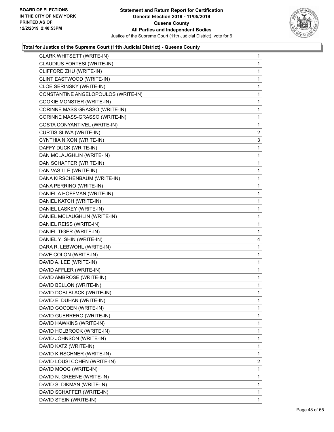

| CLARK WHITSETT (WRITE-IN)           | 1              |
|-------------------------------------|----------------|
| CLAUDIUS FORTESI (WRITE-IN)         | 1              |
| CLIFFORD ZHU (WRITE-IN)             | 1              |
| CLINT EASTWOOD (WRITE-IN)           | 1              |
| CLOE SERINSKY (WRITE-IN)            | 1              |
| CONSTANTINE ANGELOPOULOS (WRITE-IN) | 1              |
| COOKIE MONSTER (WRITE-IN)           | 1              |
| CORINNE MASS GRASSO (WRITE-IN)      | 1              |
| CORINNE MASS-GRASSO (WRITE-IN)      | 1              |
| COSTA CONYANTIVEL (WRITE-IN)        | 1              |
| CURTIS SLIWA (WRITE-IN)             | $\overline{c}$ |
| CYNTHIA NIXON (WRITE-IN)            | 3              |
| DAFFY DUCK (WRITE-IN)               | 1              |
| DAN MCLAUGHLIN (WRITE-IN)           | 1              |
| DAN SCHAFFER (WRITE-IN)             | 1              |
| DAN VASILLE (WRITE-IN)              | 1              |
| DANA KIRSCHENBAUM (WRITE-IN)        | 1              |
| DANA PERRINO (WRITE-IN)             | 1              |
| DANIEL A HOFFMAN (WRITE-IN)         | 1              |
| DANIEL KATCH (WRITE-IN)             | 1              |
| DANIEL LASKEY (WRITE-IN)            | 1              |
| DANIEL MCLAUGHLIN (WRITE-IN)        | 1              |
| DANIEL REISS (WRITE-IN)             | 1              |
| DANIEL TIGER (WRITE-IN)             | 1              |
| DANIEL Y. SHIN (WRITE-IN)           | 4              |
| DARA R. LEBWOHL (WRITE-IN)          | 1              |
| DAVE COLON (WRITE-IN)               | 1              |
| DAVID A. LEE (WRITE-IN)             | 1              |
| DAVID AFFLER (WRITE-IN)             | 1              |
| DAVID AMBROSE (WRITE-IN)            | 1              |
| DAVID BELLON (WRITE-IN)             | 1              |
| DAVID DOBLBLACK (WRITE-IN)          | 1              |
| DAVID E. DUHAN (WRITE-IN)           | 1              |
| DAVID GOODEN (WRITE-IN)             | 1              |
| DAVID GUERRERO (WRITE-IN)           | 1              |
| DAVID HAWKINS (WRITE-IN)            | 1              |
| DAVID HOLBROOK (WRITE-IN)           | 1              |
| DAVID JOHNSON (WRITE-IN)            | 1              |
| DAVID KATZ (WRITE-IN)               | 1              |
| DAVID KIRSCHNER (WRITE-IN)          | 1              |
| DAVID LOUSI COHEN (WRITE-IN)        | $\overline{2}$ |
| DAVID MOOG (WRITE-IN)               | 1              |
| DAVID N. GREENE (WRITE-IN)          | 1              |
| DAVID S. DIKMAN (WRITE-IN)          | 1              |
| DAVID SCHAFFER (WRITE-IN)           | 1              |
| DAVID STEIN (WRITE-IN)              | 1              |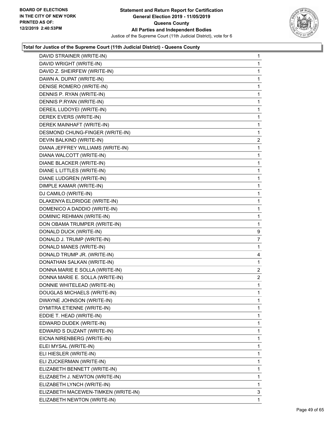

| DAVID STRAINER (WRITE-IN)           | 1              |  |
|-------------------------------------|----------------|--|
| DAVID WRIGHT (WRITE-IN)             | 1              |  |
| DAVID Z. SHEIRFEW (WRITE-IN)        | 1              |  |
| DAWN A. DUPAT (WRITE-IN)            | 1              |  |
| DENISE ROMERO (WRITE-IN)            | 1              |  |
| DENNIS P. RYAN (WRITE-IN)           | 1              |  |
| DENNIS P.RYAN (WRITE-IN)            | 1              |  |
| DEREIL LUDOYEI (WRITE-IN)           | 1              |  |
| DEREK EVERS (WRITE-IN)              | 1              |  |
| DEREK MAINHAFT (WRITE-IN)           | 1              |  |
| DESMOND CHUNG-FINGER (WRITE-IN)     | 1              |  |
| DEVIN BALKIND (WRITE-IN)            | $\overline{c}$ |  |
| DIANA JEFFREY WILLIAMS (WRITE-IN)   | 1              |  |
| DIANA WALCOTT (WRITE-IN)            | 1              |  |
| DIANE BLACKER (WRITE-IN)            | 1              |  |
| DIANE L LITTLES (WRITE-IN)          | 1              |  |
| DIANE LUDGREN (WRITE-IN)            | 1              |  |
| DIMPLE KAMAR (WRITE-IN)             | 1              |  |
| DJ CAMILO (WRITE-IN)                | 1              |  |
| DLAKENYA ELDRIDGE (WRITE-IN)        | 1              |  |
| DOMENICO A DADDIO (WRITE-IN)        | 1              |  |
| DOMINIC REHMAN (WRITE-IN)           | 1              |  |
| DON OBAMA TRUMPER (WRITE-IN)        | 1              |  |
| DONALD DUCK (WRITE-IN)              | 9              |  |
| DONALD J. TRUMP (WRITE-IN)          | $\overline{7}$ |  |
| DONALD MANES (WRITE-IN)             | 1              |  |
| DONALD TRUMP JR. (WRITE-IN)         | 4              |  |
| DONATHAN SALKAN (WRITE-IN)          | 1              |  |
| DONNA MARIE E SOLLA (WRITE-IN)      | $\overline{2}$ |  |
| DONNA MARIE E. SOLLA (WRITE-IN)     | 2              |  |
| DONNIE WHITELEAD (WRITE-IN)         | 1              |  |
| DOUGLAS MICHAELS (WRITE-IN)         | 1              |  |
| DWAYNE JOHNSON (WRITE-IN)           | 1              |  |
| DYMITRA ETIENNE (WRITE-IN)          | 1              |  |
| EDDIE T. HEAD (WRITE-IN)            | 1              |  |
| EDWARD DUDEK (WRITE-IN)             | 1              |  |
| EDWARD S DUZANT (WRITE-IN)          | 1              |  |
| EICNA NIRENBERG (WRITE-IN)          | 1              |  |
| ELEI MYSAL (WRITE-IN)               | 1              |  |
| ELI HIESLER (WRITE-IN)              | 1              |  |
| ELI ZUCKERMAN (WRITE-IN)            | 1              |  |
| ELIZABETH BENNETT (WRITE-IN)        | 1              |  |
| ELIZABETH J. NEWTON (WRITE-IN)      | 1              |  |
| ELIZABETH LYNCH (WRITE-IN)          | 1              |  |
| ELIZABETH MACEWEN-TIMKEN (WRITE-IN) | 3              |  |
| ELIZABETH NEWTON (WRITE-IN)         | 1              |  |
|                                     |                |  |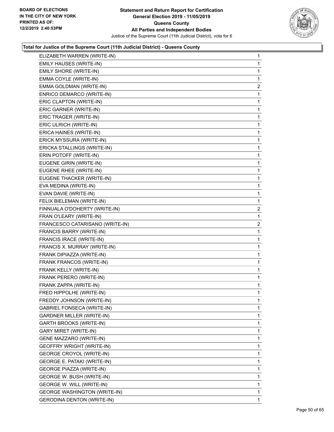

| ELIZABETH WARREN (WRITE-IN)         | $\mathbf{1}$ |
|-------------------------------------|--------------|
| EMILY HAUSES (WRITE-IN)             | 1            |
| EMILY SHORE (WRITE-IN)              | 1            |
| EMMA COYLE (WRITE-IN)               | 1            |
| EMMA GOLDMAN (WRITE-IN)             | 2            |
| ENRICO DEMARCO (WRITE-IN)           | 1            |
| ERIC CLAPTON (WRITE-IN)             | 1            |
| ERIC GARNER (WRITE-IN)              | 1            |
| ERIC TRAGER (WRITE-IN)              | 1            |
| ERIC ULRICH (WRITE-IN)              | 1            |
| ERICA HAINES (WRITE-IN)             | 1            |
| ERICK MYSSURA (WRITE-IN)            | 1            |
| ERICKA STALLINGS (WRITE-IN)         | 1            |
| ERIN POTOFF (WRITE-IN)              | 1            |
| EUGENE GIRIN (WRITE-IN)             | 1            |
| EUGENE RHEE (WRITE-IN)              | 1            |
| EUGENE THACKER (WRITE-IN)           | 1            |
| EVA MEDINA (WRITE-IN)               | 1            |
| EVAN DAVIE (WRITE-IN)               | 1            |
| FELIX BIELEMAN (WRITE-IN)           | 1            |
| FINNUALA O'DOHERTY (WRITE-IN)       | 2            |
| FRAN O'LEARY (WRITE-IN)             | 1            |
| FRANCESCO CATARISANO (WRITE-IN)     | 2            |
| FRANCIS BARRY (WRITE-IN)            | 1            |
| FRANCIS IRACE (WRITE-IN)            | 1            |
| FRANCIS X. MURRAY (WRITE-IN)        | 1            |
| FRANK DIPIAZZA (WRITE-IN)           | 1            |
| FRANK FRANCOS (WRITE-IN)            | 1            |
| FRANK KELLY (WRITE-IN)              | 1            |
| FRANK PERERO (WRITE-IN)             | 1            |
| FRANK ZAPPA (WRITE-IN)              | 1            |
| FRED HIPPOLHE (WRITE-IN)            | 1            |
| FREDDY JOHNSON (WRITE-IN)           | 1            |
| <b>GABRIEL FONSECA (WRITE-IN)</b>   | 1            |
| <b>GARDNER MILLER (WRITE-IN)</b>    | 1            |
| <b>GARTH BROOKS (WRITE-IN)</b>      | 1            |
| GARY MIRET (WRITE-IN)               | 1            |
| GENE MAZZARO (WRITE-IN)             | 1            |
| <b>GEOFFRY WRIGHT (WRITE-IN)</b>    | 1            |
| <b>GEORGE CROYOL (WRITE-IN)</b>     | 1            |
| <b>GEORGE E. PATAKI (WRITE-IN)</b>  | 1            |
| <b>GEORGE PIAZZA (WRITE-IN)</b>     | 1            |
| GEORGE W. BUSH (WRITE-IN)           | 1            |
| GEORGE W. WILL (WRITE-IN)           | 1            |
| <b>GEORGE WASHINGTON (WRITE-IN)</b> | 1            |
| <b>GERODINA DENTON (WRITE-IN)</b>   | 1.           |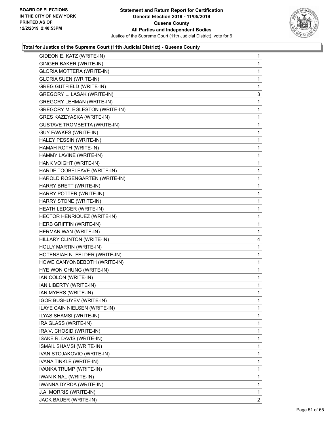

| GIDEON E. KATZ (WRITE-IN)             | $\mathbf 1$ |
|---------------------------------------|-------------|
| GINGER BAKER (WRITE-IN)               | 1           |
| <b>GLORIA MOTTERA (WRITE-IN)</b>      | 1           |
| <b>GLORIA SUEN (WRITE-IN)</b>         | 1           |
| <b>GREG GUTFIELD (WRITE-IN)</b>       | 1           |
| GREGORY L. LASAK (WRITE-IN)           | 3           |
| <b>GREGORY LEHMAN (WRITE-IN)</b>      | 1           |
| <b>GREGORY M. EGLESTON (WRITE-IN)</b> | 1           |
| GRES KAZEYASKA (WRITE-IN)             | 1           |
| <b>GUSTAVE TROMBETTA (WRITE-IN)</b>   | 1           |
| GUY FAWKES (WRITE-IN)                 | 1           |
| HALEY PESSIN (WRITE-IN)               | 1           |
| HAMAH ROTH (WRITE-IN)                 | 1           |
| HAMMY LAVINE (WRITE-IN)               | 1           |
| HANK VOIGHT (WRITE-IN)                | 1           |
| HARDE TOOBELEAVE (WRITE-IN)           | 1           |
| HAROLD ROSENGARTEN (WRITE-IN)         | 1           |
| HARRY BRETT (WRITE-IN)                | 1           |
| HARRY POTTER (WRITE-IN)               | 1           |
| HARRY STONE (WRITE-IN)                | 1           |
| HEATH LEDGER (WRITE-IN)               | 1           |
| HECTOR HENRIQUEZ (WRITE-IN)           | 1           |
| HERB GRIFFIN (WRITE-IN)               | 1           |
|                                       |             |
| HERMAN WAN (WRITE-IN)                 | 1           |
| HILLARY CLINTON (WRITE-IN)            | 4           |
| HOLLY MARTIN (WRITE-IN)               | 1           |
| HOTENSIAH N. FELDER (WRITE-IN)        | 1           |
| HOWE CANYONBEBOTH (WRITE-IN)          | 1           |
| HYE WON CHUNG (WRITE-IN)              | 1           |
| IAN COLON (WRITE-IN)                  | 1           |
| IAN LIBERTY (WRITE-IN)                | 1           |
| IAN MYERS (WRITE-IN)                  | 1           |
| <b>IGOR BUSHUYEV (WRITE-IN)</b>       | 1           |
| ILAYE CAIN NIELSEN (WRITE-IN)         | 1           |
| ILYAS SHAMSI (WRITE-IN)               | 1           |
| IRA GLASS (WRITE-IN)                  | 1           |
| IRA V. CHOSID (WRITE-IN)              | 1           |
| ISAKE R. DAVIS (WRITE-IN)             | 1           |
| ISMAIL SHAMSI (WRITE-IN)              | 1           |
| IVAN STOJAKOVIO (WRITE-IN)            | 1           |
| IVANA TINKLE (WRITE-IN)               | 1           |
| IVANKA TRUMP (WRITE-IN)               | 1           |
| IWAN KINAL (WRITE-IN)                 | 1           |
| IWANNA DYRDA (WRITE-IN)               | 1           |
| J.A. MORRIS (WRITE-IN)                | 1           |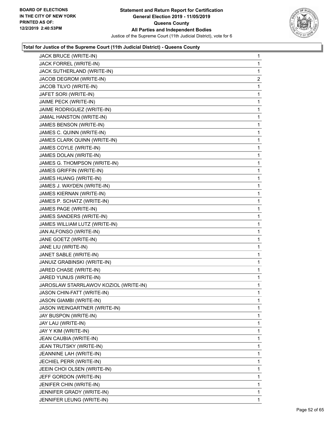

| JACK BRUCE (WRITE-IN)                 | 1              |
|---------------------------------------|----------------|
| JACK FORREL (WRITE-IN)                | 1              |
| JACK SUTHERLAND (WRITE-IN)            | 1              |
| JACOB DEGROM (WRITE-IN)               | $\overline{c}$ |
| JACOB TILVO (WRITE-IN)                | 1              |
| JAFET SORI (WRITE-IN)                 | 1              |
| JAIME PECK (WRITE-IN)                 | 1              |
| JAIME RODRIGUEZ (WRITE-IN)            | 1              |
| JAMAL HANSTON (WRITE-IN)              | 1              |
| JAMES BENSON (WRITE-IN)               | 1              |
| JAMES C. QUINN (WRITE-IN)             | 1              |
| JAMES CLARK QUINN (WRITE-IN)          | 1              |
| JAMES COYLE (WRITE-IN)                | 1              |
| JAMES DOLAN (WRITE-IN)                | 1              |
| JAMES G. THOMPSON (WRITE-IN)          | 1              |
| JAMES GRIFFIN (WRITE-IN)              | 1              |
| JAMES HUANG (WRITE-IN)                | 1              |
| JAMES J. WAYDEN (WRITE-IN)            | 1              |
| JAMES KIERNAN (WRITE-IN)              | 1              |
| JAMES P. SCHATZ (WRITE-IN)            | 1              |
| JAMES PAGE (WRITE-IN)                 | 1              |
| JAMES SANDERS (WRITE-IN)              | 1              |
| JAMES WILLIAM LUTZ (WRITE-IN)         | 1              |
| JAN ALFONSO (WRITE-IN)                | 1              |
| JANE GOETZ (WRITE-IN)                 | 1              |
| JANE LIU (WRITE-IN)                   | 1              |
| JANET SABLE (WRITE-IN)                | 1              |
| JANUIZ GRABINSKI (WRITE-IN)           | 1              |
| JARED CHASE (WRITE-IN)                | 1              |
| JARED YUNUS (WRITE-IN)                | 1              |
| JAROSLAW STARRLAWOV KOZIOL (WRITE-IN) | 1              |
| JASON CHIN-FATT (WRITE-IN)            | 1              |
| <b>JASON GIAMBI (WRITE-IN)</b>        | 1              |
| JASON WEINGARTNER (WRITE-IN)          | 1              |
| JAY BUSPON (WRITE-IN)                 | 1              |
| JAY LAU (WRITE-IN)                    | 1              |
| JAY Y KIM (WRITE-IN)                  | 1              |
| JEAN CAUBIA (WRITE-IN)                | 1              |
| JEAN TRUTSKY (WRITE-IN)               | 1              |
| JEANNINE LAH (WRITE-IN)               | 1              |
| JECHIEL PERR (WRITE-IN)               | 1              |
| JEEIN CHOI OLSEN (WRITE-IN)           | 1              |
| JEFF GORDON (WRITE-IN)                | 1              |
| JENIFER CHIN (WRITE-IN)               | 1              |
| JENNIFER GRADY (WRITE-IN)             | 1              |
| JENNIFER LEUNG (WRITE-IN)             | 1              |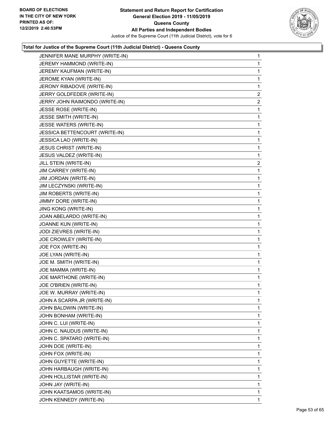

| JENNIFER MANE MURPHY (WRITE-IN) | 1              |
|---------------------------------|----------------|
| JEREMY HAMMOND (WRITE-IN)       | 1              |
| JEREMY KAUFMAN (WRITE-IN)       | 1              |
| JEROME KYAN (WRITE-IN)          | 1              |
| JERONY RIBADOVE (WRITE-IN)      | 1              |
| JERRY GOLDFEDER (WRITE-IN)      | 2              |
| JERRY JOHN RAIMONDO (WRITE-IN)  | $\overline{2}$ |
| JESSE ROSE (WRITE-IN)           | 1              |
| JESSE SMITH (WRITE-IN)          | 1              |
| JESSE WATERS (WRITE-IN)         | 1              |
| JESSICA BETTENCOURT (WRITE-IN)  | 1              |
| JESSICA LAO (WRITE-IN)          | 1              |
| <b>JESUS CHRIST (WRITE-IN)</b>  | 1              |
| JESUS VALDEZ (WRITE-IN)         | 1              |
| JILL STEIN (WRITE-IN)           | 2              |
| JIM CARREY (WRITE-IN)           | 1              |
| JIM JORDAN (WRITE-IN)           | 1              |
| JIM LECZYNSKI (WRITE-IN)        | 1              |
| JIM ROBERTS (WRITE-IN)          | 1              |
| JIMMY DORE (WRITE-IN)           | 1              |
| JING KONG (WRITE-IN)            | 1              |
| JOAN ABELARDO (WRITE-IN)        | 1              |
| JOANNE KUN (WRITE-IN)           | 1              |
| JODI ZIEVRES (WRITE-IN)         | 1              |
| JOE CROWLEY (WRITE-IN)          | 1              |
| JOE FOX (WRITE-IN)              | 1              |
| JOE LYAN (WRITE-IN)             | 1              |
| JOE M. SMITH (WRITE-IN)         | 1              |
| JOE MAMMA (WRITE-IN)            | 1              |
| JOE MARTHONE (WRITE-IN)         | 1              |
| JOE O'BRIEN (WRITE-IN)          | 1              |
| JOE W. MURRAY (WRITE-IN)        | 1              |
| JOHN A SCARPA JR (WRITE-IN)     | 1              |
| JOHN BALDWIN (WRITE-IN)         | 1              |
| JOHN BONHAM (WRITE-IN)          | 1              |
| JOHN C. LUI (WRITE-IN)          | 1              |
| JOHN C. NAUDUS (WRITE-IN)       | 1              |
| JOHN C. SPATARO (WRITE-IN)      | 1              |
| JOHN DOE (WRITE-IN)             | 1              |
| JOHN FOX (WRITE-IN)             | 1              |
| JOHN GUYETTE (WRITE-IN)         | 1              |
| JOHN HARBAUGH (WRITE-IN)        | 1              |
| JOHN HOLLISTAR (WRITE-IN)       | 1              |
| JOHN JAY (WRITE-IN)             | 1              |
| JOHN KAATSAMOS (WRITE-IN)       | 1              |
| JOHN KENNEDY (WRITE-IN)         | 1.             |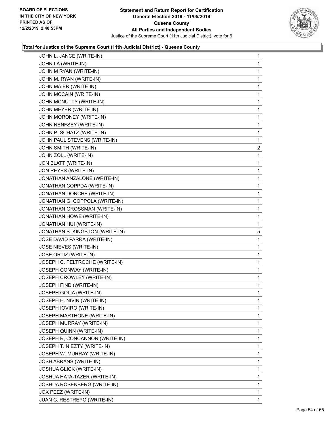

| JOHN L. JANCE (WRITE-IN)        | 1              |
|---------------------------------|----------------|
| JOHN LA (WRITE-IN)              | $\mathbf{1}$   |
| JOHN M RYAN (WRITE-IN)          | 1              |
| JOHN M. RYAN (WRITE-IN)         | 1              |
| JOHN MAIER (WRITE-IN)           | 1              |
| JOHN MCCAIN (WRITE-IN)          | 1              |
| JOHN MCNUTTY (WRITE-IN)         | 1              |
| JOHN MEYER (WRITE-IN)           | 1              |
| JOHN MORONEY (WRITE-IN)         | 1              |
| JOHN NENFSEY (WRITE-IN)         | 1              |
| JOHN P. SCHATZ (WRITE-IN)       | 1              |
| JOHN PAUL STEVENS (WRITE-IN)    | 1              |
| JOHN SMITH (WRITE-IN)           | $\overline{c}$ |
| JOHN ZOLL (WRITE-IN)            | 1              |
| JON BLATT (WRITE-IN)            | 1              |
| JON REYES (WRITE-IN)            | 1              |
| JONATHAN ANZALONE (WRITE-IN)    | 1              |
| JONATHAN COPPDA (WRITE-IN)      | 1              |
| JONATHAN DONCHE (WRITE-IN)      | 1              |
| JONATHAN G. COPPOLA (WRITE-IN)  | 1              |
| JONATHAN GROSSMAN (WRITE-IN)    | 1              |
| JONATHAN HOWE (WRITE-IN)        | 1              |
| JONATHAN HUI (WRITE-IN)         | 1              |
| JONATHAN S. KINGSTON (WRITE-IN) | 5              |
| JOSE DAVID PARRA (WRITE-IN)     | 1              |
| JOSE NIEVES (WRITE-IN)          | 1              |
| JOSE ORTIZ (WRITE-IN)           | 1              |
| JOSEPH C. PELTROCHE (WRITE-IN)  | 1              |
| JOSEPH CONWAY (WRITE-IN)        | 1              |
| JOSEPH CROWLEY (WRITE-IN)       | 1              |
| JOSEPH FIND (WRITE-IN)          | 1              |
| JOSEPH GOLIA (WRITE-IN)         | 1              |
| JOSEPH H. NIVIN (WRITE-IN)      | 1              |
| JOSEPH IOVIRO (WRITE-IN)        | 1              |
| JOSEPH MARTHONE (WRITE-IN)      | 1              |
| JOSEPH MURRAY (WRITE-IN)        | 1              |
| JOSEPH QUINN (WRITE-IN)         | 1              |
| JOSEPH R, CONCANNON (WRITE-IN)  | 1              |
| JOSEPH T. NIEZTY (WRITE-IN)     | 1              |
| JOSEPH W. MURRAY (WRITE-IN)     | 1              |
| JOSH ABRANS (WRITE-IN)          | 1              |
| JOSHUA GLICK (WRITE-IN)         | 1              |
| JOSHUA HATA-TAZER (WRITE-IN)    | 1              |
| JOSHUA ROSENBERG (WRITE-IN)     | 1              |
| JOX PEEZ (WRITE-IN)             | 1              |
| JUAN C. RESTREPO (WRITE-IN)     | 1              |
|                                 |                |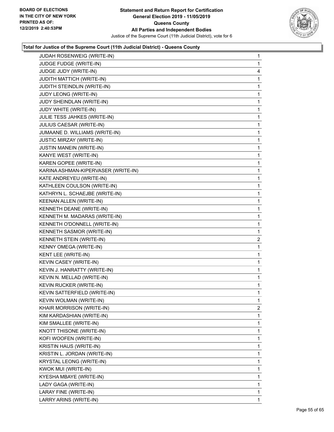

| <b>JUDAH ROSENWEIG (WRITE-IN)</b>   | $\mathbf{1}$   |
|-------------------------------------|----------------|
| JUDGE FUDGE (WRITE-IN)              | 1              |
| JUDGE JUDY (WRITE-IN)               | 4              |
| JUDITH MATTICH (WRITE-IN)           | 1              |
| JUDITH STEINDLIN (WRITE-IN)         | 1              |
| JUDY LEONG (WRITE-IN)               | 1              |
| <b>JUDY SHEINDLAN (WRITE-IN)</b>    | 1              |
| JUDY WHITE (WRITE-IN)               | 1              |
| JULIE TESS JAHKES (WRITE-IN)        | 1              |
| JULIUS CAESAR (WRITE-IN)            | 1              |
| JUMAANE D. WILLIAMS (WRITE-IN)      | 1              |
| <b>JUSTIC MIRZAY (WRITE-IN)</b>     | 1              |
| JUSTIN MANEIN (WRITE-IN)            | 1              |
| KANYE WEST (WRITE-IN)               | 1              |
| KAREN GOPEE (WRITE-IN)              | 1              |
| KARINA ASHMAN-KIPERVASER (WRITE-IN) | 1              |
| KATE ANDREYEU (WRITE-IN)            | $\mathbf{1}$   |
| KATHLEEN COULSON (WRITE-IN)         | 1              |
| KATHRYN L. SCHAEJBE (WRITE-IN)      | 1              |
| KEENAN ALLEN (WRITE-IN)             | 1              |
| KENNETH DEANE (WRITE-IN)            | 1              |
| KENNETH M. MADARAS (WRITE-IN)       | 1              |
| KENNETH O'DONNELL (WRITE-IN)        | 1              |
| KENNETH SASMOR (WRITE-IN)           | 1              |
| KENNETH STEIN (WRITE-IN)            | $\overline{2}$ |
| KENNY OMEGA (WRITE-IN)              | 1              |
| KENT LEE (WRITE-IN)                 | 1              |
| KEVIN CASEY (WRITE-IN)              | 1              |
| KEVIN J. HANRATTY (WRITE-IN)        | $\mathbf{1}$   |
| KEVIN N. MELLAD (WRITE-IN)          | 1              |
| KEVIN RUCKER (WRITE-IN)             | 1              |
| KEVIN SATTERFIELD (WRITE-IN)        | 1              |
| KEVIN WOLMAN (WRITE-IN)             | 1              |
| KHAIR MORRISON (WRITE-IN)           | 2              |
| KIM KARDASHIAN (WRITE-IN)           | 1              |
| KIM SMALLEE (WRITE-IN)              | 1              |
| KNOTT THISONE (WRITE-IN)            | 1              |
| KOFI WOOFEN (WRITE-IN)              | 1              |
| KRISTIN HAUS (WRITE-IN)             | 1              |
| KRISTIN L. JORDAN (WRITE-IN)        | 1              |
| KRYSTAL LEONG (WRITE-IN)            | 1              |
| KWOK MUI (WRITE-IN)                 | 1              |
| KYESHA MBAYE (WRITE-IN)             | 1              |
| LADY GAGA (WRITE-IN)                | 1              |
| LARAY FINE (WRITE-IN)               | 1              |
| LARRY ARINS (WRITE-IN)              | 1              |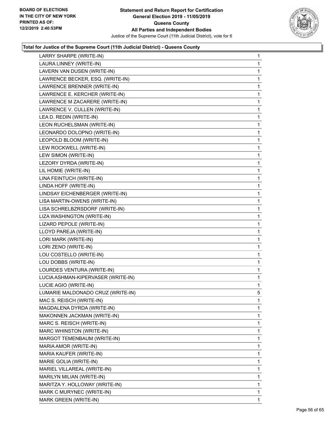

| LARRY SHARPE (WRITE-IN)            | 1            |
|------------------------------------|--------------|
| LAURA LINNEY (WRITE-IN)            | 1            |
| LAVERN VAN DUSEN (WRITE-IN)        | 1            |
| LAWRENCE BECKER, ESQ. (WRITE-IN)   | 1            |
| LAWRENCE BRENNER (WRITE-IN)        | 1            |
| LAWRENCE E. KERCHER (WRITE-IN)     | 1            |
| LAWRENCE M ZACARERE (WRITE-IN)     | $\mathbf{1}$ |
| LAWRENCE V. CULLEN (WRITE-IN)      | 1            |
| LEA D. REDIN (WRITE-IN)            | 1            |
| LEON RUCHELSMAN (WRITE-IN)         | 1            |
| LEONARDO DOLOPNO (WRITE-IN)        | 1            |
| LEOPOLD BLOOM (WRITE-IN)           | 1            |
| LEW ROCKWELL (WRITE-IN)            | $\mathbf{1}$ |
| LEW SIMON (WRITE-IN)               | 1            |
| LEZORY DYRDA (WRITE-IN)            | 1            |
| LIL HOMIE (WRITE-IN)               | 1            |
| LINA FEINTUCH (WRITE-IN)           | 1            |
| LINDA HOFF (WRITE-IN)              | 1            |
| LINDSAY EICHENBERGER (WRITE-IN)    | $\mathbf{1}$ |
| LISA MARTIN-OWENS (WRITE-IN)       | 1            |
| LISA SCHRELBZRSDORF (WRITE-IN)     | 1            |
| LIZA WASHINGTON (WRITE-IN)         | 1            |
| LIZARD PEPOLE (WRITE-IN)           | 1            |
| LLOYD PAREJA (WRITE-IN)            | 1            |
| LORI MARK (WRITE-IN)               | $\mathbf{1}$ |
| LORI ZENO (WRITE-IN)               | 1            |
| LOU COSTELLO (WRITE-IN)            | 1            |
| LOU DOBBS (WRITE-IN)               | 1            |
| LOURDES VENTURA (WRITE-IN)         | 1            |
| LUCIA ASHMAN-KIPERVASER (WRITE-IN) | 1            |
| LUCIE AGIO (WRITE-IN)              | $\mathbf{1}$ |
| LUMARIE MALDONADO CRUZ (WRITE-IN)  | 5            |
| MAC S. REISCH (WRITE-IN)           | 1            |
| MAGDALENA DYRDA (WRITE-IN)         | 1            |
| MAKONNEN JACKMAN (WRITE-IN)        | 1            |
| MARC S. REISCH (WRITE-IN)          | 1            |
| MARC WHINSTON (WRITE-IN)           | 1            |
| MARGOT TEMENBAUM (WRITE-IN)        | 1            |
| MARIA AMOR (WRITE-IN)              | 1            |
| MARIA KAUFER (WRITE-IN)            | 1            |
| MARIE GOLIA (WRITE-IN)             | 1            |
| MARIEL VILLAREAL (WRITE-IN)        | 1            |
| MARILYN MILIAN (WRITE-IN)          | 1            |
| MARITZA Y. HOLLOWAY (WRITE-IN)     | 1            |
| MARK C MURYNEC (WRITE-IN)          | 1            |
|                                    |              |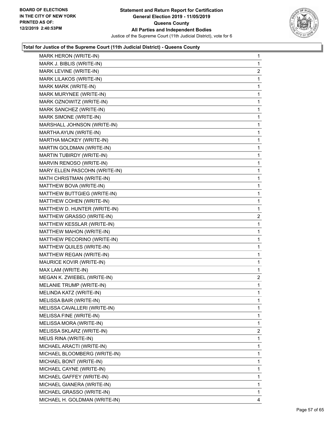

| MARK HERON (WRITE-IN)         | $\mathbf{1}$   |
|-------------------------------|----------------|
| MARK J. BIBLIS (WRITE-IN)     | 1              |
| MARK LEVINE (WRITE-IN)        | $\overline{2}$ |
| MARK LILAKOS (WRITE-IN)       | $\mathbf{1}$   |
| MARK MARK (WRITE-IN)          | 1              |
| MARK MURYNEE (WRITE-IN)       | 1              |
| MARK OZNOWITZ (WRITE-IN)      | $\mathbf{1}$   |
| MARK SANCHEZ (WRITE-IN)       | $\mathbf{1}$   |
| MARK SIMONE (WRITE-IN)        | 1              |
| MARSHALL JOHNSON (WRITE-IN)   | $\mathbf{1}$   |
| MARTHA AYUN (WRITE-IN)        | 1              |
| MARTHA MACKEY (WRITE-IN)      | 1              |
| MARTIN GOLDMAN (WRITE-IN)     | $\mathbf{1}$   |
| MARTIN TUBIRDY (WRITE-IN)     | $\mathbf{1}$   |
| MARVIN RENOSO (WRITE-IN)      | 1              |
| MARY ELLEN PASCOHN (WRITE-IN) | $\mathbf{1}$   |
| MATH CHRISTMAN (WRITE-IN)     | 1              |
| MATTHEW BOVA (WRITE-IN)       | 1              |
| MATTHEW BUTTGIEG (WRITE-IN)   | $\mathbf{1}$   |
| MATTHEW COHEN (WRITE-IN)      | $\mathbf{1}$   |
| MATTHEW D. HUNTER (WRITE-IN)  | 1              |
| MATTHEW GRASSO (WRITE-IN)     | $\overline{c}$ |
| MATTHEW KESSLAR (WRITE-IN)    | 1              |
| MATTHEW MAHON (WRITE-IN)      | 1              |
| MATTHEW PECORINO (WRITE-IN)   | $\mathbf{1}$   |
| MATTHEW QUILES (WRITE-IN)     | 1              |
| MATTHEW REGAN (WRITE-IN)      | 1              |
| MAURICE KOVIR (WRITE-IN)      | $\mathbf{1}$   |
| MAX LAM (WRITE-IN)            | 1              |
| MEGAN K. ZWIEBEL (WRITE-IN)   | $\overline{2}$ |
| MELANIE TRUMP (WRITE-IN)      | $\mathbf{1}$   |
| MELINDA KATZ (WRITE-IN)       | 1              |
| MELISSA BAIR (WRITE-IN)       | 1              |
| MELISSA CAVALLERI (WRITE-IN)  | 1              |
| MELISSA FINE (WRITE-IN)       | 1              |
| MELISSA MORA (WRITE-IN)       | 1              |
| MELISSA SKLARZ (WRITE-IN)     | $\overline{2}$ |
| MEUS RINA (WRITE-IN)          | 1              |
| MICHAEL ARACTI (WRITE-IN)     | 1              |
| MICHAEL BLOOMBERG (WRITE-IN)  | 1              |
| MICHAEL BONT (WRITE-IN)       | 1              |
| MICHAEL CAYNE (WRITE-IN)      | 1              |
| MICHAEL GAFFEY (WRITE-IN)     | 1              |
| MICHAEL GIANERA (WRITE-IN)    | 1              |
| MICHAEL GRASSO (WRITE-IN)     | 1              |
| MICHAEL H. GOLDMAN (WRITE-IN) | 4              |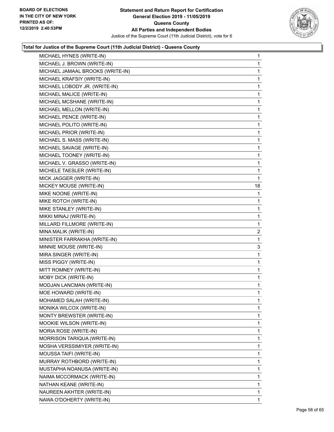

| MICHAEL HYNES (WRITE-IN)         | $\mathbf{1}$ |
|----------------------------------|--------------|
| MICHAEL J. BROWN (WRITE-IN)      | 1            |
| MICHAEL JAMAAL BROOKS (WRITE-IN) | 1            |
| MICHAEL KRAFSIY (WRITE-IN)       | $\mathbf{1}$ |
| MICHAEL LOBODY JR. (WRITE-IN)    | 1            |
| MICHAEL MALICE (WRITE-IN)        | 1            |
| MICHAEL MCSHANE (WRITE-IN)       | $\mathbf{1}$ |
| MICHAEL MELLON (WRITE-IN)        | 1            |
| MICHAEL PENCE (WRITE-IN)         | 1            |
| MICHAEL POLITO (WRITE-IN)        | $\mathbf{1}$ |
| MICHAEL PRIOR (WRITE-IN)         | 1            |
| MICHAEL S. MASS (WRITE-IN)       | 1            |
| MICHAEL SAVAGE (WRITE-IN)        | $\mathbf{1}$ |
| MICHAEL TOONEY (WRITE-IN)        | 1            |
| MICHAEL V. GRASSO (WRITE-IN)     | 1            |
| MICHELE TAESLER (WRITE-IN)       | $\mathbf 1$  |
| MICK JAGGER (WRITE-IN)           | 1            |
| MICKEY MOUSE (WRITE-IN)          | 18           |
| MIKE NOONE (WRITE-IN)            | 1            |
| MIKE ROTCH (WRITE-IN)            | 1            |
| MIKE STANLEY (WRITE-IN)          | 1            |
| MIKKI MINAJ (WRITE-IN)           | $\mathbf 1$  |
| MILLARD FILLMORE (WRITE-IN)      | 1            |
| MINA MALIK (WRITE-IN)            | 2            |
| MINISTER FARRAKHA (WRITE-IN)     | 1            |
| MINNIE MOUSE (WRITE-IN)          | 3            |
| MIRA SINGER (WRITE-IN)           | 1            |
| MISS PIGGY (WRITE-IN)            | $\mathbf 1$  |
| MITT ROMNEY (WRITE-IN)           | 1            |
| <b>MOBY DICK (WRITE-IN)</b>      | 1            |
| MODJAN LANCMAN (WRITE-IN)        | $\mathbf 1$  |
| MOE HOWARD (WRITE-IN)            | 1            |
| MOHAMED SALAH (WRITE-IN)         | $\mathbf 1$  |
| MONIKA WILCOX (WRITE-IN)         | 1            |
| MONTY BREWSTER (WRITE-IN)        | 1            |
| MOOKIE WILSON (WRITE-IN)         | 1            |
| MORIA ROSE (WRITE-IN)            | 1            |
| MORRISON TARIQUA (WRITE-IN)      | 1            |
| MOSHA VERSSIMIYER (WRITE-IN)     | 1            |
| MOUSSA TAIFI (WRITE-IN)          | 1            |
| MURRAY ROTHBORD (WRITE-IN)       | 1            |
| MUSTAPHA NOANUSA (WRITE-IN)      | 1            |
| NAIMA MCCORMACK (WRITE-IN)       | 1            |
| NATHAN KEANE (WRITE-IN)          | 1            |
| NAUREEN AKHTER (WRITE-IN)        | $\mathbf{1}$ |
| NAWA O'DOHERTY (WRITE-IN)        | 1            |
|                                  |              |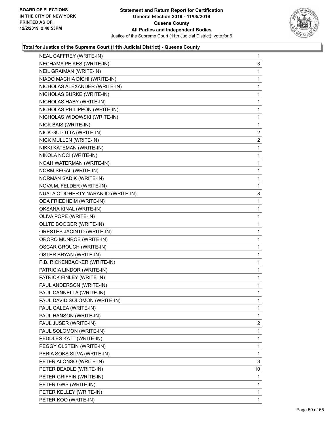

| NEAL CAFFREY (WRITE-IN)            | 1            |
|------------------------------------|--------------|
| NECHAMA PEIKES (WRITE-IN)          | 3            |
| NEIL GRAIMAN (WRITE-IN)            | 1            |
| NIADO MACHIA DICHI (WRITE-IN)      | 1            |
| NICHOLAS ALEXANDER (WRITE-IN)      | 1            |
| NICHOLAS BURKE (WRITE-IN)          | 1            |
| NICHOLAS HABY (WRITE-IN)           | 1            |
| NICHOLAS PHILIPPON (WRITE-IN)      | 1            |
| NICHOLAS WIDOWSKI (WRITE-IN)       | 1            |
| NICK BAIS (WRITE-IN)               | 1            |
| NICK GULOTTA (WRITE-IN)            | 2            |
| NICK MULLEN (WRITE-IN)             | 2            |
| NIKKI KATEMAN (WRITE-IN)           | 1            |
| NIKOLA NOCI (WRITE-IN)             | 1            |
| NOAH WATERMAN (WRITE-IN)           | 1            |
| NORM SEGAL (WRITE-IN)              | 1            |
| <b>NORMAN SADIK (WRITE-IN)</b>     | 1            |
| NOVA M. FELDER (WRITE-IN)          | 1            |
| NUALA O'DOHERTY NARANJO (WRITE-IN) | 8            |
| ODA FRIEDHEIM (WRITE-IN)           | 1            |
| OKSANA KINAL (WRITE-IN)            | 1            |
| OLIVA POPE (WRITE-IN)              | 1            |
| OLLTE BOOGER (WRITE-IN)            | 1            |
| ORESTES JACINTO (WRITE-IN)         | 1            |
| ORORO MUNROE (WRITE-IN)            | 1            |
| <b>OSCAR GROUCH (WRITE-IN)</b>     | 1            |
| OSTER BRYAN (WRITE-IN)             | 1            |
| P.B. RICKENBACKER (WRITE-IN)       | 1            |
| PATRICIA LINDOR (WRITE-IN)         | $\mathbf{1}$ |
| PATRICK FINLEY (WRITE-IN)          | 1            |
| PAUL ANDERSON (WRITE-IN)           | 1            |
| PAUL CANNELLA (WRITE-IN)           | 1            |
| PAUL DAVID SOLOMON (WRITE-IN)      | 1            |
| PAUL GALEA (WRITE-IN)              | 1            |
| PAUL HANSON (WRITE-IN)             | 1            |
| PAUL JUSER (WRITE-IN)              | 2            |
| PAUL SOLOMON (WRITE-IN)            | 1            |
| PEDDLES KATT (WRITE-IN)            | 1            |
| PEGGY OLSTEIN (WRITE-IN)           | 1            |
| PERIA SOKS SILVA (WRITE-IN)        | 1            |
| PETER ALONSO (WRITE-IN)            | 3            |
| PETER BEADLE (WRITE-IN)            | 10           |
| PETER GRIFFIN (WRITE-IN)           | 1            |
| PETER GWS (WRITE-IN)               | 1            |
| PETER KELLEY (WRITE-IN)            | 1            |
| PETER KOO (WRITE-IN)               | $\mathbf{1}$ |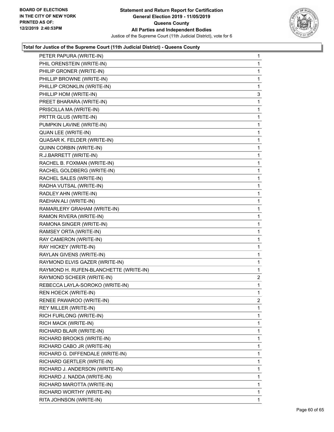

| PETER PAPURA (WRITE-IN)                | 1              |
|----------------------------------------|----------------|
| PHIL ORENSTEIN (WRITE-IN)              | 1              |
| PHILIP GRONER (WRITE-IN)               | 1              |
| PHILLIP BROWNE (WRITE-IN)              | 1              |
| PHILLIP CRONKLIN (WRITE-IN)            | 1              |
| PHILLIP HOM (WRITE-IN)                 | 3              |
| PREET BHARARA (WRITE-IN)               | 1              |
| PRISCILLA MA (WRITE-IN)                | 1              |
| PRTTR GLUS (WRITE-IN)                  | 1              |
| PUMPKIN LAVINE (WRITE-IN)              | 1              |
| QUAN LEE (WRITE-IN)                    | 1              |
| QUASAR K. FELDER (WRITE-IN)            | 1              |
| QUINN CORBIN (WRITE-IN)                | 1              |
| R.J.BARRETT (WRITE-IN)                 | 1              |
| RACHEL B. FOXMAN (WRITE-IN)            | 1              |
| RACHEL GOLDBERG (WRITE-IN)             | 1              |
| RACHEL SALES (WRITE-IN)                | 1              |
| RADHA VUTSAL (WRITE-IN)                | 1              |
| RADLEY AHN (WRITE-IN)                  | 1              |
| RAEHAN ALI (WRITE-IN)                  | 1              |
| RAMARLERY GRAHAM (WRITE-IN)            | 1              |
| RAMON RIVERA (WRITE-IN)                | 1              |
| RAMONA SINGER (WRITE-IN)               | 1              |
| RAMSEY ORTA (WRITE-IN)                 | 1              |
| RAY CAMERON (WRITE-IN)                 | 1              |
| RAY HICKEY (WRITE-IN)                  | 1              |
| RAYLAN GIVENS (WRITE-IN)               | 1              |
| RAYMOND ELVIS GAZER (WRITE-IN)         | 1              |
| RAYMOND H. RUFEN-BLANCHETTE (WRITE-IN) | 1              |
| RAYMOND SCHEER (WRITE-IN)              | $\overline{2}$ |
| REBECCA LAYLA-SOROKO (WRITE-IN)        | 1              |
| REN HOECK (WRITE-IN)                   | 1              |
| RENEE PAWAROO (WRITE-IN)               | 2              |
| REY MILLER (WRITE-IN)                  | 1              |
| RICH FURLONG (WRITE-IN)                | 1              |
| RICH MACK (WRITE-IN)                   | 1              |
| RICHARD BLAIR (WRITE-IN)               | 1              |
| RICHARD BROOKS (WRITE-IN)              | 1              |
| RICHARD CABO JR (WRITE-IN)             | 1              |
| RICHARD G. DIFFENDALE (WRITE-IN)       | 1              |
| RICHARD GERTLER (WRITE-IN)             | 1              |
| RICHARD J. ANDERSON (WRITE-IN)         | 1              |
| RICHARD J. NADDA (WRITE-IN)            | 1              |
| RICHARD MAROTTA (WRITE-IN)             | 1              |
| RICHARD WORTHY (WRITE-IN)              | 1              |
| RITA JOHNSON (WRITE-IN)                | 1              |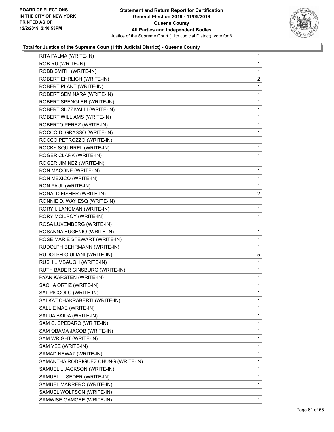

| RITA PALMA (WRITE-IN)               | 1              |
|-------------------------------------|----------------|
| ROB RU (WRITE-IN)                   | 1              |
| ROBB SMITH (WRITE-IN)               | 1              |
| ROBERT EHRLICH (WRITE-IN)           | $\overline{2}$ |
| ROBERT PLANT (WRITE-IN)             | 1              |
| ROBERT SEMINARA (WRITE-IN)          | 1              |
| ROBERT SPENGLER (WRITE-IN)          | 1              |
| ROBERT SUZZIVALLI (WRITE-IN)        | 1              |
| ROBERT WILLIAMS (WRITE-IN)          | 1              |
| ROBERTO PEREZ (WRITE-IN)            | 1              |
| ROCCO D. GRASSO (WRITE-IN)          | 1              |
| ROCCO PETROZZO (WRITE-IN)           | 1              |
| ROCKY SQUIRREL (WRITE-IN)           | 1              |
| ROGER CLARK (WRITE-IN)              | 1              |
| ROGER JIMINEZ (WRITE-IN)            | 1              |
| RON MACONE (WRITE-IN)               | 1              |
| RON MEXICO (WRITE-IN)               | 1              |
| RON PAUL (WRITE-IN)                 | 1              |
| RONALD FISHER (WRITE-IN)            | $\overline{2}$ |
| RONNIE D. WAY ESQ (WRITE-IN)        | 1              |
| RORY I. LANCMAN (WRITE-IN)          | 1              |
| RORY MCILROY (WRITE-IN)             | 1              |
| ROSA LUXEMBERG (WRITE-IN)           | 1              |
| ROSANNA EUGENIO (WRITE-IN)          | 1              |
| ROSE MARIE STEWART (WRITE-IN)       | 1              |
| RUDOLPH BEHRMANN (WRITE-IN)         | 1              |
| RUDOLPH GIULIANI (WRITE-IN)         | 5              |
| RUSH LIMBAUGH (WRITE-IN)            | 1              |
| RUTH BADER GINSBURG (WRITE-IN)      | 1              |
| RYAN KARSTEN (WRITE-IN)             | $\mathbf{1}$   |
| SACHA ORTIZ (WRITE-IN)              | 1              |
| SAL PICCOLO (WRITE-IN)              | 1              |
| SALKAT CHAKRABERTI (WRITE-IN)       | 1              |
| SALLIE MAE (WRITE-IN)               | 1              |
| SALUA BAIDA (WRITE-IN)              | 1              |
| SAM C. SPEDARO (WRITE-IN)           | 1              |
| SAM OBAMA JACOB (WRITE-IN)          | 1              |
| SAM WRIGHT (WRITE-IN)               | 1              |
| SAM YEE (WRITE-IN)                  | 1              |
| SAMAD NEWAZ (WRITE-IN)              | 1              |
| SAMANTHA RODRIGUEZ CHUNG (WRITE-IN) | 1              |
| SAMUEL L JACKSON (WRITE-IN)         | 1              |
| SAMUEL L. SEDER (WRITE-IN)          | 1              |
| SAMUEL MARRERO (WRITE-IN)           | 1              |
| SAMUEL WOLFSON (WRITE-IN)           | 1              |
| SAMWISE GAMGEE (WRITE-IN)           | 1              |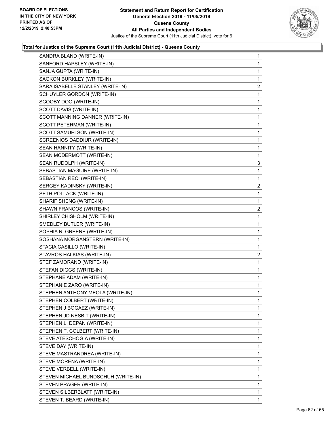

| SANDRA BLAND (WRITE-IN)             | 1              |
|-------------------------------------|----------------|
| SANFORD HAPSLEY (WRITE-IN)          | 1              |
| SANJA GUPTA (WRITE-IN)              | 1              |
| SAQKON BURKLEY (WRITE-IN)           | 1              |
| SARA ISABELLE STANLEY (WRITE-IN)    | $\overline{c}$ |
| SCHUYLER GORDON (WRITE-IN)          | 1              |
| SCOOBY DOO (WRITE-IN)               | 1              |
| SCOTT DAVIS (WRITE-IN)              | 1              |
| SCOTT MANNING DANNER (WRITE-IN)     | 1              |
| SCOTT PETERMAN (WRITE-IN)           | 1              |
| SCOTT SAMUELSON (WRITE-IN)          | 1              |
| SCREENIOS DADDIUR (WRITE-IN)        | 1              |
| SEAN HANNITY (WRITE-IN)             | 1              |
| SEAN MCDERMOTT (WRITE-IN)           | 1              |
| SEAN RUDOLPH (WRITE-IN)             | 3              |
| SEBASTIAN MAGUIRE (WRITE-IN)        | 1              |
| SEBASTIAN RECI (WRITE-IN)           | 1              |
| SERGEY KADINSKY (WRITE-IN)          | $\overline{2}$ |
| SETH POLLACK (WRITE-IN)             | 1              |
| SHARIF SHENG (WRITE-IN)             | 1              |
| SHAWN FRANCOS (WRITE-IN)            | $\overline{c}$ |
| SHIRLEY CHISHOLM (WRITE-IN)         | 1              |
| SMEDLEY BUTLER (WRITE-IN)           | 1              |
| SOPHIA N. GREENE (WRITE-IN)         | 1              |
| SOSHANA MORGANSTERN (WRITE-IN)      | 1              |
| STACIA CASILLO (WRITE-IN)           | 1              |
| STAVROS HALKIAS (WRITE-IN)          | $\overline{c}$ |
| STEF ZAMORAND (WRITE-IN)            | 1              |
| STEFAN DIGGS (WRITE-IN)             | 1              |
| STEPHANE ADAM (WRITE-IN)            | 1              |
| STEPHANIE ZARO (WRITE-IN)           | 1              |
| STEPHEN ANTHONY MEOLA (WRITE-IN)    | 1              |
| STEPHEN COLBERT (WRITE-IN)          | 1              |
| STEPHEN J BOGAEZ (WRITE-IN)         | 1              |
| STEPHEN JD NESBIT (WRITE-IN)        | 1              |
| STEPHEN L. DEPAN (WRITE-IN)         | 1              |
| STEPHEN T. COLBERT (WRITE-IN)       | 1              |
| STEVE ATESCHOGIA (WRITE-IN)         | 1              |
| STEVE DAY (WRITE-IN)                | 1              |
| STEVE MASTRANDREA (WRITE-IN)        | 1              |
| STEVE MORENA (WRITE-IN)             | 1              |
| STEVE VERBELL (WRITE-IN)            | 1              |
| STEVEN MICHAEL BUNDSCHUH (WRITE-IN) | 1              |
| STEVEN PRAGER (WRITE-IN)            | 1              |
| STEVEN SILBERBLATT (WRITE-IN)       | 1              |
| STEVEN T. BEARD (WRITE-IN)          | 1              |
|                                     |                |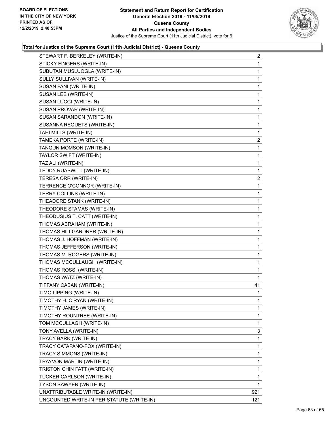

| STICKY FINGERS (WRITE-IN)<br>$\mathbf{1}$<br>SUBUTAN MUSLUOGLA (WRITE-IN)<br>1<br>SULLY SULLIVAN (WRITE-IN)<br>$\mathbf{1}$<br>SUSAN FANI (WRITE-IN)<br>1<br>SUSAN LEE (WRITE-IN)<br>1<br>SUSAN LUCCI (WRITE-IN)<br>$\mathbf{1}$<br>SUSAN PROVAR (WRITE-IN)<br>1<br>SUSAN SARANDON (WRITE-IN)<br>1<br>SUSANNA REQUETS (WRITE-IN)<br>$\mathbf{1}$<br>TAHI MILLS (WRITE-IN)<br>$\mathbf{1}$<br>TAMEKA PORTE (WRITE-IN)<br>TANQUN MOMSON (WRITE-IN)<br>$\mathbf{1}$<br>TAYLOR SWIFT (WRITE-IN)<br>$\mathbf{1}$<br>TAZ ALI (WRITE-IN)<br>1<br>TEDDY RUASWITT (WRITE-IN)<br>$\mathbf{1}$<br>TERESA ORR (WRITE-IN)<br>2<br>TERRENCE O'CONNOR (WRITE-IN)<br>1<br>TERRY COLLINS (WRITE-IN)<br>$\mathbf{1}$<br>THEADORE STANK (WRITE-IN)<br>$\mathbf{1}$<br>THEODORE STAMAS (WRITE-IN)<br>1<br>THEODUSIUS T. CATT (WRITE-IN)<br>$\mathbf{1}$<br>THOMAS ABRAHAM (WRITE-IN)<br>$\mathbf{1}$<br>THOMAS HILLGARDNER (WRITE-IN)<br>1<br>THOMAS J. HOFFMAN (WRITE-IN)<br>$\mathbf{1}$<br>THOMAS JEFFERSON (WRITE-IN)<br>$\mathbf{1}$<br>THOMAS M. ROGERS (WRITE-IN)<br>1<br>THOMAS MCCULLAUGH (WRITE-IN)<br>$\mathbf{1}$<br>THOMAS ROSSI (WRITE-IN)<br>1<br>THOMAS WATZ (WRITE-IN)<br>1<br>TIFFANY CABAN (WRITE-IN)<br>41<br>TIMO LIPPING (WRITE-IN)<br>$\mathbf{1}$<br>TIMOTHY H. O'RYAN (WRITE-IN)<br>1<br>TIMOTHY JAMES (WRITE-IN)<br>1<br>TIMOTHY ROUNTREE (WRITE-IN)<br>1<br>TOM MCCULLAGH (WRITE-IN)<br>1<br>3<br>TONY AVELLA (WRITE-IN)<br>1<br>TRACY BARK (WRITE-IN)<br>TRACY CATAPANO-FOX (WRITE-IN)<br>1<br>TRACY SIMMONS (WRITE-IN)<br>1<br>TRAYVON MARTIN (WRITE-IN)<br>1<br>TRISTON CHIN FATT (WRITE-IN)<br>1<br>1<br>TUCKER CARLSON (WRITE-IN)<br>TYSON SAWYER (WRITE-IN)<br>1<br>921<br>UNATTRIBUTABLE WRITE-IN (WRITE-IN) | STEWART F. BERKELEY (WRITE-IN)            | $\overline{2}$ |
|----------------------------------------------------------------------------------------------------------------------------------------------------------------------------------------------------------------------------------------------------------------------------------------------------------------------------------------------------------------------------------------------------------------------------------------------------------------------------------------------------------------------------------------------------------------------------------------------------------------------------------------------------------------------------------------------------------------------------------------------------------------------------------------------------------------------------------------------------------------------------------------------------------------------------------------------------------------------------------------------------------------------------------------------------------------------------------------------------------------------------------------------------------------------------------------------------------------------------------------------------------------------------------------------------------------------------------------------------------------------------------------------------------------------------------------------------------------------------------------------------------------------------------------------------------------------------------------------------------------------------------------------------------------------------------------------------------------------------|-------------------------------------------|----------------|
|                                                                                                                                                                                                                                                                                                                                                                                                                                                                                                                                                                                                                                                                                                                                                                                                                                                                                                                                                                                                                                                                                                                                                                                                                                                                                                                                                                                                                                                                                                                                                                                                                                                                                                                            |                                           |                |
|                                                                                                                                                                                                                                                                                                                                                                                                                                                                                                                                                                                                                                                                                                                                                                                                                                                                                                                                                                                                                                                                                                                                                                                                                                                                                                                                                                                                                                                                                                                                                                                                                                                                                                                            |                                           |                |
|                                                                                                                                                                                                                                                                                                                                                                                                                                                                                                                                                                                                                                                                                                                                                                                                                                                                                                                                                                                                                                                                                                                                                                                                                                                                                                                                                                                                                                                                                                                                                                                                                                                                                                                            |                                           |                |
|                                                                                                                                                                                                                                                                                                                                                                                                                                                                                                                                                                                                                                                                                                                                                                                                                                                                                                                                                                                                                                                                                                                                                                                                                                                                                                                                                                                                                                                                                                                                                                                                                                                                                                                            |                                           |                |
|                                                                                                                                                                                                                                                                                                                                                                                                                                                                                                                                                                                                                                                                                                                                                                                                                                                                                                                                                                                                                                                                                                                                                                                                                                                                                                                                                                                                                                                                                                                                                                                                                                                                                                                            |                                           |                |
|                                                                                                                                                                                                                                                                                                                                                                                                                                                                                                                                                                                                                                                                                                                                                                                                                                                                                                                                                                                                                                                                                                                                                                                                                                                                                                                                                                                                                                                                                                                                                                                                                                                                                                                            |                                           |                |
|                                                                                                                                                                                                                                                                                                                                                                                                                                                                                                                                                                                                                                                                                                                                                                                                                                                                                                                                                                                                                                                                                                                                                                                                                                                                                                                                                                                                                                                                                                                                                                                                                                                                                                                            |                                           |                |
|                                                                                                                                                                                                                                                                                                                                                                                                                                                                                                                                                                                                                                                                                                                                                                                                                                                                                                                                                                                                                                                                                                                                                                                                                                                                                                                                                                                                                                                                                                                                                                                                                                                                                                                            |                                           |                |
|                                                                                                                                                                                                                                                                                                                                                                                                                                                                                                                                                                                                                                                                                                                                                                                                                                                                                                                                                                                                                                                                                                                                                                                                                                                                                                                                                                                                                                                                                                                                                                                                                                                                                                                            |                                           |                |
|                                                                                                                                                                                                                                                                                                                                                                                                                                                                                                                                                                                                                                                                                                                                                                                                                                                                                                                                                                                                                                                                                                                                                                                                                                                                                                                                                                                                                                                                                                                                                                                                                                                                                                                            |                                           |                |
|                                                                                                                                                                                                                                                                                                                                                                                                                                                                                                                                                                                                                                                                                                                                                                                                                                                                                                                                                                                                                                                                                                                                                                                                                                                                                                                                                                                                                                                                                                                                                                                                                                                                                                                            |                                           | $\overline{2}$ |
|                                                                                                                                                                                                                                                                                                                                                                                                                                                                                                                                                                                                                                                                                                                                                                                                                                                                                                                                                                                                                                                                                                                                                                                                                                                                                                                                                                                                                                                                                                                                                                                                                                                                                                                            |                                           |                |
|                                                                                                                                                                                                                                                                                                                                                                                                                                                                                                                                                                                                                                                                                                                                                                                                                                                                                                                                                                                                                                                                                                                                                                                                                                                                                                                                                                                                                                                                                                                                                                                                                                                                                                                            |                                           |                |
|                                                                                                                                                                                                                                                                                                                                                                                                                                                                                                                                                                                                                                                                                                                                                                                                                                                                                                                                                                                                                                                                                                                                                                                                                                                                                                                                                                                                                                                                                                                                                                                                                                                                                                                            |                                           |                |
|                                                                                                                                                                                                                                                                                                                                                                                                                                                                                                                                                                                                                                                                                                                                                                                                                                                                                                                                                                                                                                                                                                                                                                                                                                                                                                                                                                                                                                                                                                                                                                                                                                                                                                                            |                                           |                |
|                                                                                                                                                                                                                                                                                                                                                                                                                                                                                                                                                                                                                                                                                                                                                                                                                                                                                                                                                                                                                                                                                                                                                                                                                                                                                                                                                                                                                                                                                                                                                                                                                                                                                                                            |                                           |                |
|                                                                                                                                                                                                                                                                                                                                                                                                                                                                                                                                                                                                                                                                                                                                                                                                                                                                                                                                                                                                                                                                                                                                                                                                                                                                                                                                                                                                                                                                                                                                                                                                                                                                                                                            |                                           |                |
|                                                                                                                                                                                                                                                                                                                                                                                                                                                                                                                                                                                                                                                                                                                                                                                                                                                                                                                                                                                                                                                                                                                                                                                                                                                                                                                                                                                                                                                                                                                                                                                                                                                                                                                            |                                           |                |
|                                                                                                                                                                                                                                                                                                                                                                                                                                                                                                                                                                                                                                                                                                                                                                                                                                                                                                                                                                                                                                                                                                                                                                                                                                                                                                                                                                                                                                                                                                                                                                                                                                                                                                                            |                                           |                |
|                                                                                                                                                                                                                                                                                                                                                                                                                                                                                                                                                                                                                                                                                                                                                                                                                                                                                                                                                                                                                                                                                                                                                                                                                                                                                                                                                                                                                                                                                                                                                                                                                                                                                                                            |                                           |                |
|                                                                                                                                                                                                                                                                                                                                                                                                                                                                                                                                                                                                                                                                                                                                                                                                                                                                                                                                                                                                                                                                                                                                                                                                                                                                                                                                                                                                                                                                                                                                                                                                                                                                                                                            |                                           |                |
|                                                                                                                                                                                                                                                                                                                                                                                                                                                                                                                                                                                                                                                                                                                                                                                                                                                                                                                                                                                                                                                                                                                                                                                                                                                                                                                                                                                                                                                                                                                                                                                                                                                                                                                            |                                           |                |
|                                                                                                                                                                                                                                                                                                                                                                                                                                                                                                                                                                                                                                                                                                                                                                                                                                                                                                                                                                                                                                                                                                                                                                                                                                                                                                                                                                                                                                                                                                                                                                                                                                                                                                                            |                                           |                |
|                                                                                                                                                                                                                                                                                                                                                                                                                                                                                                                                                                                                                                                                                                                                                                                                                                                                                                                                                                                                                                                                                                                                                                                                                                                                                                                                                                                                                                                                                                                                                                                                                                                                                                                            |                                           |                |
|                                                                                                                                                                                                                                                                                                                                                                                                                                                                                                                                                                                                                                                                                                                                                                                                                                                                                                                                                                                                                                                                                                                                                                                                                                                                                                                                                                                                                                                                                                                                                                                                                                                                                                                            |                                           |                |
|                                                                                                                                                                                                                                                                                                                                                                                                                                                                                                                                                                                                                                                                                                                                                                                                                                                                                                                                                                                                                                                                                                                                                                                                                                                                                                                                                                                                                                                                                                                                                                                                                                                                                                                            |                                           |                |
|                                                                                                                                                                                                                                                                                                                                                                                                                                                                                                                                                                                                                                                                                                                                                                                                                                                                                                                                                                                                                                                                                                                                                                                                                                                                                                                                                                                                                                                                                                                                                                                                                                                                                                                            |                                           |                |
|                                                                                                                                                                                                                                                                                                                                                                                                                                                                                                                                                                                                                                                                                                                                                                                                                                                                                                                                                                                                                                                                                                                                                                                                                                                                                                                                                                                                                                                                                                                                                                                                                                                                                                                            |                                           |                |
|                                                                                                                                                                                                                                                                                                                                                                                                                                                                                                                                                                                                                                                                                                                                                                                                                                                                                                                                                                                                                                                                                                                                                                                                                                                                                                                                                                                                                                                                                                                                                                                                                                                                                                                            |                                           |                |
|                                                                                                                                                                                                                                                                                                                                                                                                                                                                                                                                                                                                                                                                                                                                                                                                                                                                                                                                                                                                                                                                                                                                                                                                                                                                                                                                                                                                                                                                                                                                                                                                                                                                                                                            |                                           |                |
|                                                                                                                                                                                                                                                                                                                                                                                                                                                                                                                                                                                                                                                                                                                                                                                                                                                                                                                                                                                                                                                                                                                                                                                                                                                                                                                                                                                                                                                                                                                                                                                                                                                                                                                            |                                           |                |
|                                                                                                                                                                                                                                                                                                                                                                                                                                                                                                                                                                                                                                                                                                                                                                                                                                                                                                                                                                                                                                                                                                                                                                                                                                                                                                                                                                                                                                                                                                                                                                                                                                                                                                                            |                                           |                |
|                                                                                                                                                                                                                                                                                                                                                                                                                                                                                                                                                                                                                                                                                                                                                                                                                                                                                                                                                                                                                                                                                                                                                                                                                                                                                                                                                                                                                                                                                                                                                                                                                                                                                                                            |                                           |                |
|                                                                                                                                                                                                                                                                                                                                                                                                                                                                                                                                                                                                                                                                                                                                                                                                                                                                                                                                                                                                                                                                                                                                                                                                                                                                                                                                                                                                                                                                                                                                                                                                                                                                                                                            |                                           |                |
|                                                                                                                                                                                                                                                                                                                                                                                                                                                                                                                                                                                                                                                                                                                                                                                                                                                                                                                                                                                                                                                                                                                                                                                                                                                                                                                                                                                                                                                                                                                                                                                                                                                                                                                            |                                           |                |
|                                                                                                                                                                                                                                                                                                                                                                                                                                                                                                                                                                                                                                                                                                                                                                                                                                                                                                                                                                                                                                                                                                                                                                                                                                                                                                                                                                                                                                                                                                                                                                                                                                                                                                                            |                                           |                |
|                                                                                                                                                                                                                                                                                                                                                                                                                                                                                                                                                                                                                                                                                                                                                                                                                                                                                                                                                                                                                                                                                                                                                                                                                                                                                                                                                                                                                                                                                                                                                                                                                                                                                                                            |                                           |                |
|                                                                                                                                                                                                                                                                                                                                                                                                                                                                                                                                                                                                                                                                                                                                                                                                                                                                                                                                                                                                                                                                                                                                                                                                                                                                                                                                                                                                                                                                                                                                                                                                                                                                                                                            |                                           |                |
|                                                                                                                                                                                                                                                                                                                                                                                                                                                                                                                                                                                                                                                                                                                                                                                                                                                                                                                                                                                                                                                                                                                                                                                                                                                                                                                                                                                                                                                                                                                                                                                                                                                                                                                            |                                           |                |
|                                                                                                                                                                                                                                                                                                                                                                                                                                                                                                                                                                                                                                                                                                                                                                                                                                                                                                                                                                                                                                                                                                                                                                                                                                                                                                                                                                                                                                                                                                                                                                                                                                                                                                                            |                                           |                |
|                                                                                                                                                                                                                                                                                                                                                                                                                                                                                                                                                                                                                                                                                                                                                                                                                                                                                                                                                                                                                                                                                                                                                                                                                                                                                                                                                                                                                                                                                                                                                                                                                                                                                                                            |                                           |                |
|                                                                                                                                                                                                                                                                                                                                                                                                                                                                                                                                                                                                                                                                                                                                                                                                                                                                                                                                                                                                                                                                                                                                                                                                                                                                                                                                                                                                                                                                                                                                                                                                                                                                                                                            |                                           |                |
|                                                                                                                                                                                                                                                                                                                                                                                                                                                                                                                                                                                                                                                                                                                                                                                                                                                                                                                                                                                                                                                                                                                                                                                                                                                                                                                                                                                                                                                                                                                                                                                                                                                                                                                            |                                           |                |
|                                                                                                                                                                                                                                                                                                                                                                                                                                                                                                                                                                                                                                                                                                                                                                                                                                                                                                                                                                                                                                                                                                                                                                                                                                                                                                                                                                                                                                                                                                                                                                                                                                                                                                                            |                                           |                |
|                                                                                                                                                                                                                                                                                                                                                                                                                                                                                                                                                                                                                                                                                                                                                                                                                                                                                                                                                                                                                                                                                                                                                                                                                                                                                                                                                                                                                                                                                                                                                                                                                                                                                                                            | UNCOUNTED WRITE-IN PER STATUTE (WRITE-IN) | 121            |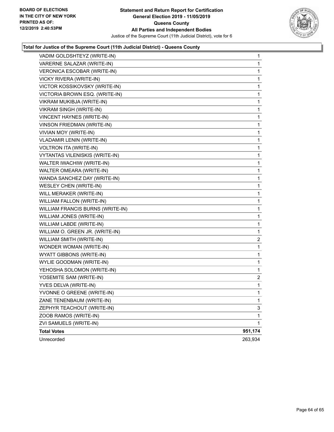

| VADIM GOLDSHTEYZ (WRITE-IN)           | $\mathbf{1}$   |
|---------------------------------------|----------------|
| VARERNE SALAZAR (WRITE-IN)            | 1              |
| VERONICA ESCOBAR (WRITE-IN)           | 1              |
| VICKY RIVERA (WRITE-IN)               | 1              |
| VICTOR KOSSIKOVSKY (WRITE-IN)         | 1              |
| VICTORIA BROWN ESQ. (WRITE-IN)        | 1              |
| VIKRAM MUKIBJA (WRITE-IN)             | $\mathbf{1}$   |
| VIKRAM SINGH (WRITE-IN)               | $\mathbf{1}$   |
| VINCENT HAYNES (WRITE-IN)             | 1              |
| VINSON FRIEDMAN (WRITE-IN)            | 1              |
| <b>VIVIAN MOY (WRITE-IN)</b>          | 1              |
| VLADAMIR LENIN (WRITE-IN)             | 1              |
| <b>VOLTRON ITA (WRITE-IN)</b>         | $\mathbf{1}$   |
| <b>VYTANTAS VILENISKIS (WRITE-IN)</b> | $\mathbf{1}$   |
| WALTER IWACHIW (WRITE-IN)             | 1              |
| WALTER OMEARA (WRITE-IN)              | 1              |
| WANDA SANCHEZ DAY (WRITE-IN)          | 1              |
| <b>WESLEY CHEN (WRITE-IN)</b>         | 1              |
| WILL MERAKER (WRITE-IN)               | $\mathbf{1}$   |
| WILLIAM FALLON (WRITE-IN)             | $\mathbf{1}$   |
| WILLIAM FRANCIS BURNS (WRITE-IN)      | 1              |
| WILLIAM JONES (WRITE-IN)              | $\mathbf 1$    |
| WILLIAM LABDE (WRITE-IN)              | 1              |
| WILLIAM O. GREEN JR. (WRITE-IN)       | 1              |
| WILLIAM SMITH (WRITE-IN)              | $\overline{c}$ |
| WONDER WOMAN (WRITE-IN)               | 1              |
| <b>WYATT GIBBONS (WRITE-IN)</b>       | 1              |
| WYLIE GOODMAN (WRITE-IN)              | $\mathbf 1$    |
| YEHOSHA SOLOMON (WRITE-IN)            | 1              |
| YOSEMITE SAM (WRITE-IN)               | $\overline{2}$ |
| YVES DELVA (WRITE-IN)                 | $\mathbf{1}$   |
| YVONNE O GREENE (WRITE-IN)            | 1              |
| ZANE TENENBAUM (WRITE-IN)             | 1              |
| ZEPHYR TEACHOUT (WRITE-IN)            | 3              |
| ZOOB RAMOS (WRITE-IN)                 | 1              |
| ZVI SAMUELS (WRITE-IN)                | 1              |
| <b>Total Votes</b>                    | 951,174        |
| Unrecorded                            | 263,934        |